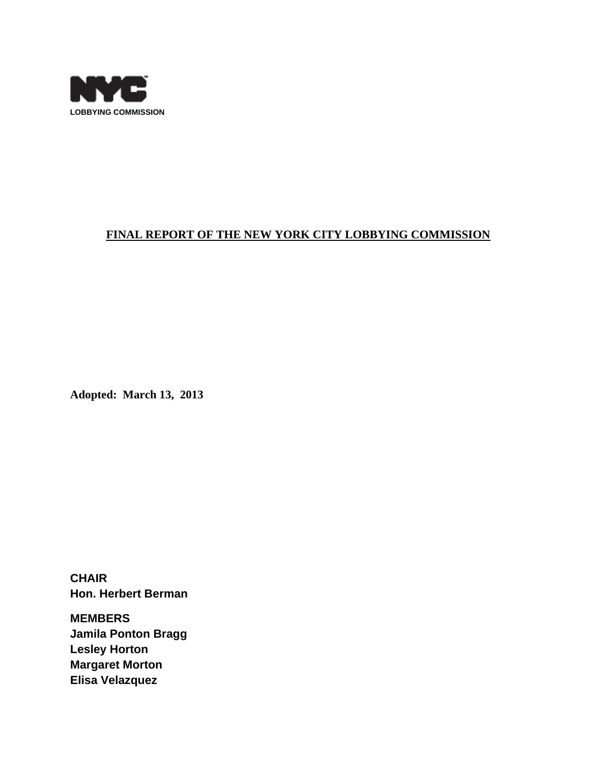

# **FINAL REPORT OF THE NEW YORK CITY LOBBYING COMMISSION**

**Adopted: March 13, 2013** 

**CHAIR Hon. Herbert Berman** 

**MEMBERS Jamila Ponton Bragg Lesley Horton Margaret Morton Elisa Velazquez**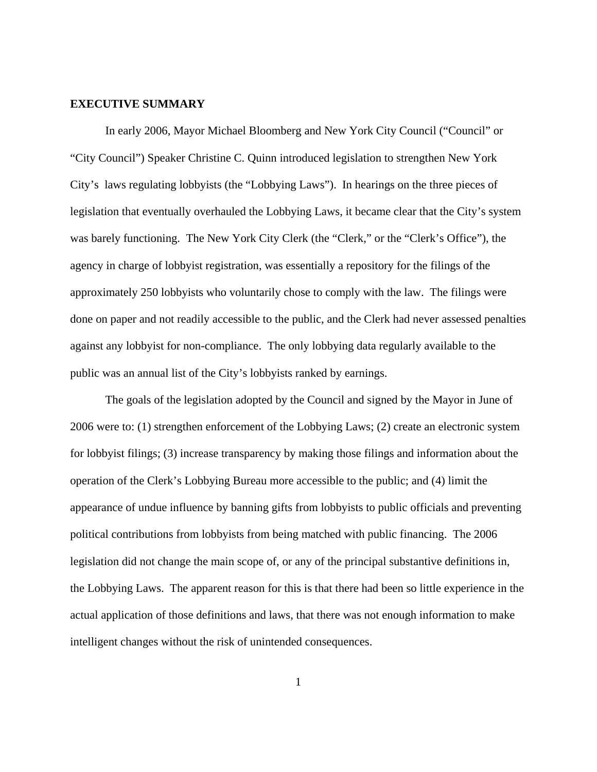#### **EXECUTIVE SUMMARY**

In early 2006, Mayor Michael Bloomberg and New York City Council ("Council" or "City Council") Speaker Christine C. Quinn introduced legislation to strengthen New York City's laws regulating lobbyists (the "Lobbying Laws"). In hearings on the three pieces of legislation that eventually overhauled the Lobbying Laws, it became clear that the City's system was barely functioning. The New York City Clerk (the "Clerk," or the "Clerk's Office"), the agency in charge of lobbyist registration, was essentially a repository for the filings of the approximately 250 lobbyists who voluntarily chose to comply with the law. The filings were done on paper and not readily accessible to the public, and the Clerk had never assessed penalties against any lobbyist for non-compliance. The only lobbying data regularly available to the public was an annual list of the City's lobbyists ranked by earnings.

 The goals of the legislation adopted by the Council and signed by the Mayor in June of 2006 were to: (1) strengthen enforcement of the Lobbying Laws; (2) create an electronic system for lobbyist filings; (3) increase transparency by making those filings and information about the operation of the Clerk's Lobbying Bureau more accessible to the public; and (4) limit the appearance of undue influence by banning gifts from lobbyists to public officials and preventing political contributions from lobbyists from being matched with public financing. The 2006 legislation did not change the main scope of, or any of the principal substantive definitions in, the Lobbying Laws. The apparent reason for this is that there had been so little experience in the actual application of those definitions and laws, that there was not enough information to make intelligent changes without the risk of unintended consequences.

1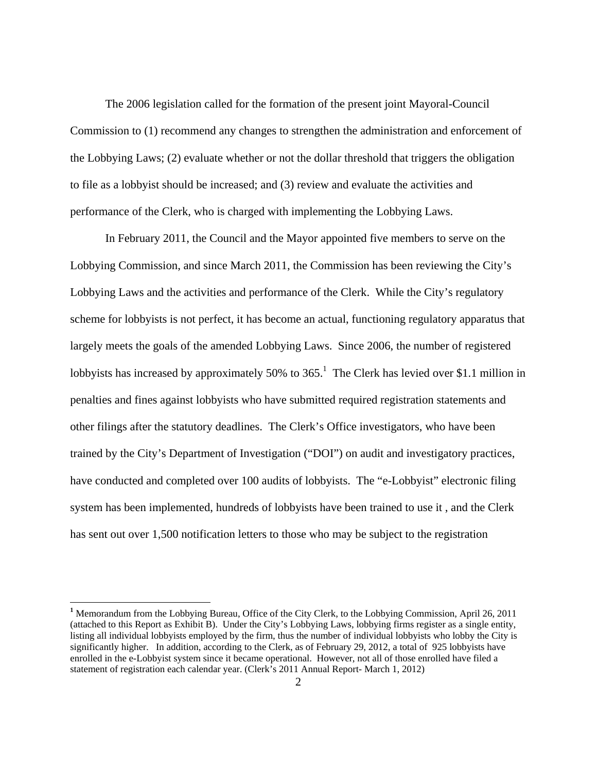The 2006 legislation called for the formation of the present joint Mayoral-Council Commission to (1) recommend any changes to strengthen the administration and enforcement of the Lobbying Laws; (2) evaluate whether or not the dollar threshold that triggers the obligation to file as a lobbyist should be increased; and (3) review and evaluate the activities and performance of the Clerk, who is charged with implementing the Lobbying Laws.

 In February 2011, the Council and the Mayor appointed five members to serve on the Lobbying Commission, and since March 2011, the Commission has been reviewing the City's Lobbying Laws and the activities and performance of the Clerk. While the City's regulatory scheme for lobbyists is not perfect, it has become an actual, functioning regulatory apparatus that largely meets the goals of the amended Lobbying Laws. Since 2006, the number of registered lobbyists has increased by approximately 50% to  $365<sup>1</sup>$ . The Clerk has levied over \$1.1 million in penalties and fines against lobbyists who have submitted required registration statements and other filings after the statutory deadlines. The Clerk's Office investigators, who have been trained by the City's Department of Investigation ("DOI") on audit and investigatory practices, have conducted and completed over 100 audits of lobbyists. The "e-Lobbyist" electronic filing system has been implemented, hundreds of lobbyists have been trained to use it , and the Clerk has sent out over 1,500 notification letters to those who may be subject to the registration

<sup>&</sup>lt;sup>1</sup> Memorandum from the Lobbying Bureau, Office of the City Clerk, to the Lobbying Commission, April 26, 2011 (attached to this Report as Exhibit B). Under the City's Lobbying Laws, lobbying firms register as a single entity, listing all individual lobbyists employed by the firm, thus the number of individual lobbyists who lobby the City is significantly higher. In addition, according to the Clerk, as of February 29, 2012, a total of 925 lobbyists have enrolled in the e-Lobbyist system since it became operational. However, not all of those enrolled have filed a statement of registration each calendar year. (Clerk's 2011 Annual Report- March 1, 2012)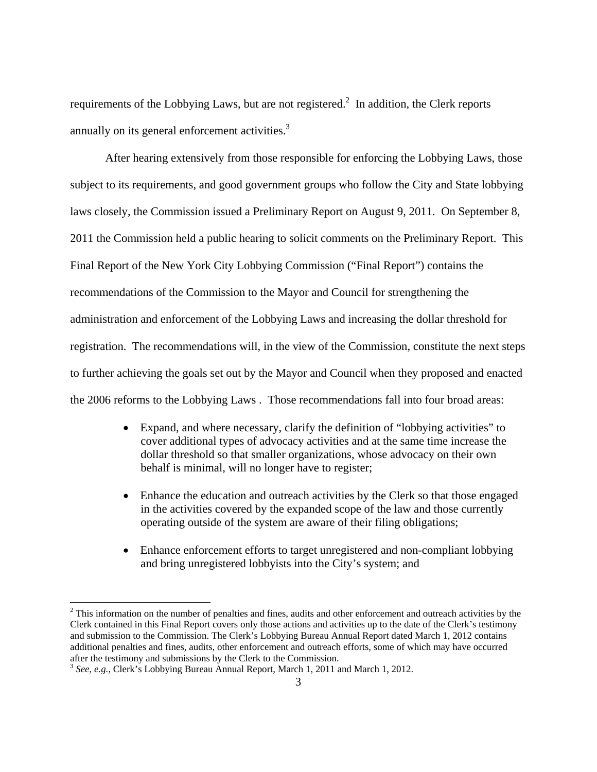requirements of the Lobbying Laws, but are not registered.<sup>2</sup> In addition, the Clerk reports annually on its general enforcement activities.<sup>3</sup>

 After hearing extensively from those responsible for enforcing the Lobbying Laws, those subject to its requirements, and good government groups who follow the City and State lobbying laws closely, the Commission issued a Preliminary Report on August 9, 2011. On September 8, 2011 the Commission held a public hearing to solicit comments on the Preliminary Report. This Final Report of the New York City Lobbying Commission ("Final Report") contains the recommendations of the Commission to the Mayor and Council for strengthening the administration and enforcement of the Lobbying Laws and increasing the dollar threshold for registration. The recommendations will, in the view of the Commission, constitute the next steps to further achieving the goals set out by the Mayor and Council when they proposed and enacted the 2006 reforms to the Lobbying Laws . Those recommendations fall into four broad areas:

- Expand, and where necessary, clarify the definition of "lobbying activities" to cover additional types of advocacy activities and at the same time increase the dollar threshold so that smaller organizations, whose advocacy on their own behalf is minimal, will no longer have to register;
- Enhance the education and outreach activities by the Clerk so that those engaged in the activities covered by the expanded scope of the law and those currently operating outside of the system are aware of their filing obligations;
- Enhance enforcement efforts to target unregistered and non-compliant lobbying and bring unregistered lobbyists into the City's system; and

<sup>&</sup>lt;sup>2</sup> This information on the number of penalties and fines, audits and other enforcement and outreach activities by the Clerk contained in this Final Report covers only those actions and activities up to the date of the Clerk's testimony and submission to the Commission. The Clerk's Lobbying Bureau Annual Report dated March 1, 2012 contains additional penalties and fines, audits, other enforcement and outreach efforts, some of which may have occurred after the testimony and submissions by the Clerk to the Commission.

<sup>3</sup> *See, e.g.,* Clerk's Lobbying Bureau Annual Report, March 1, 2011 and March 1, 2012.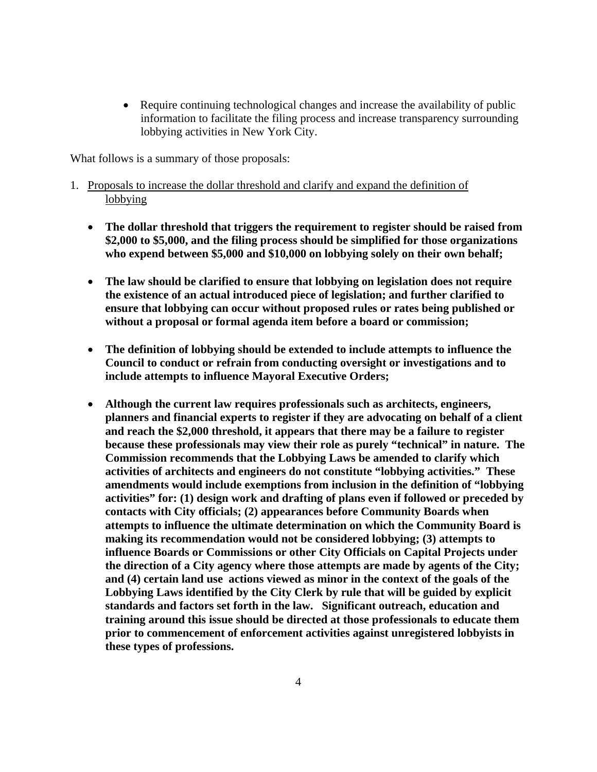• Require continuing technological changes and increase the availability of public information to facilitate the filing process and increase transparency surrounding lobbying activities in New York City.

What follows is a summary of those proposals:

- 1. Proposals to increase the dollar threshold and clarify and expand the definition of lobbying
	- **The dollar threshold that triggers the requirement to register should be raised from \$2,000 to \$5,000, and the filing process should be simplified for those organizations who expend between \$5,000 and \$10,000 on lobbying solely on their own behalf;**
	- **The law should be clarified to ensure that lobbying on legislation does not require the existence of an actual introduced piece of legislation; and further clarified to ensure that lobbying can occur without proposed rules or rates being published or without a proposal or formal agenda item before a board or commission;**
	- **The definition of lobbying should be extended to include attempts to influence the Council to conduct or refrain from conducting oversight or investigations and to include attempts to influence Mayoral Executive Orders;**
	- **Although the current law requires professionals such as architects, engineers, planners and financial experts to register if they are advocating on behalf of a client and reach the \$2,000 threshold, it appears that there may be a failure to register because these professionals may view their role as purely "technical" in nature. The Commission recommends that the Lobbying Laws be amended to clarify which activities of architects and engineers do not constitute "lobbying activities." These amendments would include exemptions from inclusion in the definition of "lobbying activities" for: (1) design work and drafting of plans even if followed or preceded by contacts with City officials; (2) appearances before Community Boards when attempts to influence the ultimate determination on which the Community Board is making its recommendation would not be considered lobbying; (3) attempts to influence Boards or Commissions or other City Officials on Capital Projects under the direction of a City agency where those attempts are made by agents of the City; and (4) certain land use actions viewed as minor in the context of the goals of the Lobbying Laws identified by the City Clerk by rule that will be guided by explicit standards and factors set forth in the law. Significant outreach, education and training around this issue should be directed at those professionals to educate them prior to commencement of enforcement activities against unregistered lobbyists in these types of professions.**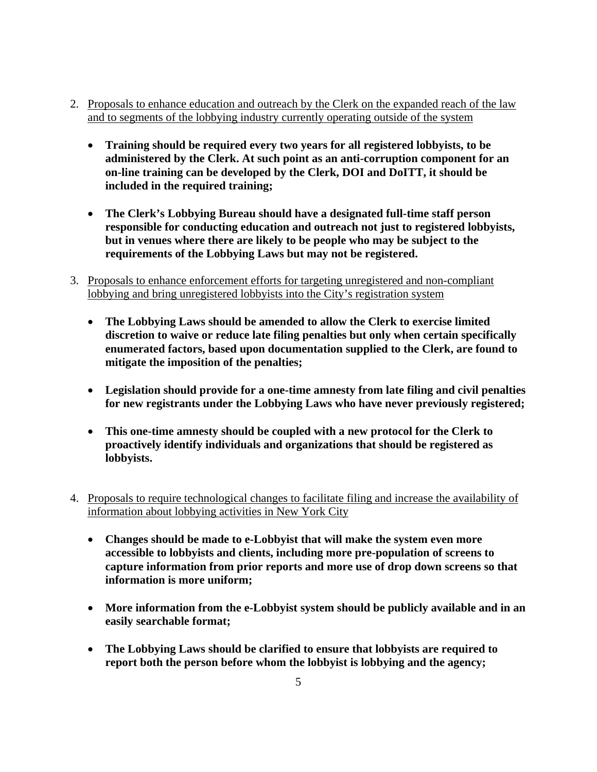- 2. Proposals to enhance education and outreach by the Clerk on the expanded reach of the law and to segments of the lobbying industry currently operating outside of the system
	- **Training should be required every two years for all registered lobbyists, to be administered by the Clerk. At such point as an anti-corruption component for an on-line training can be developed by the Clerk, DOI and DoITT, it should be included in the required training;**
	- **The Clerk's Lobbying Bureau should have a designated full-time staff person responsible for conducting education and outreach not just to registered lobbyists, but in venues where there are likely to be people who may be subject to the requirements of the Lobbying Laws but may not be registered.**
- 3. Proposals to enhance enforcement efforts for targeting unregistered and non-compliant lobbying and bring unregistered lobbyists into the City's registration system
	- **The Lobbying Laws should be amended to allow the Clerk to exercise limited discretion to waive or reduce late filing penalties but only when certain specifically enumerated factors, based upon documentation supplied to the Clerk, are found to mitigate the imposition of the penalties;**
	- **Legislation should provide for a one-time amnesty from late filing and civil penalties for new registrants under the Lobbying Laws who have never previously registered;**
	- **This one-time amnesty should be coupled with a new protocol for the Clerk to proactively identify individuals and organizations that should be registered as lobbyists.**
- 4. Proposals to require technological changes to facilitate filing and increase the availability of information about lobbying activities in New York City
	- **Changes should be made to e-Lobbyist that will make the system even more accessible to lobbyists and clients, including more pre-population of screens to capture information from prior reports and more use of drop down screens so that information is more uniform;**
	- **More information from the e-Lobbyist system should be publicly available and in an easily searchable format;**
	- **The Lobbying Laws should be clarified to ensure that lobbyists are required to report both the person before whom the lobbyist is lobbying and the agency;**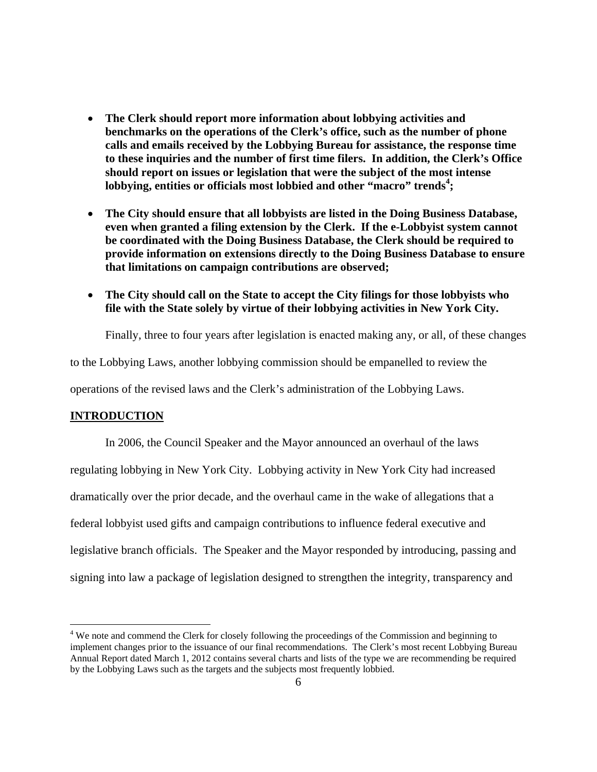- **The Clerk should report more information about lobbying activities and benchmarks on the operations of the Clerk's office, such as the number of phone calls and emails received by the Lobbying Bureau for assistance, the response time to these inquiries and the number of first time filers. In addition, the Clerk's Office should report on issues or legislation that were the subject of the most intense lobbying, entities or officials most lobbied and other "macro" trends<sup>4</sup> ;**
- **The City should ensure that all lobbyists are listed in the Doing Business Database, even when granted a filing extension by the Clerk. If the e-Lobbyist system cannot be coordinated with the Doing Business Database, the Clerk should be required to provide information on extensions directly to the Doing Business Database to ensure that limitations on campaign contributions are observed;**
- **The City should call on the State to accept the City filings for those lobbyists who file with the State solely by virtue of their lobbying activities in New York City.**

Finally, three to four years after legislation is enacted making any, or all, of these changes

to the Lobbying Laws, another lobbying commission should be empanelled to review the

operations of the revised laws and the Clerk's administration of the Lobbying Laws.

## **INTRODUCTION**

1

 In 2006, the Council Speaker and the Mayor announced an overhaul of the laws regulating lobbying in New York City. Lobbying activity in New York City had increased dramatically over the prior decade, and the overhaul came in the wake of allegations that a federal lobbyist used gifts and campaign contributions to influence federal executive and legislative branch officials. The Speaker and the Mayor responded by introducing, passing and signing into law a package of legislation designed to strengthen the integrity, transparency and

<sup>&</sup>lt;sup>4</sup> We note and commend the Clerk for closely following the proceedings of the Commission and beginning to implement changes prior to the issuance of our final recommendations. The Clerk's most recent Lobbying Bureau Annual Report dated March 1, 2012 contains several charts and lists of the type we are recommending be required by the Lobbying Laws such as the targets and the subjects most frequently lobbied.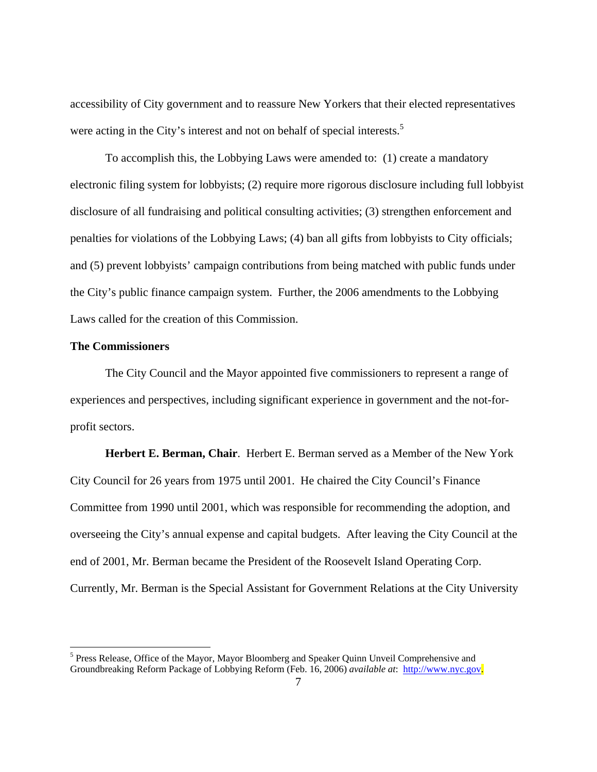accessibility of City government and to reassure New Yorkers that their elected representatives were acting in the City's interest and not on behalf of special interests.<sup>5</sup>

 To accomplish this, the Lobbying Laws were amended to: (1) create a mandatory electronic filing system for lobbyists; (2) require more rigorous disclosure including full lobbyist disclosure of all fundraising and political consulting activities; (3) strengthen enforcement and penalties for violations of the Lobbying Laws; (4) ban all gifts from lobbyists to City officials; and (5) prevent lobbyists' campaign contributions from being matched with public funds under the City's public finance campaign system. Further, the 2006 amendments to the Lobbying Laws called for the creation of this Commission.

#### **The Commissioners**

 $\overline{a}$ 

 The City Council and the Mayor appointed five commissioners to represent a range of experiences and perspectives, including significant experience in government and the not-forprofit sectors.

**Herbert E. Berman, Chair**. Herbert E. Berman served as a Member of the New York City Council for 26 years from 1975 until 2001. He chaired the City Council's Finance Committee from 1990 until 2001, which was responsible for recommending the adoption, and overseeing the City's annual expense and capital budgets. After leaving the City Council at the end of 2001, Mr. Berman became the President of the Roosevelt Island Operating Corp. Currently, Mr. Berman is the Special Assistant for Government Relations at the City University

<sup>&</sup>lt;sup>5</sup> Press Release, Office of the Mayor, Mayor Bloomberg and Speaker Quinn Unveil Comprehensive and Groundbreaking Reform Package of Lobbying Reform (Feb. 16, 2006) *available at*: http://www.nyc.gov.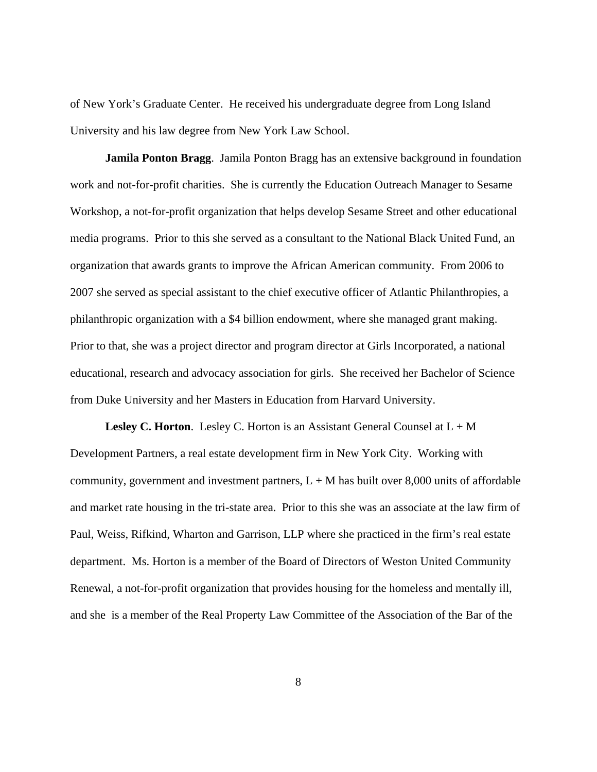of New York's Graduate Center. He received his undergraduate degree from Long Island University and his law degree from New York Law School.

**Jamila Ponton Bragg**. Jamila Ponton Bragg has an extensive background in foundation work and not-for-profit charities. She is currently the Education Outreach Manager to Sesame Workshop, a not-for-profit organization that helps develop Sesame Street and other educational media programs. Prior to this she served as a consultant to the National Black United Fund, an organization that awards grants to improve the African American community. From 2006 to 2007 she served as special assistant to the chief executive officer of Atlantic Philanthropies, a philanthropic organization with a \$4 billion endowment, where she managed grant making. Prior to that, she was a project director and program director at Girls Incorporated, a national educational, research and advocacy association for girls. She received her Bachelor of Science from Duke University and her Masters in Education from Harvard University.

**Lesley C. Horton.** Lesley C. Horton is an Assistant General Counsel at  $L + M$ Development Partners, a real estate development firm in New York City. Working with community, government and investment partners,  $L + M$  has built over 8,000 units of affordable and market rate housing in the tri-state area. Prior to this she was an associate at the law firm of Paul, Weiss, Rifkind, Wharton and Garrison, LLP where she practiced in the firm's real estate department. Ms. Horton is a member of the Board of Directors of Weston United Community Renewal, a not-for-profit organization that provides housing for the homeless and mentally ill, and she is a member of the Real Property Law Committee of the Association of the Bar of the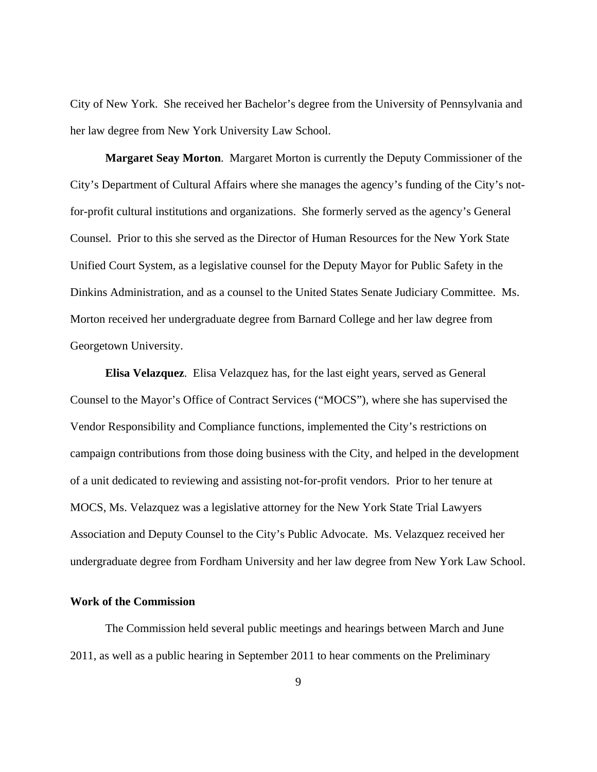City of New York. She received her Bachelor's degree from the University of Pennsylvania and her law degree from New York University Law School.

**Margaret Seay Morton**. Margaret Morton is currently the Deputy Commissioner of the City's Department of Cultural Affairs where she manages the agency's funding of the City's notfor-profit cultural institutions and organizations. She formerly served as the agency's General Counsel. Prior to this she served as the Director of Human Resources for the New York State Unified Court System, as a legislative counsel for the Deputy Mayor for Public Safety in the Dinkins Administration, and as a counsel to the United States Senate Judiciary Committee. Ms. Morton received her undergraduate degree from Barnard College and her law degree from Georgetown University.

**Elisa Velazquez**. Elisa Velazquez has, for the last eight years, served as General Counsel to the Mayor's Office of Contract Services ("MOCS"), where she has supervised the Vendor Responsibility and Compliance functions, implemented the City's restrictions on campaign contributions from those doing business with the City, and helped in the development of a unit dedicated to reviewing and assisting not-for-profit vendors. Prior to her tenure at MOCS, Ms. Velazquez was a legislative attorney for the New York State Trial Lawyers Association and Deputy Counsel to the City's Public Advocate. Ms. Velazquez received her undergraduate degree from Fordham University and her law degree from New York Law School.

## **Work of the Commission**

 The Commission held several public meetings and hearings between March and June 2011, as well as a public hearing in September 2011 to hear comments on the Preliminary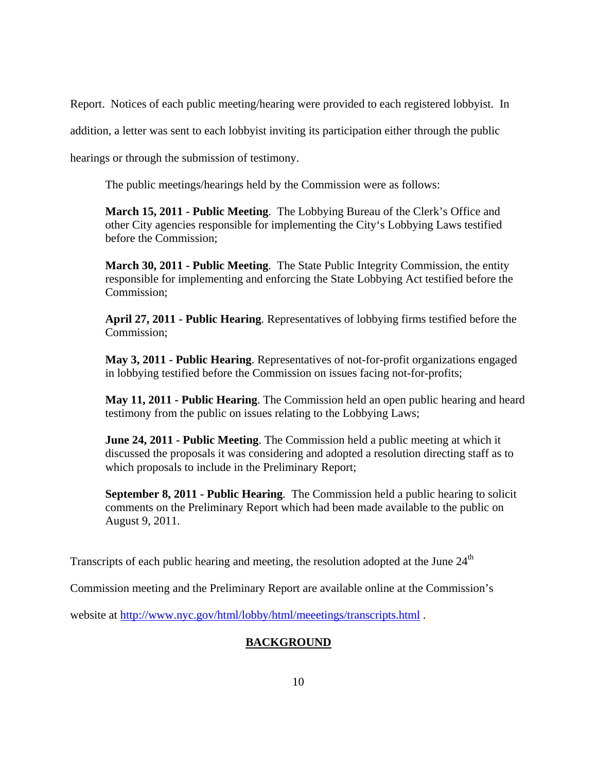Report. Notices of each public meeting/hearing were provided to each registered lobbyist. In

addition, a letter was sent to each lobbyist inviting its participation either through the public

hearings or through the submission of testimony.

The public meetings/hearings held by the Commission were as follows:

**March 15, 2011 - Public Meeting**. The Lobbying Bureau of the Clerk's Office and other City agencies responsible for implementing the City's Lobbying Laws testified before the Commission;

**March 30, 2011 - Public Meeting**. The State Public Integrity Commission, the entity responsible for implementing and enforcing the State Lobbying Act testified before the Commission;

**April 27, 2011 - Public Hearing**. Representatives of lobbying firms testified before the Commission;

**May 3, 2011 - Public Hearing**. Representatives of not-for-profit organizations engaged in lobbying testified before the Commission on issues facing not-for-profits;

**May 11, 2011 - Public Hearing**. The Commission held an open public hearing and heard testimony from the public on issues relating to the Lobbying Laws;

**June 24, 2011 - Public Meeting**. The Commission held a public meeting at which it discussed the proposals it was considering and adopted a resolution directing staff as to which proposals to include in the Preliminary Report;

 **September 8, 2011 - Public Hearing**. The Commission held a public hearing to solicit comments on the Preliminary Report which had been made available to the public on August 9, 2011.

Transcripts of each public hearing and meeting, the resolution adopted at the June  $24<sup>th</sup>$ 

Commission meeting and the Preliminary Report are available online at the Commission's

website at http://www.nyc.gov/html/lobby/html/meeetings/transcripts.html .

## **BACKGROUND**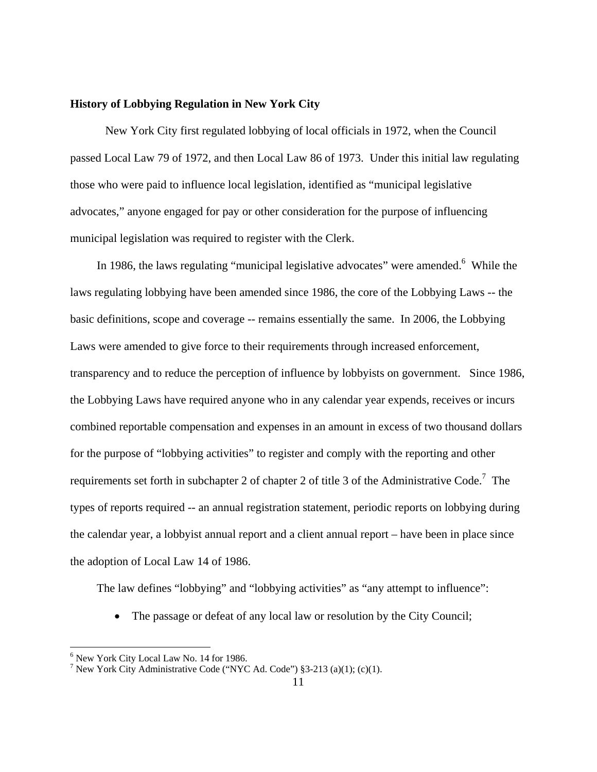## **History of Lobbying Regulation in New York City**

 New York City first regulated lobbying of local officials in 1972, when the Council passed Local Law 79 of 1972, and then Local Law 86 of 1973. Under this initial law regulating those who were paid to influence local legislation, identified as "municipal legislative advocates," anyone engaged for pay or other consideration for the purpose of influencing municipal legislation was required to register with the Clerk.

In 1986, the laws regulating "municipal legislative advocates" were amended.  $6$  While the laws regulating lobbying have been amended since 1986, the core of the Lobbying Laws -- the basic definitions, scope and coverage -- remains essentially the same. In 2006, the Lobbying Laws were amended to give force to their requirements through increased enforcement, transparency and to reduce the perception of influence by lobbyists on government. Since 1986, the Lobbying Laws have required anyone who in any calendar year expends, receives or incurs combined reportable compensation and expenses in an amount in excess of two thousand dollars for the purpose of "lobbying activities" to register and comply with the reporting and other requirements set forth in subchapter 2 of chapter 2 of title 3 of the Administrative Code.<sup>7</sup> The types of reports required -- an annual registration statement, periodic reports on lobbying during the calendar year, a lobbyist annual report and a client annual report – have been in place since the adoption of Local Law 14 of 1986.

The law defines "lobbying" and "lobbying activities" as "any attempt to influence":

The passage or defeat of any local law or resolution by the City Council;

<u>.</u>

<sup>6</sup> New York City Local Law No. 14 for 1986.

<sup>&</sup>lt;sup>7</sup> New York City Administrative Code ("NYC Ad. Code") §3-213 (a)(1); (c)(1).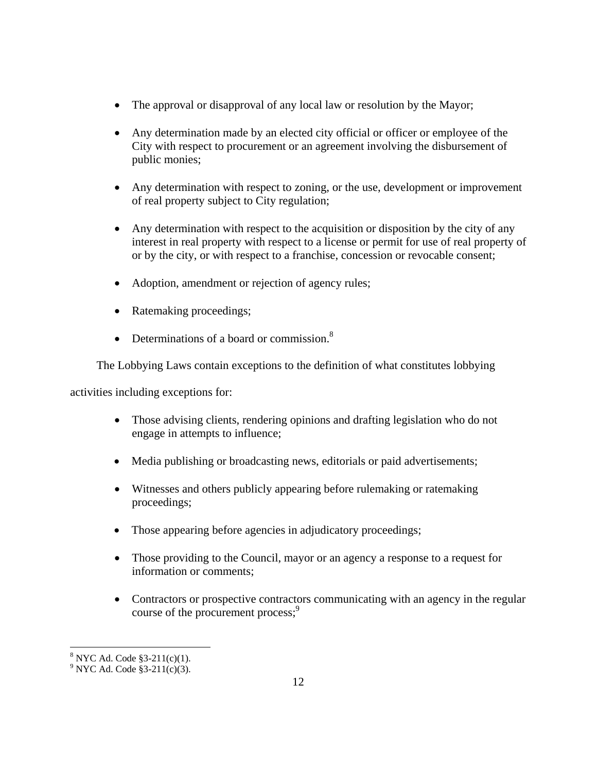- The approval or disapproval of any local law or resolution by the Mayor;
- Any determination made by an elected city official or officer or employee of the City with respect to procurement or an agreement involving the disbursement of public monies;
- Any determination with respect to zoning, or the use, development or improvement of real property subject to City regulation;
- Any determination with respect to the acquisition or disposition by the city of any interest in real property with respect to a license or permit for use of real property of or by the city, or with respect to a franchise, concession or revocable consent;
- Adoption, amendment or rejection of agency rules;
- Ratemaking proceedings;
- Determinations of a board or commission.<sup>8</sup>

The Lobbying Laws contain exceptions to the definition of what constitutes lobbying

activities including exceptions for:

- Those advising clients, rendering opinions and drafting legislation who do not engage in attempts to influence;
- Media publishing or broadcasting news, editorials or paid advertisements;
- Witnesses and others publicly appearing before rulemaking or ratemaking proceedings;
- Those appearing before agencies in adjudicatory proceedings;
- Those providing to the Council, mayor or an agency a response to a request for information or comments;
- Contractors or prospective contractors communicating with an agency in the regular course of the procurement process;<sup>9</sup>

<u>.</u>

 $8$  NYC Ad. Code  $$3-211(c)(1)$ .

 $9^9$  NYC Ad. Code §3-211(c)(3).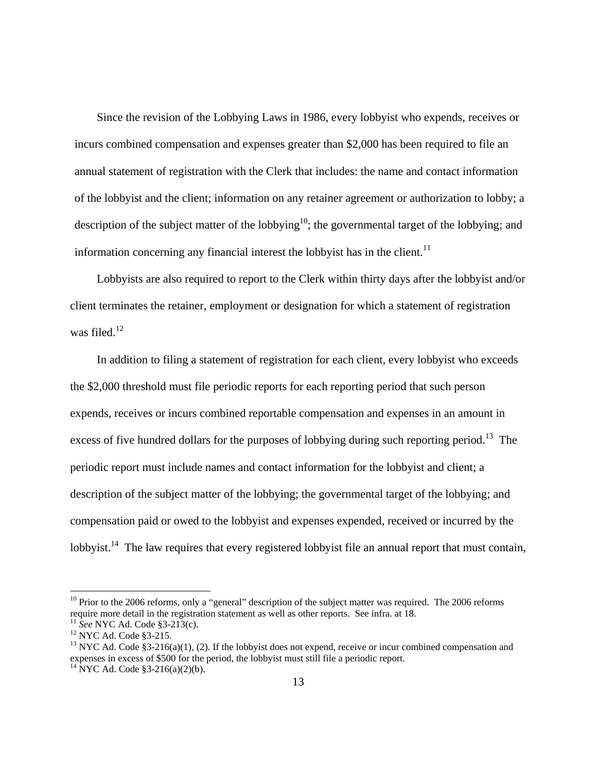Since the revision of the Lobbying Laws in 1986, every lobbyist who expends, receives or incurs combined compensation and expenses greater than \$2,000 has been required to file an annual statement of registration with the Clerk that includes: the name and contact information of the lobbyist and the client; information on any retainer agreement or authorization to lobby; a description of the subject matter of the lobbying<sup>10</sup>; the governmental target of the lobbying; and information concerning any financial interest the lobbyist has in the client.<sup>11</sup>

Lobbyists are also required to report to the Clerk within thirty days after the lobbyist and/or client terminates the retainer, employment or designation for which a statement of registration was filed. $12$ 

In addition to filing a statement of registration for each client, every lobbyist who exceeds the \$2,000 threshold must file periodic reports for each reporting period that such person expends, receives or incurs combined reportable compensation and expenses in an amount in excess of five hundred dollars for the purposes of lobbying during such reporting period.<sup>13</sup> The periodic report must include names and contact information for the lobbyist and client; a description of the subject matter of the lobbying; the governmental target of the lobbying; and compensation paid or owed to the lobbyist and expenses expended, received or incurred by the lobbyist.<sup>14</sup> The law requires that every registered lobbyist file an annual report that must contain,

 $10$  Prior to the 2006 reforms, only a "general" description of the subject matter was required. The 2006 reforms require more detail in the registration statement as well as other reports. See infra. at 18.<br><sup>11</sup> *See* NYC Ad. Code §3-213(c). <sup>12</sup> NYC Ad. Code §3-215.

<sup>&</sup>lt;sup>13</sup> NYC Ad. Code §3-216(a)(1), (2). If the lobbyist does not expend, receive or incur combined compensation and expenses in excess of \$500 for the period, the lobbyist must still file a periodic report.

 $^{14}$  NYC Ad. Code §3-216(a)(2)(b).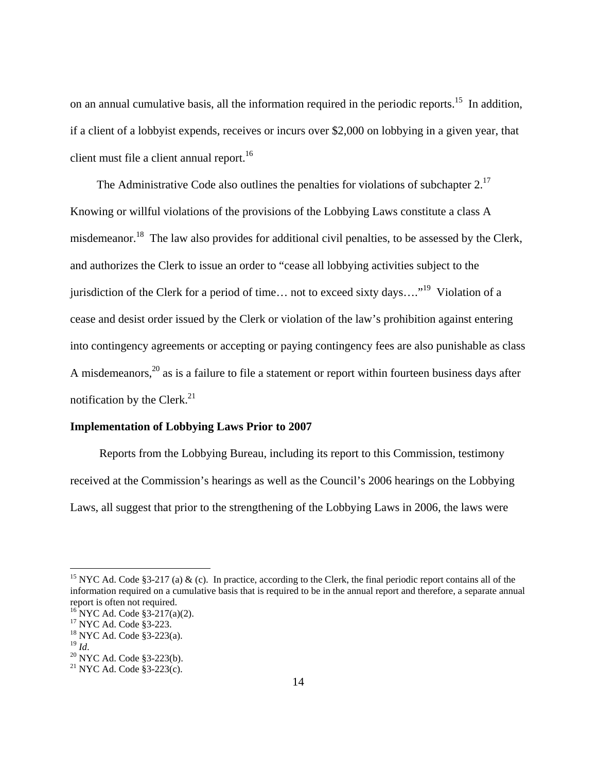on an annual cumulative basis, all the information required in the periodic reports.<sup>15</sup> In addition, if a client of a lobbyist expends, receives or incurs over \$2,000 on lobbying in a given year, that client must file a client annual report.<sup>16</sup>

The Administrative Code also outlines the penalties for violations of subchapter  $2<sup>17</sup>$ Knowing or willful violations of the provisions of the Lobbying Laws constitute a class A misdemeanor.<sup>18</sup> The law also provides for additional civil penalties, to be assessed by the Clerk, and authorizes the Clerk to issue an order to "cease all lobbying activities subject to the jurisdiction of the Clerk for a period of time... not to exceed sixty days...."<sup>19</sup> Violation of a cease and desist order issued by the Clerk or violation of the law's prohibition against entering into contingency agreements or accepting or paying contingency fees are also punishable as class A misdemeanors,<sup>20</sup> as is a failure to file a statement or report within fourteen business days after notification by the Clerk. $^{21}$ 

## **Implementation of Lobbying Laws Prior to 2007**

 Reports from the Lobbying Bureau, including its report to this Commission, testimony received at the Commission's hearings as well as the Council's 2006 hearings on the Lobbying Laws, all suggest that prior to the strengthening of the Lobbying Laws in 2006, the laws were

<sup>&</sup>lt;sup>15</sup> NYC Ad. Code §3-217 (a)  $\&$  (c). In practice, according to the Clerk, the final periodic report contains all of the information required on a cumulative basis that is required to be in the annual report and therefore, a separate annual report is often not required.

 $^{16}$  NYC Ad. Code §3-217(a)(2).

<sup>&</sup>lt;sup>17</sup> NYC Ad. Code §3-223.

 $^{18}_{19}$  NYC Ad. Code §3-223(a).<br> $^{19}_{14}$  *M* 

<sup>&</sup>lt;sup>20</sup> NYC Ad. Code §3-223(b).

<sup>21</sup> NYC Ad. Code §3-223(c).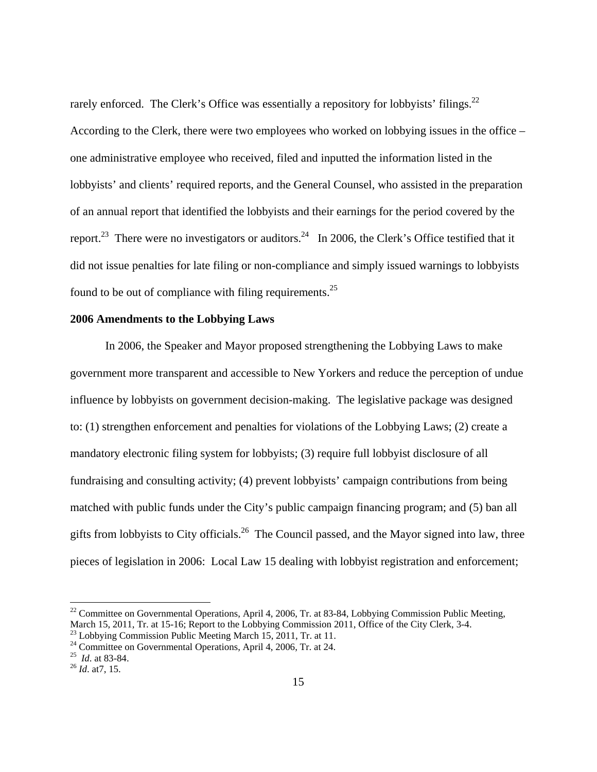rarely enforced. The Clerk's Office was essentially a repository for lobbyists' filings.<sup>22</sup> According to the Clerk, there were two employees who worked on lobbying issues in the office – one administrative employee who received, filed and inputted the information listed in the lobbyists' and clients' required reports, and the General Counsel, who assisted in the preparation of an annual report that identified the lobbyists and their earnings for the period covered by the report.<sup>23</sup> There were no investigators or auditors.<sup>24</sup> In 2006, the Clerk's Office testified that it did not issue penalties for late filing or non-compliance and simply issued warnings to lobbyists found to be out of compliance with filing requirements.25

## **2006 Amendments to the Lobbying Laws**

In 2006, the Speaker and Mayor proposed strengthening the Lobbying Laws to make government more transparent and accessible to New Yorkers and reduce the perception of undue influence by lobbyists on government decision-making. The legislative package was designed to: (1) strengthen enforcement and penalties for violations of the Lobbying Laws; (2) create a mandatory electronic filing system for lobbyists; (3) require full lobbyist disclosure of all fundraising and consulting activity; (4) prevent lobbyists' campaign contributions from being matched with public funds under the City's public campaign financing program; and (5) ban all gifts from lobbyists to City officials.<sup>26</sup> The Council passed, and the Mayor signed into law, three pieces of legislation in 2006: Local Law 15 dealing with lobbyist registration and enforcement;

 $^{22}$  Committee on Governmental Operations, April 4, 2006, Tr. at 83-84, Lobbying Commission Public Meeting, March 15, 2011, Tr. at 15-16; Report to the Lobbying Commission 2011, Office of the City Clerk, 3-4.

<sup>&</sup>lt;sup>23</sup> Lobbying Commission Public Meeting March 15, 2011, Tr. at 11.

<sup>&</sup>lt;sup>24</sup> Committee on Governmental Operations, April 4, 2006, Tr. at 24.

<sup>25</sup>*Id*. at 83-84. 26 *Id*. at7, 15.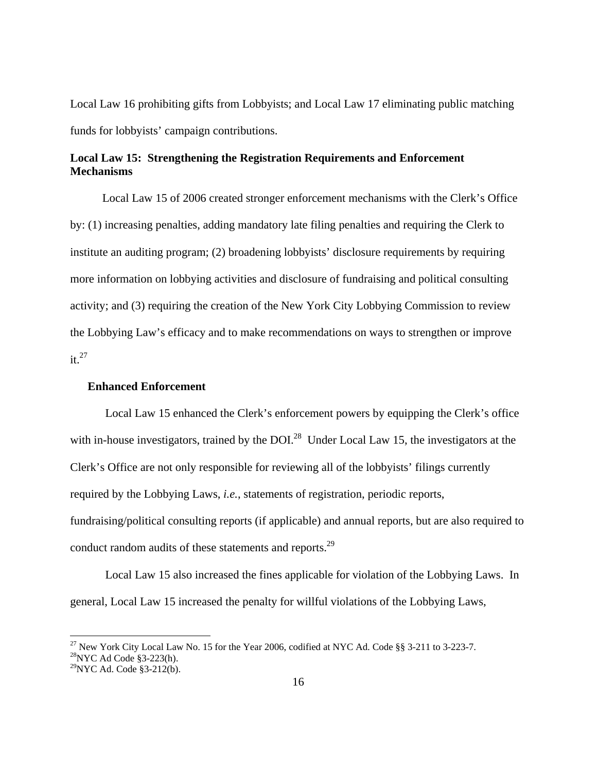Local Law 16 prohibiting gifts from Lobbyists; and Local Law 17 eliminating public matching funds for lobbyists' campaign contributions.

## **Local Law 15: Strengthening the Registration Requirements and Enforcement Mechanisms**

 Local Law 15 of 2006 created stronger enforcement mechanisms with the Clerk's Office by: (1) increasing penalties, adding mandatory late filing penalties and requiring the Clerk to institute an auditing program; (2) broadening lobbyists' disclosure requirements by requiring more information on lobbying activities and disclosure of fundraising and political consulting activity; and (3) requiring the creation of the New York City Lobbying Commission to review the Lobbying Law's efficacy and to make recommendations on ways to strengthen or improve  $it.<sup>27</sup>$ 

## **Enhanced Enforcement**

 Local Law 15 enhanced the Clerk's enforcement powers by equipping the Clerk's office with in-house investigators, trained by the DOI.<sup>28</sup> Under Local Law 15, the investigators at the Clerk's Office are not only responsible for reviewing all of the lobbyists' filings currently required by the Lobbying Laws, *i.e.*, statements of registration, periodic reports, fundraising/political consulting reports (if applicable) and annual reports, but are also required to conduct random audits of these statements and reports.<sup>29</sup>

 Local Law 15 also increased the fines applicable for violation of the Lobbying Laws. In general, Local Law 15 increased the penalty for willful violations of the Lobbying Laws,

<sup>&</sup>lt;sup>27</sup> New York City Local Law No. 15 for the Year 2006, codified at NYC Ad. Code §§ 3-211 to 3-223-7.

 $^{28}$ NYC Ad Code §3-223(h).

 $^{29}$ NYC Ad. Code §3-212(b).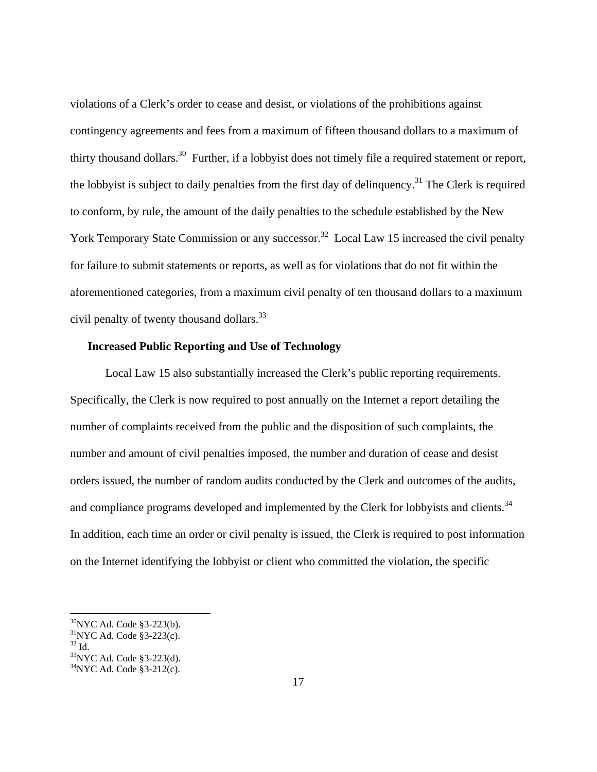violations of a Clerk's order to cease and desist, or violations of the prohibitions against contingency agreements and fees from a maximum of fifteen thousand dollars to a maximum of thirty thousand dollars.30 Further, if a lobbyist does not timely file a required statement or report, the lobbyist is subject to daily penalties from the first day of delinquency.<sup>31</sup> The Clerk is required to conform, by rule, the amount of the daily penalties to the schedule established by the New York Temporary State Commission or any successor.<sup>32</sup> Local Law 15 increased the civil penalty for failure to submit statements or reports, as well as for violations that do not fit within the aforementioned categories, from a maximum civil penalty of ten thousand dollars to a maximum civil penalty of twenty thousand dollars.<sup>33</sup>

## **Increased Public Reporting and Use of Technology**

 Local Law 15 also substantially increased the Clerk's public reporting requirements. Specifically, the Clerk is now required to post annually on the Internet a report detailing the number of complaints received from the public and the disposition of such complaints, the number and amount of civil penalties imposed, the number and duration of cease and desist orders issued, the number of random audits conducted by the Clerk and outcomes of the audits, and compliance programs developed and implemented by the Clerk for lobbyists and clients.<sup>34</sup> In addition, each time an order or civil penalty is issued, the Clerk is required to post information on the Internet identifying the lobbyist or client who committed the violation, the specific

<sup>30</sup>NYC Ad. Code §3-223(b).

 $31$ NYC Ad. Code §3-223(c).

 $32 \text{ Id}$ 

<sup>&</sup>lt;sup>33</sup>NYC Ad. Code §3-223(d).

 $34$ <sub>NYC</sub> Ad. Code §3-212(c).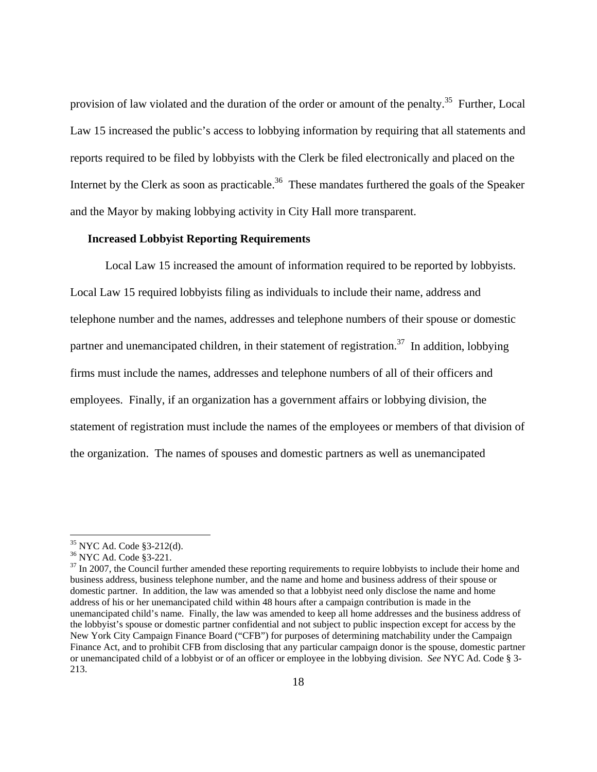provision of law violated and the duration of the order or amount of the penalty.<sup>35</sup> Further, Local Law 15 increased the public's access to lobbying information by requiring that all statements and reports required to be filed by lobbyists with the Clerk be filed electronically and placed on the Internet by the Clerk as soon as practicable.<sup>36</sup> These mandates furthered the goals of the Speaker and the Mayor by making lobbying activity in City Hall more transparent.

#### **Increased Lobbyist Reporting Requirements**

Local Law 15 increased the amount of information required to be reported by lobbyists. Local Law 15 required lobbyists filing as individuals to include their name, address and telephone number and the names, addresses and telephone numbers of their spouse or domestic partner and unemancipated children, in their statement of registration.<sup>37</sup> In addition, lobbying firms must include the names, addresses and telephone numbers of all of their officers and employees. Finally, if an organization has a government affairs or lobbying division, the statement of registration must include the names of the employees or members of that division of the organization. The names of spouses and domestic partners as well as unemancipated

<sup>35</sup> NYC Ad. Code §3-212(d).

<sup>36</sup> NYC Ad. Code §3-221.

 $37$  In 2007, the Council further amended these reporting requirements to require lobbyists to include their home and business address, business telephone number, and the name and home and business address of their spouse or domestic partner. In addition, the law was amended so that a lobbyist need only disclose the name and home address of his or her unemancipated child within 48 hours after a campaign contribution is made in the unemancipated child's name. Finally, the law was amended to keep all home addresses and the business address of the lobbyist's spouse or domestic partner confidential and not subject to public inspection except for access by the New York City Campaign Finance Board ("CFB") for purposes of determining matchability under the Campaign Finance Act, and to prohibit CFB from disclosing that any particular campaign donor is the spouse, domestic partner or unemancipated child of a lobbyist or of an officer or employee in the lobbying division. *See* NYC Ad. Code § 3- 213.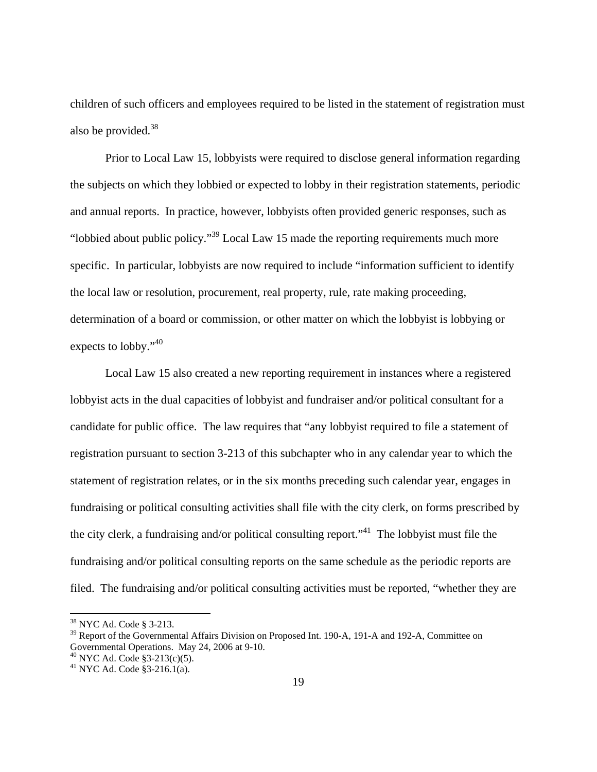children of such officers and employees required to be listed in the statement of registration must also be provided. $38$ 

Prior to Local Law 15, lobbyists were required to disclose general information regarding the subjects on which they lobbied or expected to lobby in their registration statements, periodic and annual reports. In practice, however, lobbyists often provided generic responses, such as "lobbied about public policy."39 Local Law 15 made the reporting requirements much more specific. In particular, lobbyists are now required to include "information sufficient to identify the local law or resolution, procurement, real property, rule, rate making proceeding, determination of a board or commission, or other matter on which the lobbyist is lobbying or expects to lobby."<sup>40</sup>

Local Law 15 also created a new reporting requirement in instances where a registered lobbyist acts in the dual capacities of lobbyist and fundraiser and/or political consultant for a candidate for public office. The law requires that "any lobbyist required to file a statement of registration pursuant to section 3-213 of this subchapter who in any calendar year to which the statement of registration relates, or in the six months preceding such calendar year, engages in fundraising or political consulting activities shall file with the city clerk, on forms prescribed by the city clerk, a fundraising and/or political consulting report.<sup> $1$ </sup>. The lobbyist must file the fundraising and/or political consulting reports on the same schedule as the periodic reports are filed. The fundraising and/or political consulting activities must be reported, "whether they are

<u>.</u>

<sup>38</sup> NYC Ad. Code § 3-213.

<sup>&</sup>lt;sup>39</sup> Report of the Governmental Affairs Division on Proposed Int. 190-A, 191-A and 192-A, Committee on Governmental Operations. May 24, 2006 at 9-10.

 $^{40}$  NYC Ad. Code §3-213(c)(5).

 $^{41}$  NYC Ad. Code  $\overline{\$3-216.1(a)}$ .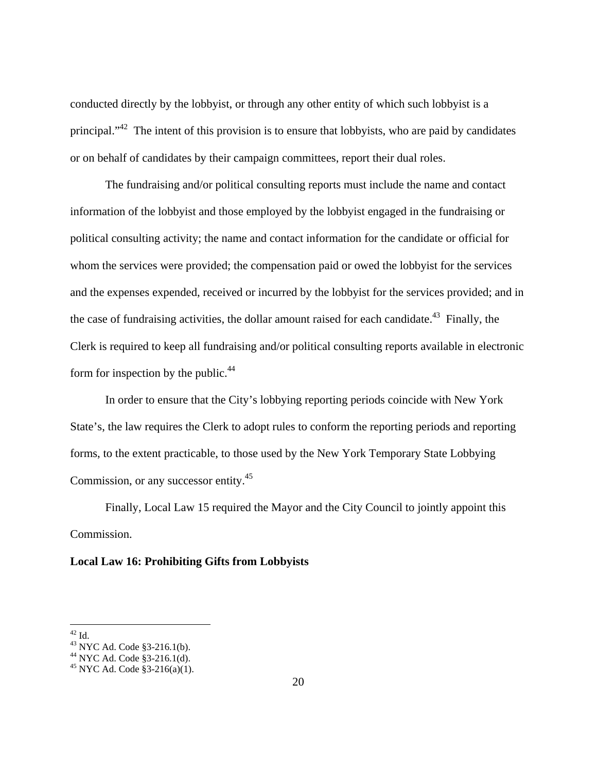conducted directly by the lobbyist, or through any other entity of which such lobbyist is a principal."42 The intent of this provision is to ensure that lobbyists, who are paid by candidates or on behalf of candidates by their campaign committees, report their dual roles.

The fundraising and/or political consulting reports must include the name and contact information of the lobbyist and those employed by the lobbyist engaged in the fundraising or political consulting activity; the name and contact information for the candidate or official for whom the services were provided; the compensation paid or owed the lobbyist for the services and the expenses expended, received or incurred by the lobbyist for the services provided; and in the case of fundraising activities, the dollar amount raised for each candidate.<sup>43</sup> Finally, the Clerk is required to keep all fundraising and/or political consulting reports available in electronic form for inspection by the public. $44$ 

In order to ensure that the City's lobbying reporting periods coincide with New York State's, the law requires the Clerk to adopt rules to conform the reporting periods and reporting forms, to the extent practicable, to those used by the New York Temporary State Lobbying Commission, or any successor entity.<sup>45</sup>

 Finally, Local Law 15 required the Mayor and the City Council to jointly appoint this Commission.

#### **Local Law 16: Prohibiting Gifts from Lobbyists**

1

 $^{42}$  Id.

<sup>43</sup> NYC Ad. Code §3-216.1(b).

<sup>44</sup> NYC Ad. Code §3-216.1(d).

 $45$  NYC Ad. Code §3-216(a)(1).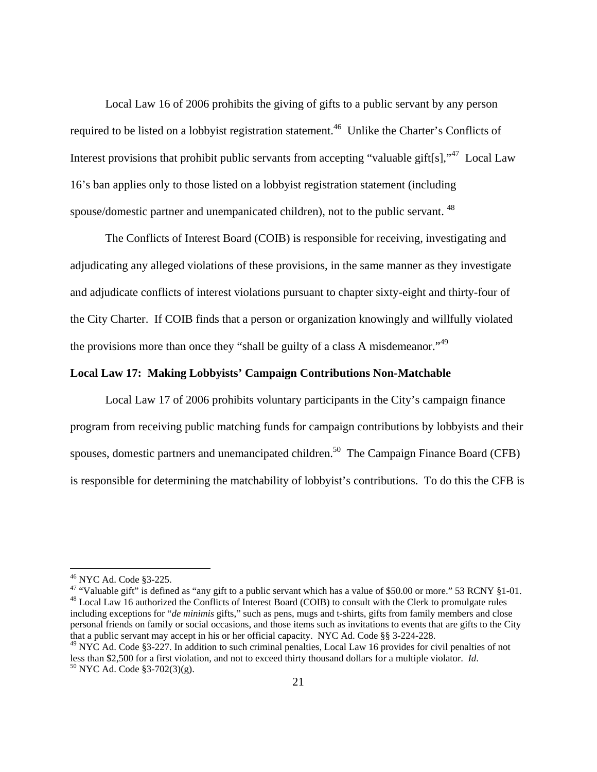Local Law 16 of 2006 prohibits the giving of gifts to a public servant by any person required to be listed on a lobbyist registration statement.<sup>46</sup> Unlike the Charter's Conflicts of Interest provisions that prohibit public servants from accepting "valuable gift[s],"<sup>47</sup> Local Law 16's ban applies only to those listed on a lobbyist registration statement (including spouse/domestic partner and unempanicated children), not to the public servant. 48

The Conflicts of Interest Board (COIB) is responsible for receiving, investigating and adjudicating any alleged violations of these provisions, in the same manner as they investigate and adjudicate conflicts of interest violations pursuant to chapter sixty-eight and thirty-four of the City Charter. If COIB finds that a person or organization knowingly and willfully violated the provisions more than once they "shall be guilty of a class A misdemeanor."49

## **Local Law 17: Making Lobbyists' Campaign Contributions Non-Matchable**

Local Law 17 of 2006 prohibits voluntary participants in the City's campaign finance program from receiving public matching funds for campaign contributions by lobbyists and their spouses, domestic partners and unemancipated children.<sup>50</sup> The Campaign Finance Board (CFB) is responsible for determining the matchability of lobbyist's contributions. To do this the CFB is

 $\overline{a}$ 

<sup>47</sup> "Valuable gift" is defined as "any gift to a public servant which has a value of \$50.00 or more." 53 RCNY §1-01. <sup>48</sup> Local Law 16 authorized the Conflicts of Interest Board (COIB) to consult with the Clerk to promulgate rules including exceptions for "*de minimis* gifts," such as pens, mugs and t-shirts, gifts from family members and close personal friends on family or social occasions, and those items such as invitations to events that are gifts to the City that a public servant may accept in his or her official capacity. NYC Ad. Code §§ 3-224-228.

<sup>46</sup> NYC Ad. Code §3-225.

 $^{49}$  NYC Ad. Code §3-227. In addition to such criminal penalties, Local Law 16 provides for civil penalties of not less than \$2,500 for a first violation, and not to exceed thirty thousand dollars for a multiple violator. *Id*. 50 NYC Ad. Code §3-702(3)(g).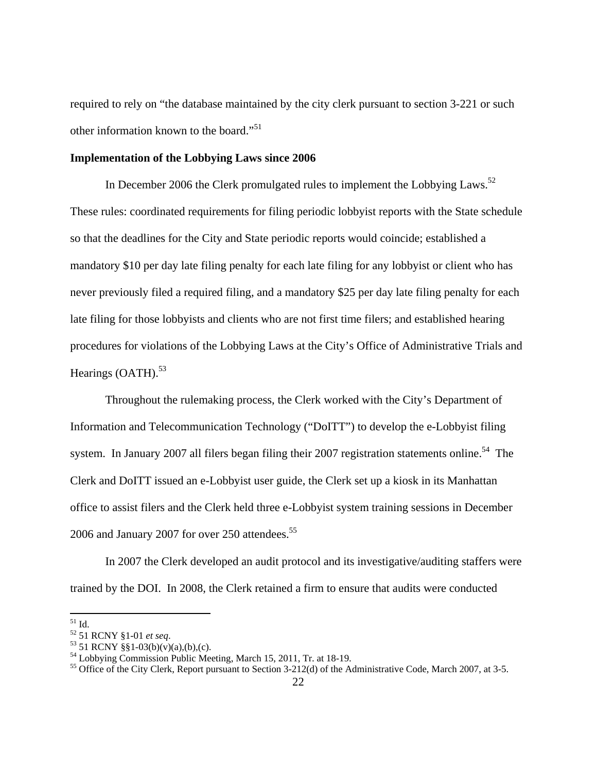required to rely on "the database maintained by the city clerk pursuant to section 3-221 or such other information known to the board."<sup>51</sup>

#### **Implementation of the Lobbying Laws since 2006**

In December 2006 the Clerk promulgated rules to implement the Lobbying Laws.<sup>52</sup> These rules: coordinated requirements for filing periodic lobbyist reports with the State schedule so that the deadlines for the City and State periodic reports would coincide; established a mandatory \$10 per day late filing penalty for each late filing for any lobbyist or client who has never previously filed a required filing, and a mandatory \$25 per day late filing penalty for each late filing for those lobbyists and clients who are not first time filers; and established hearing procedures for violations of the Lobbying Laws at the City's Office of Administrative Trials and Hearings  $(OATH)$ .<sup>53</sup>

 Throughout the rulemaking process, the Clerk worked with the City's Department of Information and Telecommunication Technology ("DoITT") to develop the e-Lobbyist filing system. In January 2007 all filers began filing their 2007 registration statements online.<sup>54</sup> The Clerk and DoITT issued an e-Lobbyist user guide, the Clerk set up a kiosk in its Manhattan office to assist filers and the Clerk held three e-Lobbyist system training sessions in December 2006 and January 2007 for over 250 attendees.<sup>55</sup>

 In 2007 the Clerk developed an audit protocol and its investigative/auditing staffers were trained by the DOI. In 2008, the Clerk retained a firm to ensure that audits were conducted

 $51$  Id.

<sup>52 51</sup> RCNY §1-01 *et seq*. 53 51 RCNY §§1-03(b)(v)(a),(b),(c).

<sup>54</sup> Lobbying Commission Public Meeting, March 15, 2011, Tr. at 18-19.

<sup>&</sup>lt;sup>55</sup> Office of the City Clerk, Report pursuant to Section 3-212(d) of the Administrative Code, March 2007, at 3-5.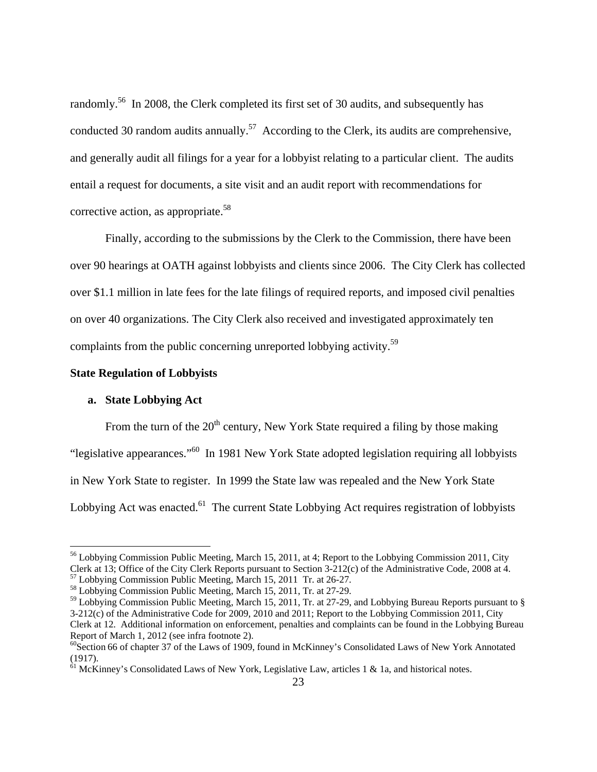randomly.<sup>56</sup> In 2008, the Clerk completed its first set of 30 audits, and subsequently has conducted 30 random audits annually.<sup>57</sup> According to the Clerk, its audits are comprehensive, and generally audit all filings for a year for a lobbyist relating to a particular client. The audits entail a request for documents, a site visit and an audit report with recommendations for corrective action, as appropriate.<sup>58</sup>

 Finally, according to the submissions by the Clerk to the Commission, there have been over 90 hearings at OATH against lobbyists and clients since 2006. The City Clerk has collected over \$1.1 million in late fees for the late filings of required reports*,* and imposed civil penalties on over 40 organizations. The City Clerk also received and investigated approximately ten complaints from the public concerning unreported lobbying activity.<sup>59</sup>

#### **State Regulation of Lobbyists**

#### **a. State Lobbying Act**

 $\overline{a}$ 

From the turn of the  $20<sup>th</sup>$  century, New York State required a filing by those making "legislative appearances."60 In 1981 New York State adopted legislation requiring all lobbyists in New York State to register. In 1999 the State law was repealed and the New York State Lobbying Act was enacted.<sup>61</sup> The current State Lobbying Act requires registration of lobbyists

<sup>&</sup>lt;sup>56</sup> Lobbying Commission Public Meeting, March 15, 2011, at 4; Report to the Lobbying Commission 2011, City Clerk at 13; Office of the City Clerk Reports pursuant to Section 3-212(c) of the Administrative Code, 2008 at 4. 57 Lobbying Commission Public Meeting, March 15, 2011 Tr. at 26-27.

<sup>58</sup> Lobbying Commission Public Meeting, March 15, 2011, Tr. at 27-29.

<sup>59</sup> Lobbying Commission Public Meeting, March 15, 2011, Tr. at 27-29, and Lobbying Bureau Reports pursuant to § 3-212(c) of the Administrative Code for 2009, 2010 and 2011; Report to the Lobbying Commission 2011, City Clerk at 12. Additional information on enforcement, penalties and complaints can be found in the Lobbying Bureau Report of March 1, 2012 (see infra footnote 2).

 $^{60}$ Section 66 of chapter 37 of the Laws of 1909, found in McKinney's Consolidated Laws of New York Annotated (1917).

 $\frac{61}{61}$  McKinney's Consolidated Laws of New York, Legislative Law, articles 1 & 1a, and historical notes.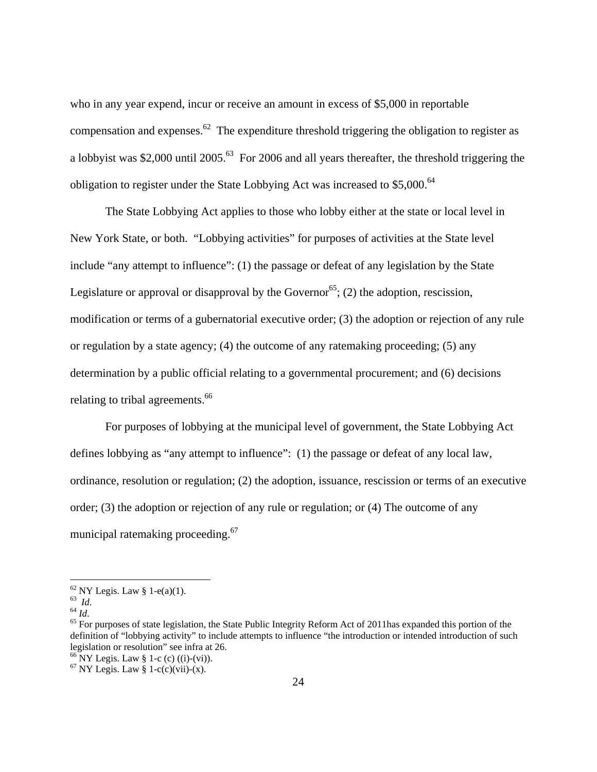who in any year expend, incur or receive an amount in excess of \$5,000 in reportable compensation and expenses.<sup>62</sup> The expenditure threshold triggering the obligation to register as a lobbyist was \$2,000 until 2005.63 For 2006 and all years thereafter, the threshold triggering the obligation to register under the State Lobbying Act was increased to  $$5,000$ .<sup>64</sup>

 The State Lobbying Act applies to those who lobby either at the state or local level in New York State, or both. "Lobbying activities" for purposes of activities at the State level include "any attempt to influence": (1) the passage or defeat of any legislation by the State Legislature or approval or disapproval by the Governor<sup>65</sup>; (2) the adoption, rescission, modification or terms of a gubernatorial executive order; (3) the adoption or rejection of any rule or regulation by a state agency; (4) the outcome of any ratemaking proceeding; (5) any determination by a public official relating to a governmental procurement; and (6) decisions relating to tribal agreements.<sup>66</sup>

 For purposes of lobbying at the municipal level of government, the State Lobbying Act defines lobbying as "any attempt to influence": (1) the passage or defeat of any local law, ordinance, resolution or regulation; (2) the adoption, issuance, rescission or terms of an executive order; (3) the adoption or rejection of any rule or regulation; or (4) The outcome of any municipal ratemaking proceeding.<sup>67</sup>

 $^{62}_{63}$  NY Legis. Law § 1-e(a)(1).<br> $^{63}_{63}$  *Id.* 

<sup>&</sup>lt;sup>64</sup> *Id.*<br><sup>65</sup> For purposes of state legislation, the State Public Integrity Reform Act of 2011has expanded this portion of the definition of "lobbying activity" to include attempts to influence "the introduction or intended introduction of such legislation or resolution" see infra at 26.

 $^{66}$  NY Legis. Law § 1-c (c) ((i)-(vi)).

 $67$  NY Legis. Law § 1-c(c)(vii)-(x).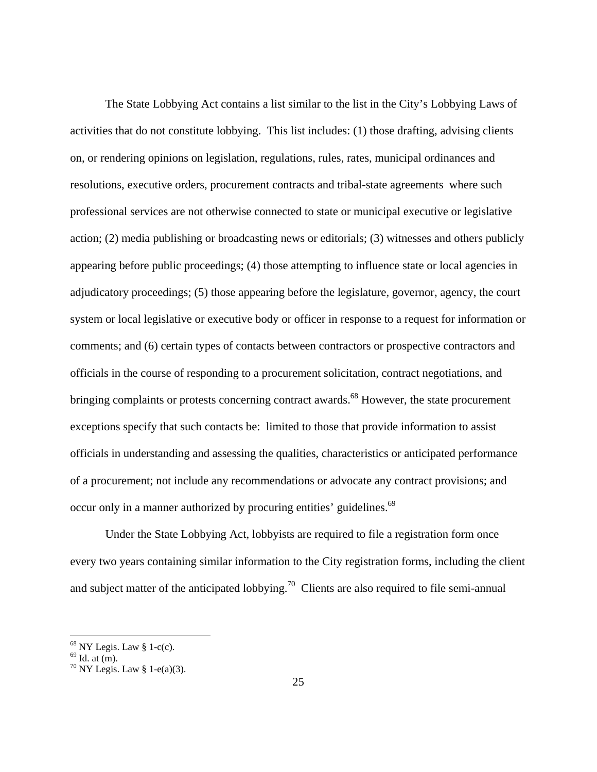The State Lobbying Act contains a list similar to the list in the City's Lobbying Laws of activities that do not constitute lobbying. This list includes: (1) those drafting, advising clients on, or rendering opinions on legislation, regulations, rules, rates, municipal ordinances and resolutions, executive orders, procurement contracts and tribal-state agreements where such professional services are not otherwise connected to state or municipal executive or legislative action; (2) media publishing or broadcasting news or editorials; (3) witnesses and others publicly appearing before public proceedings; (4) those attempting to influence state or local agencies in adjudicatory proceedings; (5) those appearing before the legislature, governor, agency, the court system or local legislative or executive body or officer in response to a request for information or comments; and (6) certain types of contacts between contractors or prospective contractors and officials in the course of responding to a procurement solicitation, contract negotiations, and bringing complaints or protests concerning contract awards.<sup>68</sup> However, the state procurement exceptions specify that such contacts be: limited to those that provide information to assist officials in understanding and assessing the qualities, characteristics or anticipated performance of a procurement; not include any recommendations or advocate any contract provisions; and occur only in a manner authorized by procuring entities' guidelines.<sup>69</sup>

Under the State Lobbying Act, lobbyists are required to file a registration form once every two years containing similar information to the City registration forms, including the client and subject matter of the anticipated lobbying.<sup>70</sup> Clients are also required to file semi-annual

 $68$  NY Legis. Law § 1-c(c).

 $69$  Id. at  $(m)$ .

 $70$  NY Legis. Law § 1-e(a)(3).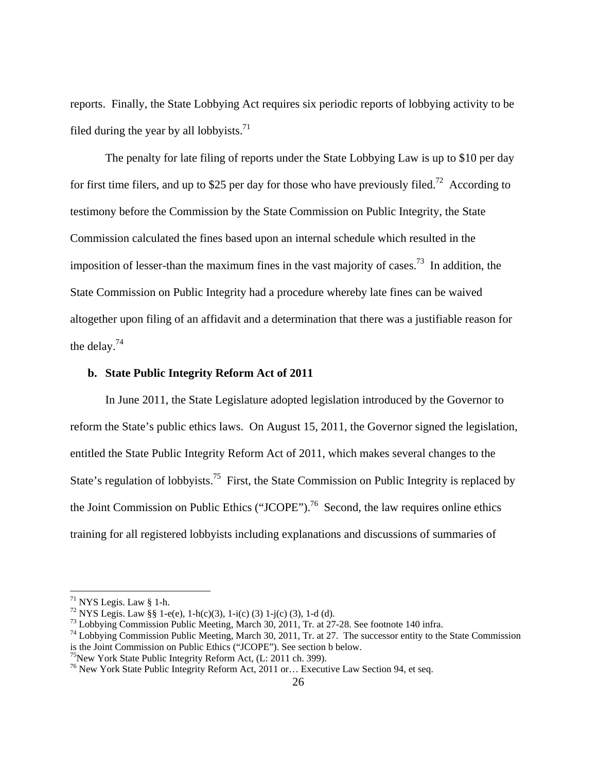reports. Finally, the State Lobbying Act requires six periodic reports of lobbying activity to be filed during the year by all lobbyists.<sup>71</sup>

The penalty for late filing of reports under the State Lobbying Law is up to \$10 per day for first time filers, and up to \$25 per day for those who have previously filed.<sup>72</sup> According to testimony before the Commission by the State Commission on Public Integrity, the State Commission calculated the fines based upon an internal schedule which resulted in the imposition of lesser-than the maximum fines in the vast majority of cases.<sup>73</sup> In addition, the State Commission on Public Integrity had a procedure whereby late fines can be waived altogether upon filing of an affidavit and a determination that there was a justifiable reason for the delay.74

#### **b. State Public Integrity Reform Act of 2011**

In June 2011, the State Legislature adopted legislation introduced by the Governor to reform the State's public ethics laws. On August 15, 2011, the Governor signed the legislation, entitled the State Public Integrity Reform Act of 2011, which makes several changes to the State's regulation of lobbyists.<sup>75</sup> First, the State Commission on Public Integrity is replaced by the Joint Commission on Public Ethics ("JCOPE").<sup>76</sup> Second, the law requires online ethics training for all registered lobbyists including explanations and discussions of summaries of

1

 $71$  NYS Legis. Law § 1-h.

<sup>&</sup>lt;sup>72</sup> NYS Legis. Law §§ 1-e(e), 1-h(c)(3), 1-i(c) (3) 1-j(c) (3), 1-d (d).

<sup>&</sup>lt;sup>73</sup> Lobbying Commission Public Meeting, March 30, 2011, Tr. at 27-28. See footnote 140 infra.

<sup>&</sup>lt;sup>74</sup> Lobbying Commission Public Meeting, March 30, 2011, Tr. at 27. The successor entity to the State Commission is the Joint Commission on Public Ethics ("JCOPE"). See section b below.

<sup>&</sup>lt;sup>75</sup>New York State Public Integrity Reform Act, (L: 2011 ch. 399).

<sup>76</sup> New York State Public Integrity Reform Act, 2011 or… Executive Law Section 94, et seq.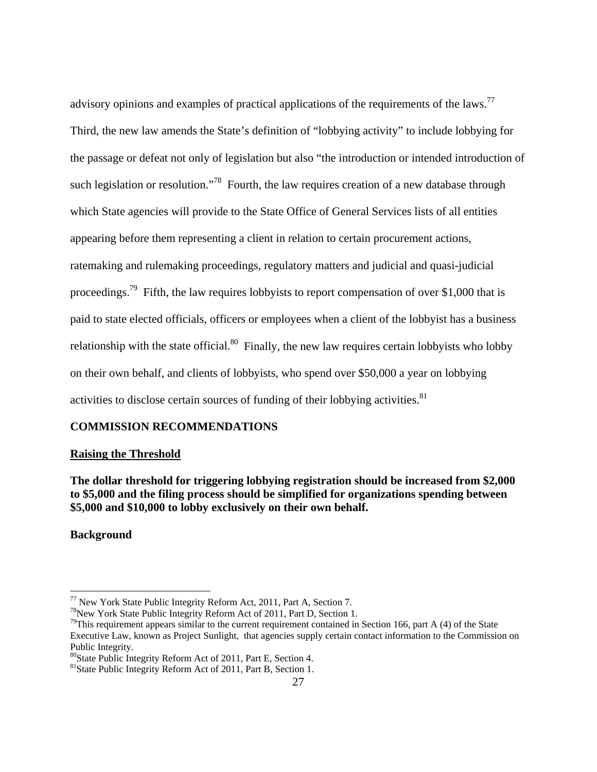advisory opinions and examples of practical applications of the requirements of the laws.<sup>77</sup> Third, the new law amends the State's definition of "lobbying activity" to include lobbying for the passage or defeat not only of legislation but also "the introduction or intended introduction of such legislation or resolution."<sup>78</sup> Fourth, the law requires creation of a new database through which State agencies will provide to the State Office of General Services lists of all entities appearing before them representing a client in relation to certain procurement actions, ratemaking and rulemaking proceedings, regulatory matters and judicial and quasi-judicial proceedings.<sup>79</sup> Fifth, the law requires lobbyists to report compensation of over \$1,000 that is paid to state elected officials, officers or employees when a client of the lobbyist has a business relationship with the state official. $80$  Finally, the new law requires certain lobbyists who lobby on their own behalf, and clients of lobbyists, who spend over \$50,000 a year on lobbying activities to disclose certain sources of funding of their lobbying activities. $81$ 

## **COMMISSION RECOMMENDATIONS**

## **Raising the Threshold**

## **The dollar threshold for triggering lobbying registration should be increased from \$2,000 to \$5,000 and the filing process should be simplified for organizations spending between \$5,000 and \$10,000 to lobby exclusively on their own behalf.**

**Background** 

 $77$  New York State Public Integrity Reform Act, 2011, Part A, Section 7.

<sup>&</sup>lt;sup>78</sup> New York State Public Integrity Reform Act of 2011, Part D, Section 1.

<sup>&</sup>lt;sup>79</sup>This requirement appears similar to the current requirement contained in Section 166, part A (4) of the State Executive Law, known as Project Sunlight, that agencies supply certain contact information to the Commission on Public Integrity.

<sup>80</sup>State Public Integrity Reform Act of 2011, Part E, Section 4.

<sup>81</sup>State Public Integrity Reform Act of 2011, Part B, Section 1.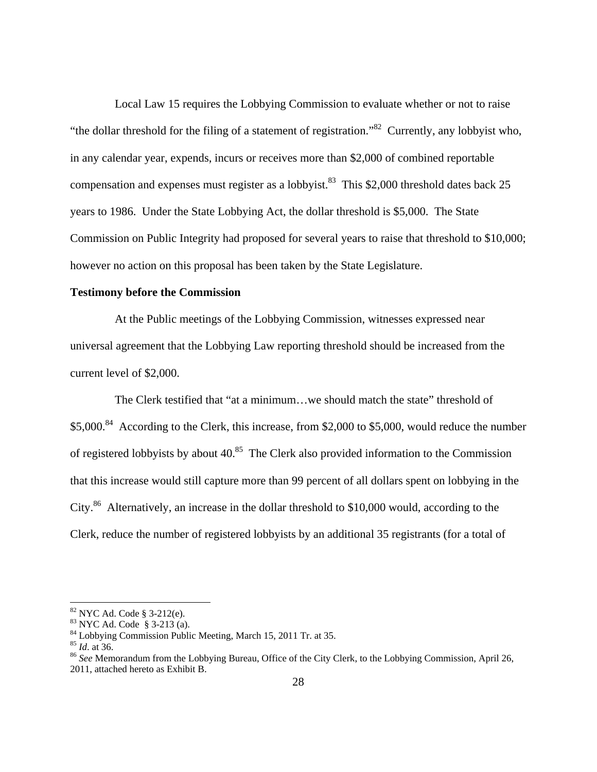Local Law 15 requires the Lobbying Commission to evaluate whether or not to raise "the dollar threshold for the filing of a statement of registration."82 Currently, any lobbyist who, in any calendar year, expends, incurs or receives more than \$2,000 of combined reportable compensation and expenses must register as a lobbyist.<sup>83</sup> This \$2,000 threshold dates back 25 years to 1986. Under the State Lobbying Act, the dollar threshold is \$5,000. The State Commission on Public Integrity had proposed for several years to raise that threshold to \$10,000; however no action on this proposal has been taken by the State Legislature.

#### **Testimony before the Commission**

 At the Public meetings of the Lobbying Commission, witnesses expressed near universal agreement that the Lobbying Law reporting threshold should be increased from the current level of \$2,000.

 The Clerk testified that "at a minimum…we should match the state" threshold of \$5,000.<sup>84</sup> According to the Clerk, this increase, from \$2,000 to \$5,000, would reduce the number of registered lobbyists by about  $40^{85}$ . The Clerk also provided information to the Commission that this increase would still capture more than 99 percent of all dollars spent on lobbying in the City.<sup>86</sup> Alternatively, an increase in the dollar threshold to \$10,000 would, according to the Clerk, reduce the number of registered lobbyists by an additional 35 registrants (for a total of

1

<sup>82</sup> NYC Ad. Code § 3-212(e).

<sup>83</sup> NYC Ad. Code § 3-213 (a).

<sup>&</sup>lt;sup>84</sup> Lobbying Commission Public Meeting, March 15, 2011 Tr. at 35.<br><sup>85</sup> *Id.* at 36.

<sup>&</sup>lt;sup>86</sup> See Memorandum from the Lobbying Bureau, Office of the City Clerk, to the Lobbying Commission, April 26, 2011, attached hereto as Exhibit B.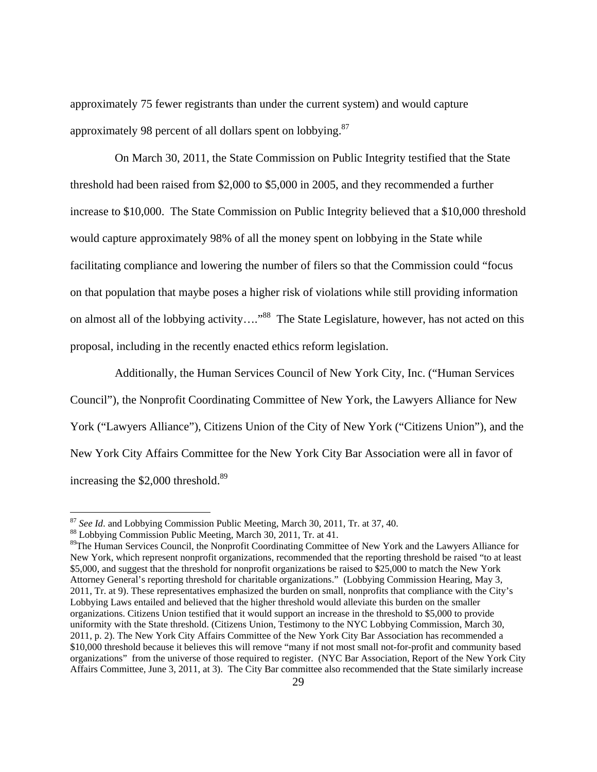approximately 75 fewer registrants than under the current system) and would capture approximately 98 percent of all dollars spent on lobbying.<sup>87</sup>

 On March 30, 2011, the State Commission on Public Integrity testified that the State threshold had been raised from \$2,000 to \$5,000 in 2005, and they recommended a further increase to \$10,000. The State Commission on Public Integrity believed that a \$10,000 threshold would capture approximately 98% of all the money spent on lobbying in the State while facilitating compliance and lowering the number of filers so that the Commission could "focus on that population that maybe poses a higher risk of violations while still providing information on almost all of the lobbying activity...."<sup>88</sup> The State Legislature, however, has not acted on this proposal, including in the recently enacted ethics reform legislation.

 Additionally, the Human Services Council of New York City, Inc. ("Human Services Council"), the Nonprofit Coordinating Committee of New York, the Lawyers Alliance for New York ("Lawyers Alliance"), Citizens Union of the City of New York ("Citizens Union"), and the New York City Affairs Committee for the New York City Bar Association were all in favor of increasing the \$2,000 threshold.<sup>89</sup>

<sup>&</sup>lt;sup>87</sup> *See Id.* and Lobbying Commission Public Meeting, March 30, 2011, Tr. at 37, 40. <sup>88</sup> Lobbying Commission Public Meeting, March 30, 2011, Tr. at 41.

<sup>&</sup>lt;sup>89</sup>The Human Services Council, the Nonprofit Coordinating Committee of New York and the Lawyers Alliance for New York, which represent nonprofit organizations, recommended that the reporting threshold be raised "to at least \$5,000, and suggest that the threshold for nonprofit organizations be raised to \$25,000 to match the New York Attorney General's reporting threshold for charitable organizations." (Lobbying Commission Hearing, May 3, 2011, Tr. at 9). These representatives emphasized the burden on small, nonprofits that compliance with the City's Lobbying Laws entailed and believed that the higher threshold would alleviate this burden on the smaller organizations. Citizens Union testified that it would support an increase in the threshold to \$5,000 to provide uniformity with the State threshold. (Citizens Union, Testimony to the NYC Lobbying Commission, March 30, 2011, p. 2). The New York City Affairs Committee of the New York City Bar Association has recommended a \$10,000 threshold because it believes this will remove "many if not most small not-for-profit and community based organizations" from the universe of those required to register. (NYC Bar Association, Report of the New York City Affairs Committee, June 3, 2011, at 3). The City Bar committee also recommended that the State similarly increase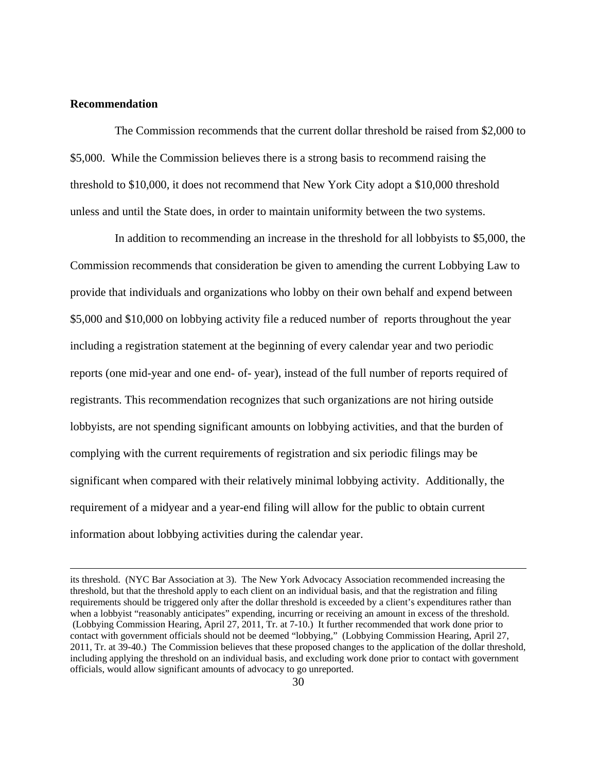#### **Recommendation**

 The Commission recommends that the current dollar threshold be raised from \$2,000 to \$5,000. While the Commission believes there is a strong basis to recommend raising the threshold to \$10,000, it does not recommend that New York City adopt a \$10,000 threshold unless and until the State does, in order to maintain uniformity between the two systems.

 In addition to recommending an increase in the threshold for all lobbyists to \$5,000, the Commission recommends that consideration be given to amending the current Lobbying Law to provide that individuals and organizations who lobby on their own behalf and expend between \$5,000 and \$10,000 on lobbying activity file a reduced number of reports throughout the year including a registration statement at the beginning of every calendar year and two periodic reports (one mid-year and one end- of- year), instead of the full number of reports required of registrants. This recommendation recognizes that such organizations are not hiring outside lobbyists, are not spending significant amounts on lobbying activities, and that the burden of complying with the current requirements of registration and six periodic filings may be significant when compared with their relatively minimal lobbying activity. Additionally, the requirement of a midyear and a year-end filing will allow for the public to obtain current information about lobbying activities during the calendar year.

its threshold. (NYC Bar Association at 3). The New York Advocacy Association recommended increasing the threshold, but that the threshold apply to each client on an individual basis, and that the registration and filing requirements should be triggered only after the dollar threshold is exceeded by a client's expenditures rather than when a lobbyist "reasonably anticipates" expending, incurring or receiving an amount in excess of the threshold. (Lobbying Commission Hearing, April 27, 2011, Tr. at 7-10.) It further recommended that work done prior to contact with government officials should not be deemed "lobbying," (Lobbying Commission Hearing, April 27, 2011, Tr. at 39-40.) The Commission believes that these proposed changes to the application of the dollar threshold, including applying the threshold on an individual basis, and excluding work done prior to contact with government officials, would allow significant amounts of advocacy to go unreported.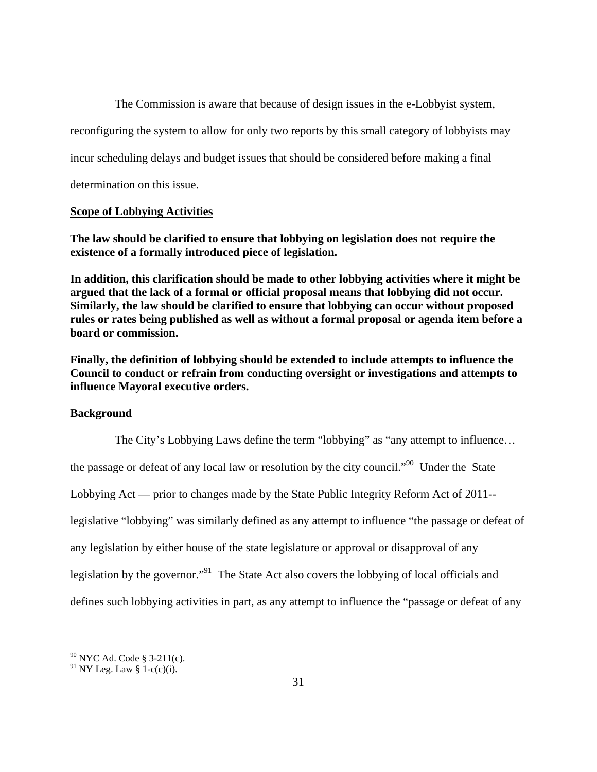The Commission is aware that because of design issues in the e-Lobbyist system, reconfiguring the system to allow for only two reports by this small category of lobbyists may incur scheduling delays and budget issues that should be considered before making a final determination on this issue.

## **Scope of Lobbying Activities**

**The law should be clarified to ensure that lobbying on legislation does not require the existence of a formally introduced piece of legislation.** 

**In addition, this clarification should be made to other lobbying activities where it might be argued that the lack of a formal or official proposal means that lobbying did not occur. Similarly, the law should be clarified to ensure that lobbying can occur without proposed rules or rates being published as well as without a formal proposal or agenda item before a board or commission.** 

**Finally, the definition of lobbying should be extended to include attempts to influence the Council to conduct or refrain from conducting oversight or investigations and attempts to influence Mayoral executive orders.** 

## **Background**

The City's Lobbying Laws define the term "lobbying" as "any attempt to influence…

the passage or defeat of any local law or resolution by the city council."<sup>90</sup> Under the State

Lobbying Act — prior to changes made by the State Public Integrity Reform Act of 2011--

legislative "lobbying" was similarly defined as any attempt to influence "the passage or defeat of

any legislation by either house of the state legislature or approval or disapproval of any

legislation by the governor."91 The State Act also covers the lobbying of local officials and

defines such lobbying activities in part, as any attempt to influence the "passage or defeat of any

 $^{90}$  NYC Ad. Code § 3-211(c).

<sup>&</sup>lt;sup>91</sup> NY Leg. Law  $\S$  1-c(c)(i).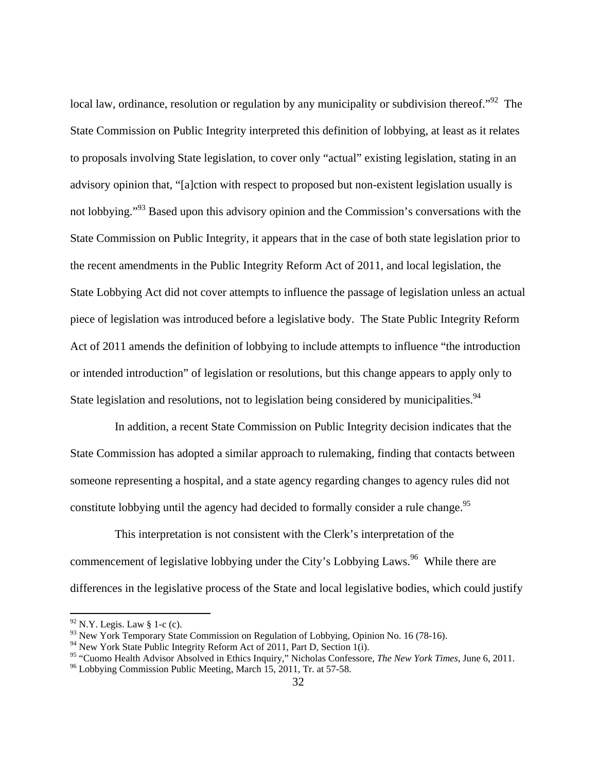local law, ordinance, resolution or regulation by any municipality or subdivision thereof."<sup>92</sup> The State Commission on Public Integrity interpreted this definition of lobbying, at least as it relates to proposals involving State legislation, to cover only "actual" existing legislation, stating in an advisory opinion that, "[a]ction with respect to proposed but non-existent legislation usually is not lobbying."93 Based upon this advisory opinion and the Commission's conversations with the State Commission on Public Integrity, it appears that in the case of both state legislation prior to the recent amendments in the Public Integrity Reform Act of 2011, and local legislation, the State Lobbying Act did not cover attempts to influence the passage of legislation unless an actual piece of legislation was introduced before a legislative body. The State Public Integrity Reform Act of 2011 amends the definition of lobbying to include attempts to influence "the introduction or intended introduction" of legislation or resolutions, but this change appears to apply only to State legislation and resolutions, not to legislation being considered by municipalities.<sup>94</sup>

 In addition, a recent State Commission on Public Integrity decision indicates that the State Commission has adopted a similar approach to rulemaking, finding that contacts between someone representing a hospital, and a state agency regarding changes to agency rules did not constitute lobbying until the agency had decided to formally consider a rule change.<sup>95</sup>

 This interpretation is not consistent with the Clerk's interpretation of the commencement of legislative lobbying under the City's Lobbying Laws.<sup>96</sup> While there are differences in the legislative process of the State and local legislative bodies, which could justify

 $92$  N.Y. Legis. Law § 1-c (c).

<sup>93</sup> New York Temporary State Commission on Regulation of Lobbying, Opinion No. 16 (78-16).

<sup>&</sup>lt;sup>94</sup> New York State Public Integrity Reform Act of 2011, Part D, Section 1(i).

<sup>&</sup>lt;sup>95</sup> "Cuomo Health Advisor Absolved in Ethics Inquiry," Nicholas Confessore, *The New York Times*, June 6, 2011.<br><sup>96</sup> Lobbying Commission Public Meeting, March 15, 2011, Tr. at 57-58.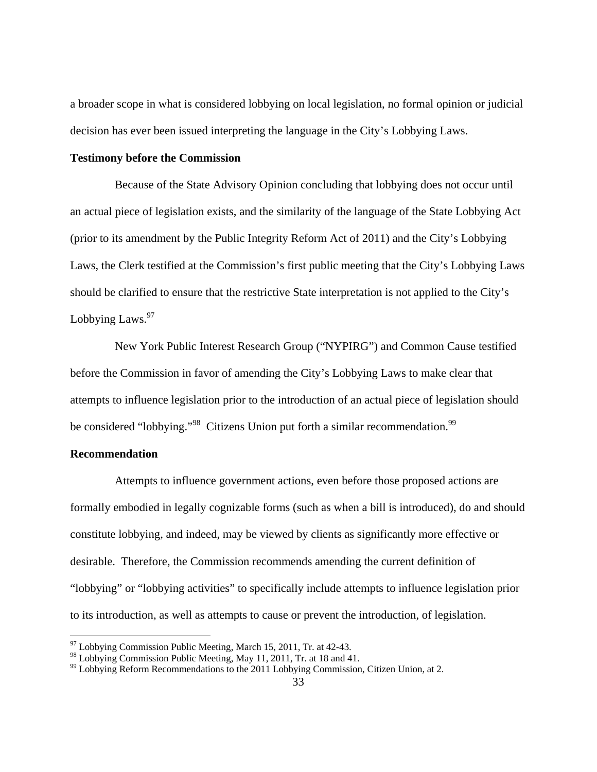a broader scope in what is considered lobbying on local legislation, no formal opinion or judicial decision has ever been issued interpreting the language in the City's Lobbying Laws.

#### **Testimony before the Commission**

 Because of the State Advisory Opinion concluding that lobbying does not occur until an actual piece of legislation exists, and the similarity of the language of the State Lobbying Act (prior to its amendment by the Public Integrity Reform Act of 2011) and the City's Lobbying Laws, the Clerk testified at the Commission's first public meeting that the City's Lobbying Laws should be clarified to ensure that the restrictive State interpretation is not applied to the City's Lobbying Laws. $97$ 

 New York Public Interest Research Group ("NYPIRG") and Common Cause testified before the Commission in favor of amending the City's Lobbying Laws to make clear that attempts to influence legislation prior to the introduction of an actual piece of legislation should be considered "lobbying."<sup>98</sup> Citizens Union put forth a similar recommendation.<sup>99</sup>

## **Recommendation**

1

 Attempts to influence government actions, even before those proposed actions are formally embodied in legally cognizable forms (such as when a bill is introduced), do and should constitute lobbying, and indeed, may be viewed by clients as significantly more effective or desirable. Therefore, the Commission recommends amending the current definition of "lobbying" or "lobbying activities" to specifically include attempts to influence legislation prior to its introduction, as well as attempts to cause or prevent the introduction, of legislation.

 $97$  Lobbying Commission Public Meeting, March 15, 2011, Tr. at 42-43.

<sup>&</sup>lt;sup>98</sup> Lobbying Commission Public Meeting, May 11, 2011, Tr. at 18 and 41.

<sup>&</sup>lt;sup>99</sup> Lobbying Reform Recommendations to the 2011 Lobbying Commission, Citizen Union, at 2.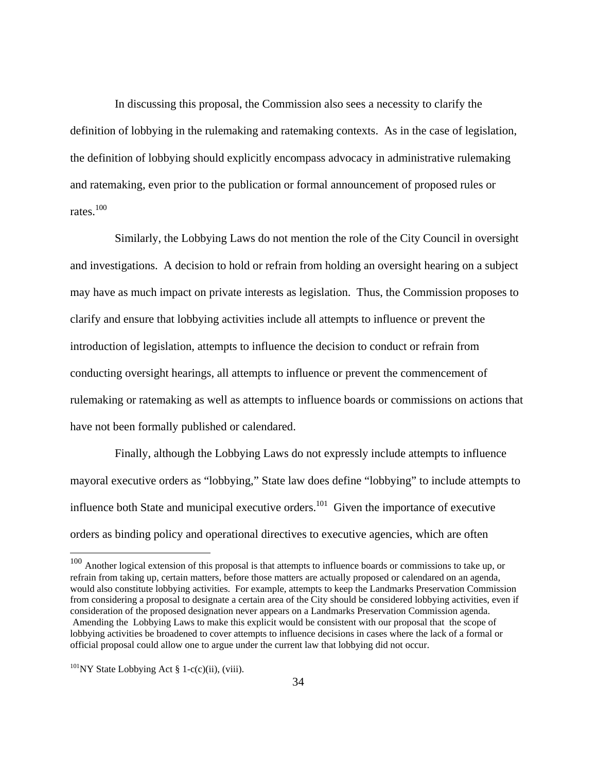In discussing this proposal, the Commission also sees a necessity to clarify the definition of lobbying in the rulemaking and ratemaking contexts. As in the case of legislation, the definition of lobbying should explicitly encompass advocacy in administrative rulemaking and ratemaking, even prior to the publication or formal announcement of proposed rules or rates.100

 Similarly, the Lobbying Laws do not mention the role of the City Council in oversight and investigations. A decision to hold or refrain from holding an oversight hearing on a subject may have as much impact on private interests as legislation. Thus, the Commission proposes to clarify and ensure that lobbying activities include all attempts to influence or prevent the introduction of legislation, attempts to influence the decision to conduct or refrain from conducting oversight hearings, all attempts to influence or prevent the commencement of rulemaking or ratemaking as well as attempts to influence boards or commissions on actions that have not been formally published or calendared.

 Finally, although the Lobbying Laws do not expressly include attempts to influence mayoral executive orders as "lobbying," State law does define "lobbying" to include attempts to influence both State and municipal executive orders.<sup>101</sup> Given the importance of executive orders as binding policy and operational directives to executive agencies, which are often

 $100$  Another logical extension of this proposal is that attempts to influence boards or commissions to take up, or refrain from taking up, certain matters, before those matters are actually proposed or calendared on an agenda, would also constitute lobbying activities. For example, attempts to keep the Landmarks Preservation Commission from considering a proposal to designate a certain area of the City should be considered lobbying activities, even if consideration of the proposed designation never appears on a Landmarks Preservation Commission agenda. Amending the Lobbying Laws to make this explicit would be consistent with our proposal that the scope of lobbying activities be broadened to cover attempts to influence decisions in cases where the lack of a formal or official proposal could allow one to argue under the current law that lobbying did not occur.

 $101$ <sub>NY</sub> State Lobbying Act § 1-c(c)(ii), (viii).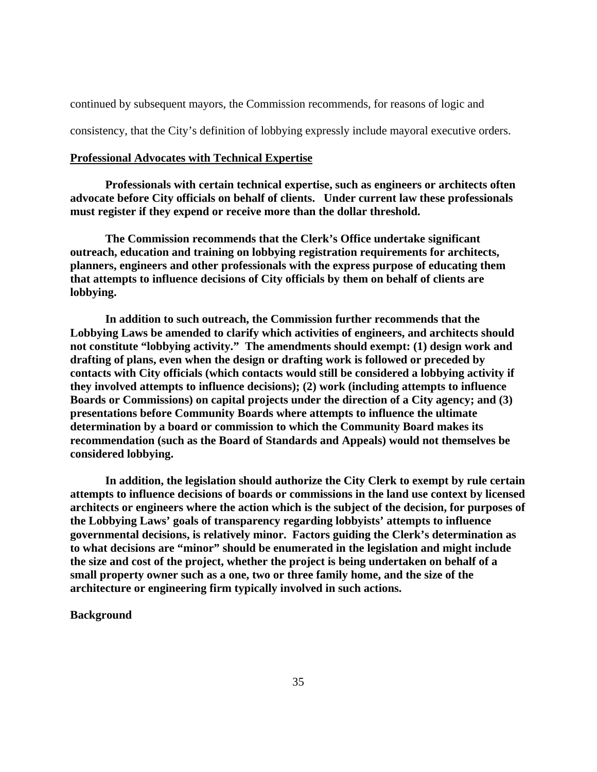continued by subsequent mayors, the Commission recommends, for reasons of logic and

consistency, that the City's definition of lobbying expressly include mayoral executive orders.

#### **Professional Advocates with Technical Expertise**

**Professionals with certain technical expertise, such as engineers or architects often advocate before City officials on behalf of clients. Under current law these professionals must register if they expend or receive more than the dollar threshold.** 

 **The Commission recommends that the Clerk's Office undertake significant outreach, education and training on lobbying registration requirements for architects, planners, engineers and other professionals with the express purpose of educating them that attempts to influence decisions of City officials by them on behalf of clients are lobbying.** 

 **In addition to such outreach, the Commission further recommends that the Lobbying Laws be amended to clarify which activities of engineers, and architects should not constitute "lobbying activity." The amendments should exempt: (1) design work and drafting of plans, even when the design or drafting work is followed or preceded by contacts with City officials (which contacts would still be considered a lobbying activity if they involved attempts to influence decisions); (2) work (including attempts to influence Boards or Commissions) on capital projects under the direction of a City agency; and (3) presentations before Community Boards where attempts to influence the ultimate determination by a board or commission to which the Community Board makes its recommendation (such as the Board of Standards and Appeals) would not themselves be considered lobbying.** 

**In addition, the legislation should authorize the City Clerk to exempt by rule certain attempts to influence decisions of boards or commissions in the land use context by licensed architects or engineers where the action which is the subject of the decision, for purposes of the Lobbying Laws' goals of transparency regarding lobbyists' attempts to influence governmental decisions, is relatively minor. Factors guiding the Clerk's determination as to what decisions are "minor" should be enumerated in the legislation and might include the size and cost of the project, whether the project is being undertaken on behalf of a small property owner such as a one, two or three family home, and the size of the architecture or engineering firm typically involved in such actions.** 

#### **Background**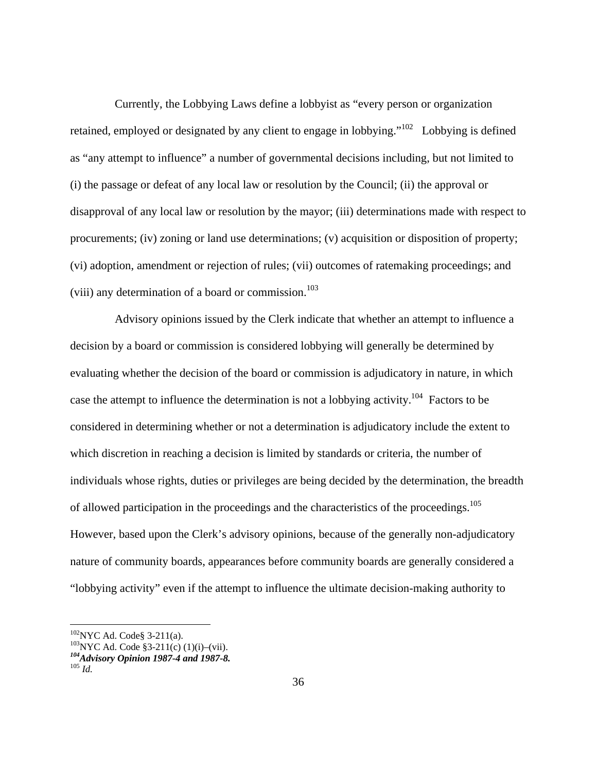Currently, the Lobbying Laws define a lobbyist as "every person or organization retained, employed or designated by any client to engage in lobbying."<sup>102</sup> Lobbying is defined as "any attempt to influence" a number of governmental decisions including, but not limited to (i) the passage or defeat of any local law or resolution by the Council; (ii) the approval or disapproval of any local law or resolution by the mayor; (iii) determinations made with respect to procurements; (iv) zoning or land use determinations; (v) acquisition or disposition of property; (vi) adoption, amendment or rejection of rules; (vii) outcomes of ratemaking proceedings; and (viii) any determination of a board or commission.<sup>103</sup>

 Advisory opinions issued by the Clerk indicate that whether an attempt to influence a decision by a board or commission is considered lobbying will generally be determined by evaluating whether the decision of the board or commission is adjudicatory in nature, in which case the attempt to influence the determination is not a lobbying activity.<sup>104</sup> Factors to be considered in determining whether or not a determination is adjudicatory include the extent to which discretion in reaching a decision is limited by standards or criteria, the number of individuals whose rights, duties or privileges are being decided by the determination, the breadth of allowed participation in the proceedings and the characteristics of the proceedings.105 However, based upon the Clerk's advisory opinions, because of the generally non-adjudicatory nature of community boards, appearances before community boards are generally considered a "lobbying activity" even if the attempt to influence the ultimate decision-making authority to

<sup>&</sup>lt;sup>102</sup>NYC Ad. Code§ 3-211(a).<br><sup>103</sup>NYC Ad. Code §3-211(c) (1)(i)–(vii).

*<sup>104</sup>Advisory Opinion 1987-4 and 1987-8.* <sup>105</sup> *Id.*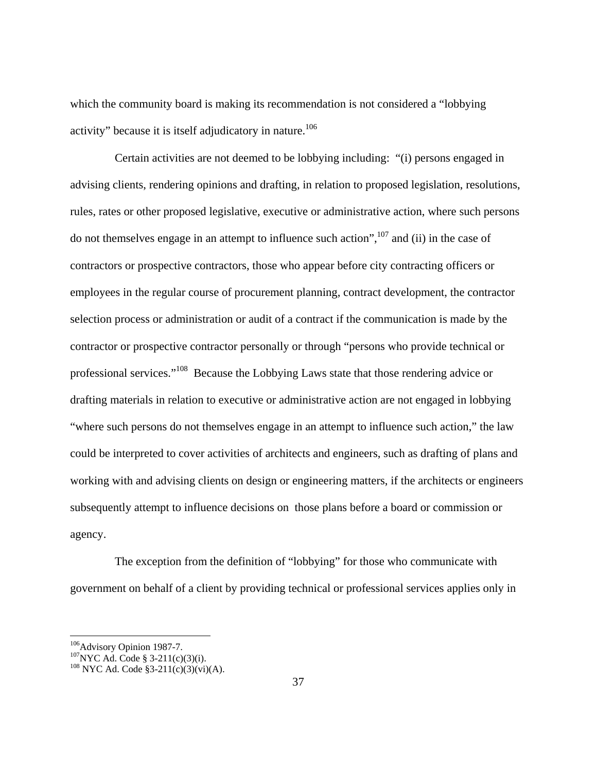which the community board is making its recommendation is not considered a "lobbying activity" because it is itself adjudicatory in nature.<sup>106</sup>

 Certain activities are not deemed to be lobbying including: "(i) persons engaged in advising clients, rendering opinions and drafting, in relation to proposed legislation, resolutions, rules, rates or other proposed legislative, executive or administrative action, where such persons do not themselves engage in an attempt to influence such action", $107$  and (ii) in the case of contractors or prospective contractors, those who appear before city contracting officers or employees in the regular course of procurement planning, contract development, the contractor selection process or administration or audit of a contract if the communication is made by the contractor or prospective contractor personally or through "persons who provide technical or professional services."108 Because the Lobbying Laws state that those rendering advice or drafting materials in relation to executive or administrative action are not engaged in lobbying "where such persons do not themselves engage in an attempt to influence such action," the law could be interpreted to cover activities of architects and engineers, such as drafting of plans and working with and advising clients on design or engineering matters, if the architects or engineers subsequently attempt to influence decisions on those plans before a board or commission or agency.

 The exception from the definition of "lobbying" for those who communicate with government on behalf of a client by providing technical or professional services applies only in

<sup>&</sup>lt;sup>106</sup>Advisory Opinion 1987-7.<br><sup>107</sup>NYC Ad. Code § 3-211(c)(3)(i).<br><sup>108</sup> NYC Ad. Code §3-211(c)(3)(vi)(A).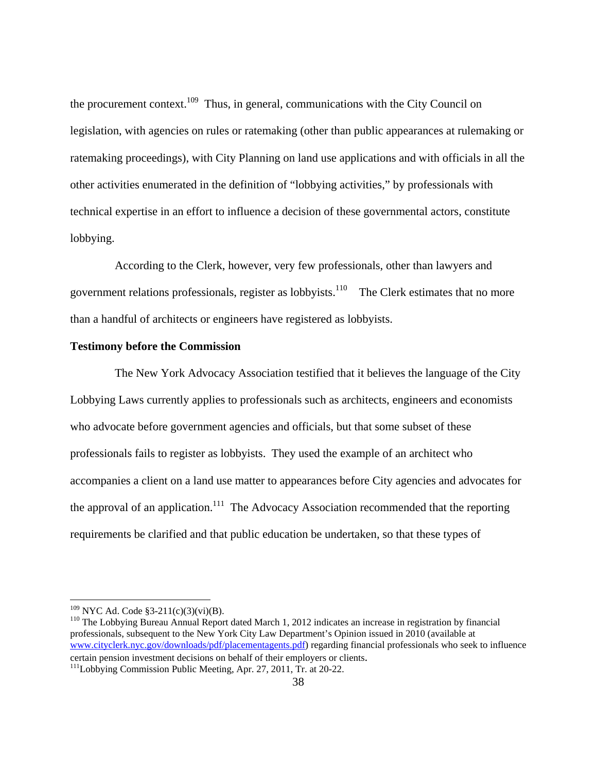the procurement context.<sup>109</sup> Thus, in general, communications with the City Council on legislation, with agencies on rules or ratemaking (other than public appearances at rulemaking or ratemaking proceedings), with City Planning on land use applications and with officials in all the other activities enumerated in the definition of "lobbying activities," by professionals with technical expertise in an effort to influence a decision of these governmental actors, constitute lobbying.

 According to the Clerk, however, very few professionals, other than lawyers and government relations professionals, register as lobbyists.<sup>110</sup> The Clerk estimates that no more than a handful of architects or engineers have registered as lobbyists.

#### **Testimony before the Commission**

 The New York Advocacy Association testified that it believes the language of the City Lobbying Laws currently applies to professionals such as architects, engineers and economists who advocate before government agencies and officials, but that some subset of these professionals fails to register as lobbyists. They used the example of an architect who accompanies a client on a land use matter to appearances before City agencies and advocates for the approval of an application.<sup>111</sup> The Advocacy Association recommended that the reporting requirements be clarified and that public education be undertaken, so that these types of

<sup>&</sup>lt;sup>109</sup> NYC Ad. Code §3-211(c)(3)(vi)(B).<br><sup>110</sup> The Lobbying Bureau Annual Report dated March 1, 2012 indicates an increase in registration by financial professionals, subsequent to the New York City Law Department's Opinion issued in 2010 (available at www.cityclerk.nyc.gov/downloads/pdf/placementagents.pdf) regarding financial professionals who seek to influence certain pension investment decisions on behalf of their employers or clients. 111Lobbying Commission Public Meeting, Apr. 27, 2011, Tr. at 20-22.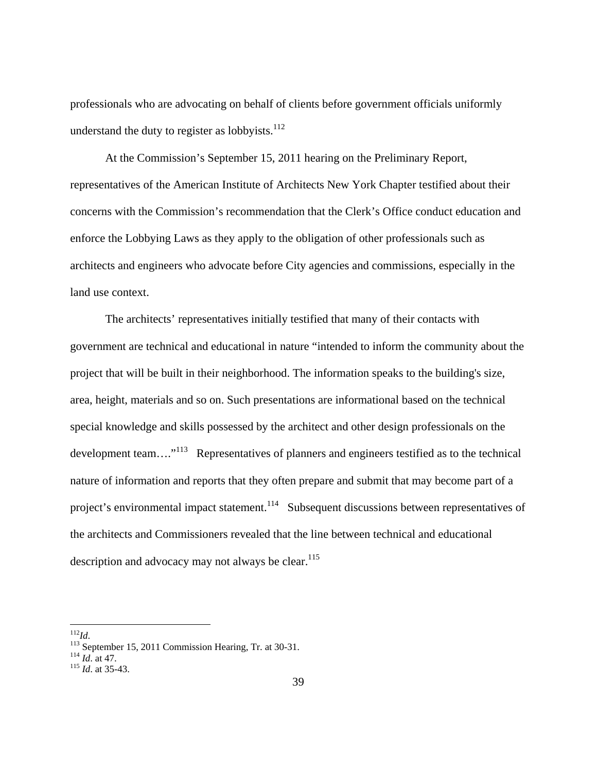professionals who are advocating on behalf of clients before government officials uniformly understand the duty to register as lobbyists. $112$ 

At the Commission's September 15, 2011 hearing on the Preliminary Report, representatives of the American Institute of Architects New York Chapter testified about their concerns with the Commission's recommendation that the Clerk's Office conduct education and enforce the Lobbying Laws as they apply to the obligation of other professionals such as architects and engineers who advocate before City agencies and commissions, especially in the land use context.

The architects' representatives initially testified that many of their contacts with government are technical and educational in nature "intended to inform the community about the project that will be built in their neighborhood. The information speaks to the building's size, area, height, materials and so on. Such presentations are informational based on the technical special knowledge and skills possessed by the architect and other design professionals on the development team…."113 Representatives of planners and engineers testified as to the technical nature of information and reports that they often prepare and submit that may become part of a project's environmental impact statement.<sup>114</sup> Subsequent discussions between representatives of the architects and Commissioners revealed that the line between technical and educational description and advocacy may not always be clear. $115$ 

 $^{112}Id.$ 

<sup>112</sup>*Id*. 113 September 15, 2011 Commission Hearing, Tr. at 30-31. 114 *Id*. at 47. 115 *Id*. at 35-43.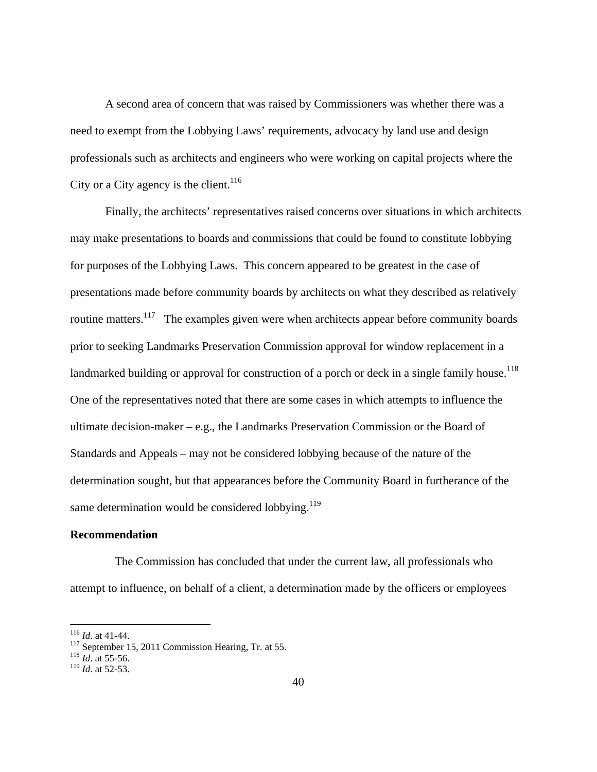A second area of concern that was raised by Commissioners was whether there was a need to exempt from the Lobbying Laws' requirements, advocacy by land use and design professionals such as architects and engineers who were working on capital projects where the City or a City agency is the client.<sup>116</sup>

Finally, the architects' representatives raised concerns over situations in which architects may make presentations to boards and commissions that could be found to constitute lobbying for purposes of the Lobbying Laws. This concern appeared to be greatest in the case of presentations made before community boards by architects on what they described as relatively routine matters.<sup>117</sup> The examples given were when architects appear before community boards prior to seeking Landmarks Preservation Commission approval for window replacement in a landmarked building or approval for construction of a porch or deck in a single family house.<sup>118</sup> One of the representatives noted that there are some cases in which attempts to influence the ultimate decision-maker – e.g., the Landmarks Preservation Commission or the Board of Standards and Appeals – may not be considered lobbying because of the nature of the determination sought, but that appearances before the Community Board in furtherance of the same determination would be considered lobbying. $119$ 

#### **Recommendation**

 The Commission has concluded that under the current law, all professionals who attempt to influence, on behalf of a client, a determination made by the officers or employees

 $116$  *Id.* at 41-44.

<sup>&</sup>lt;sup>117</sup> September 15, 2011 Commission Hearing, Tr. at 55.<br><sup>118</sup> *Id.* at 55-56.

<sup>119</sup> *Id*. at 52-53.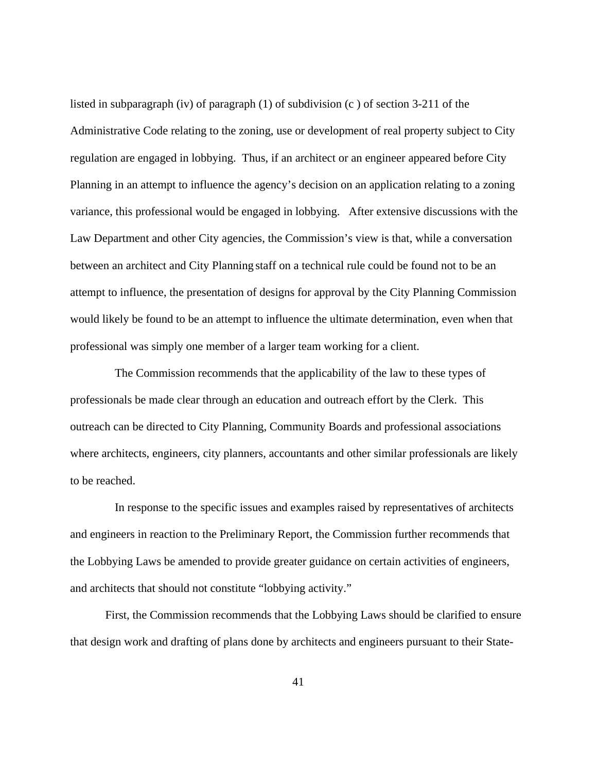listed in subparagraph (iv) of paragraph (1) of subdivision (c ) of section 3-211 of the Administrative Code relating to the zoning, use or development of real property subject to City regulation are engaged in lobbying. Thus, if an architect or an engineer appeared before City Planning in an attempt to influence the agency's decision on an application relating to a zoning variance, this professional would be engaged in lobbying. After extensive discussions with the Law Department and other City agencies, the Commission's view is that, while a conversation between an architect and City Planning staff on a technical rule could be found not to be an attempt to influence, the presentation of designs for approval by the City Planning Commission would likely be found to be an attempt to influence the ultimate determination, even when that professional was simply one member of a larger team working for a client.

 The Commission recommends that the applicability of the law to these types of professionals be made clear through an education and outreach effort by the Clerk. This outreach can be directed to City Planning, Community Boards and professional associations where architects, engineers, city planners, accountants and other similar professionals are likely to be reached.

 In response to the specific issues and examples raised by representatives of architects and engineers in reaction to the Preliminary Report, the Commission further recommends that the Lobbying Laws be amended to provide greater guidance on certain activities of engineers, and architects that should not constitute "lobbying activity."

First, the Commission recommends that the Lobbying Laws should be clarified to ensure that design work and drafting of plans done by architects and engineers pursuant to their State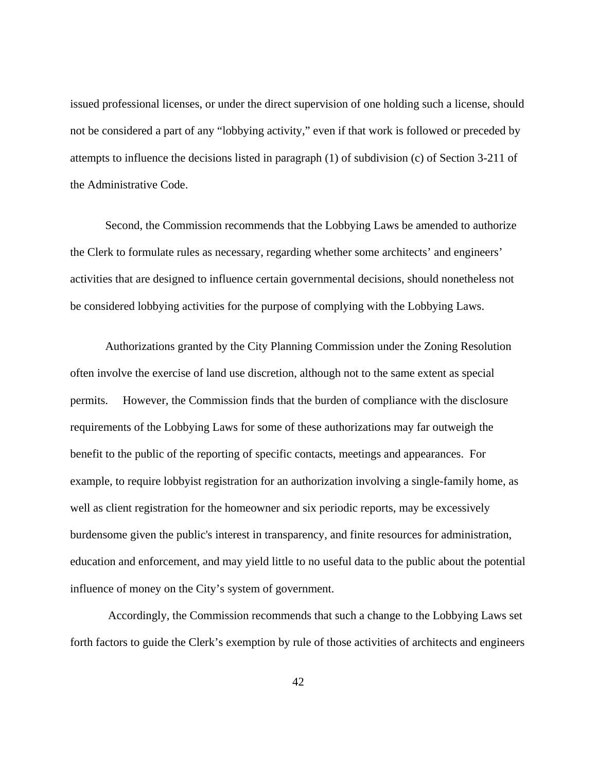issued professional licenses, or under the direct supervision of one holding such a license, should not be considered a part of any "lobbying activity," even if that work is followed or preceded by attempts to influence the decisions listed in paragraph (1) of subdivision (c) of Section 3-211 of the Administrative Code.

Second, the Commission recommends that the Lobbying Laws be amended to authorize the Clerk to formulate rules as necessary, regarding whether some architects' and engineers' activities that are designed to influence certain governmental decisions, should nonetheless not be considered lobbying activities for the purpose of complying with the Lobbying Laws.

Authorizations granted by the City Planning Commission under the Zoning Resolution often involve the exercise of land use discretion, although not to the same extent as special permits. However, the Commission finds that the burden of compliance with the disclosure requirements of the Lobbying Laws for some of these authorizations may far outweigh the benefit to the public of the reporting of specific contacts, meetings and appearances. For example, to require lobbyist registration for an authorization involving a single-family home, as well as client registration for the homeowner and six periodic reports, may be excessively burdensome given the public's interest in transparency, and finite resources for administration, education and enforcement, and may yield little to no useful data to the public about the potential influence of money on the City's system of government.

 Accordingly, the Commission recommends that such a change to the Lobbying Laws set forth factors to guide the Clerk's exemption by rule of those activities of architects and engineers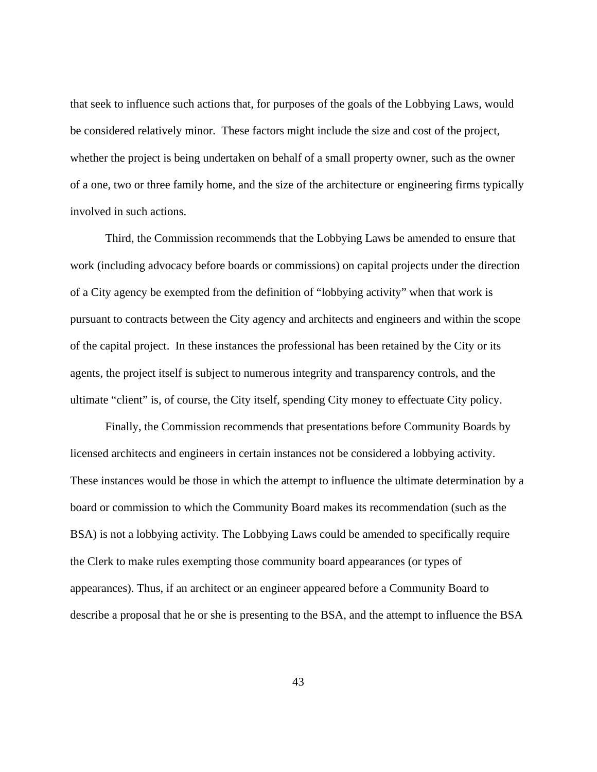that seek to influence such actions that, for purposes of the goals of the Lobbying Laws, would be considered relatively minor. These factors might include the size and cost of the project, whether the project is being undertaken on behalf of a small property owner, such as the owner of a one, two or three family home, and the size of the architecture or engineering firms typically involved in such actions.

Third, the Commission recommends that the Lobbying Laws be amended to ensure that work (including advocacy before boards or commissions) on capital projects under the direction of a City agency be exempted from the definition of "lobbying activity" when that work is pursuant to contracts between the City agency and architects and engineers and within the scope of the capital project. In these instances the professional has been retained by the City or its agents, the project itself is subject to numerous integrity and transparency controls, and the ultimate "client" is, of course, the City itself, spending City money to effectuate City policy.

Finally, the Commission recommends that presentations before Community Boards by licensed architects and engineers in certain instances not be considered a lobbying activity. These instances would be those in which the attempt to influence the ultimate determination by a board or commission to which the Community Board makes its recommendation (such as the BSA) is not a lobbying activity. The Lobbying Laws could be amended to specifically require the Clerk to make rules exempting those community board appearances (or types of appearances). Thus, if an architect or an engineer appeared before a Community Board to describe a proposal that he or she is presenting to the BSA, and the attempt to influence the BSA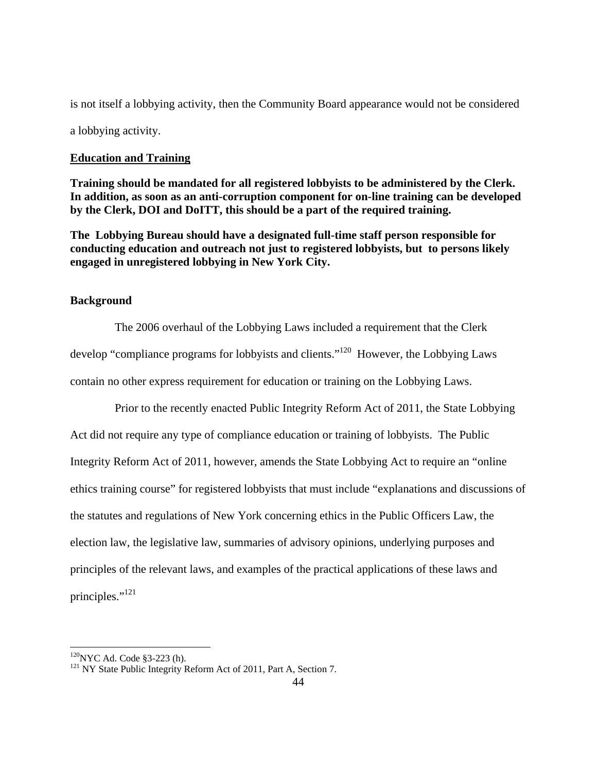is not itself a lobbying activity, then the Community Board appearance would not be considered a lobbying activity.

## **Education and Training**

**Training should be mandated for all registered lobbyists to be administered by the Clerk. In addition, as soon as an anti-corruption component for on-line training can be developed by the Clerk, DOI and DoITT, this should be a part of the required training.** 

**The Lobbying Bureau should have a designated full-time staff person responsible for conducting education and outreach not just to registered lobbyists, but to persons likely engaged in unregistered lobbying in New York City.** 

## **Background**

 The 2006 overhaul of the Lobbying Laws included a requirement that the Clerk develop "compliance programs for lobbyists and clients."120 However, the Lobbying Laws contain no other express requirement for education or training on the Lobbying Laws.

 Prior to the recently enacted Public Integrity Reform Act of 2011, the State Lobbying Act did not require any type of compliance education or training of lobbyists. The Public Integrity Reform Act of 2011, however, amends the State Lobbying Act to require an "online ethics training course" for registered lobbyists that must include "explanations and discussions of the statutes and regulations of New York concerning ethics in the Public Officers Law, the election law, the legislative law, summaries of advisory opinions, underlying purposes and principles of the relevant laws, and examples of the practical applications of these laws and principles."<sup>121</sup>

<sup>&</sup>lt;sup>120</sup>NYC Ad. Code §3-223 (h). <sup>121</sup> NY State Public Integrity Reform Act of 2011, Part A, Section 7.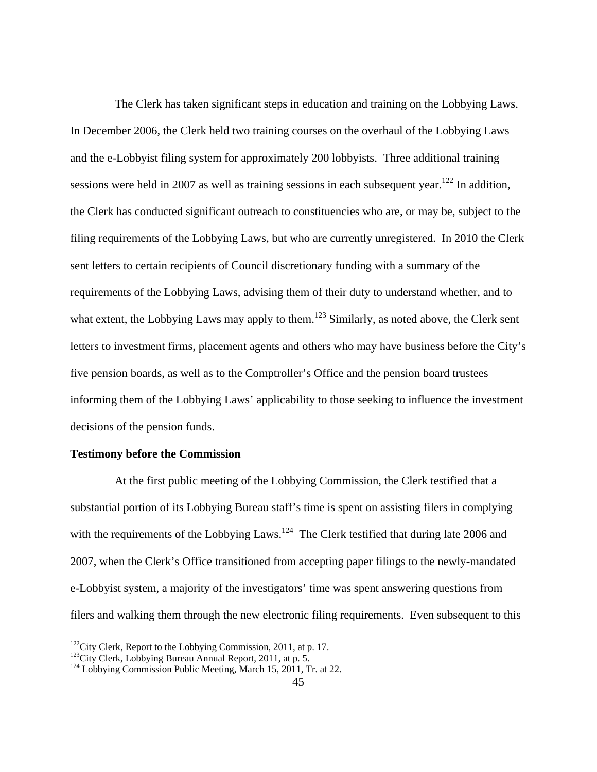The Clerk has taken significant steps in education and training on the Lobbying Laws. In December 2006, the Clerk held two training courses on the overhaul of the Lobbying Laws and the e-Lobbyist filing system for approximately 200 lobbyists. Three additional training sessions were held in 2007 as well as training sessions in each subsequent year.<sup>122</sup> In addition, the Clerk has conducted significant outreach to constituencies who are, or may be, subject to the filing requirements of the Lobbying Laws, but who are currently unregistered. In 2010 the Clerk sent letters to certain recipients of Council discretionary funding with a summary of the requirements of the Lobbying Laws, advising them of their duty to understand whether, and to what extent, the Lobbying Laws may apply to them.<sup>123</sup> Similarly, as noted above, the Clerk sent letters to investment firms, placement agents and others who may have business before the City's five pension boards, as well as to the Comptroller's Office and the pension board trustees informing them of the Lobbying Laws' applicability to those seeking to influence the investment decisions of the pension funds.

### **Testimony before the Commission**

 At the first public meeting of the Lobbying Commission, the Clerk testified that a substantial portion of its Lobbying Bureau staff's time is spent on assisting filers in complying with the requirements of the Lobbying Laws.<sup>124</sup> The Clerk testified that during late 2006 and 2007, when the Clerk's Office transitioned from accepting paper filings to the newly-mandated e-Lobbyist system, a majority of the investigators' time was spent answering questions from filers and walking them through the new electronic filing requirements. Even subsequent to this

 $122$ City Clerk, Report to the Lobbying Commission, 2011, at p. 17.

<sup>&</sup>lt;sup>123</sup>City Clerk, Lobbying Bureau Annual Report, 2011, at p. 5.<br><sup>124</sup> Lobbying Commission Public Meeting, March 15, 2011, Tr. at 22.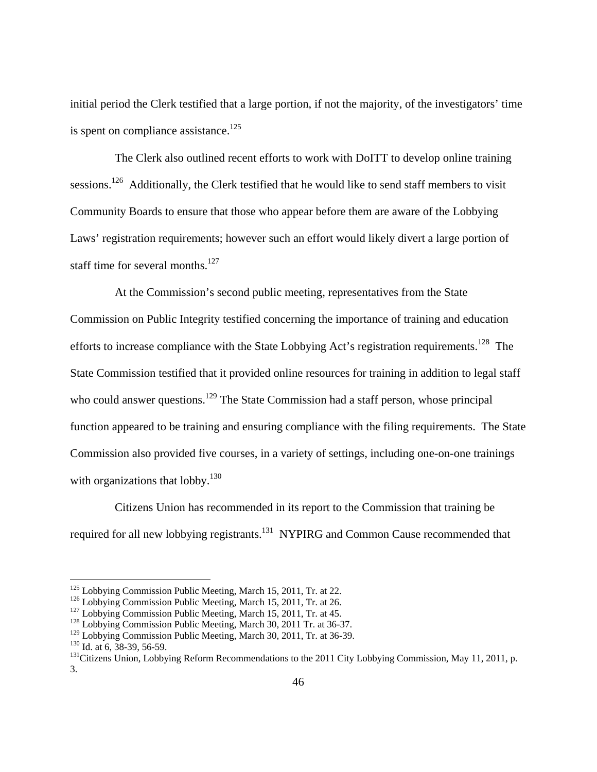initial period the Clerk testified that a large portion, if not the majority, of the investigators' time is spent on compliance assistance.<sup>125</sup>

 The Clerk also outlined recent efforts to work with DoITT to develop online training sessions.<sup>126</sup> Additionally, the Clerk testified that he would like to send staff members to visit Community Boards to ensure that those who appear before them are aware of the Lobbying Laws' registration requirements; however such an effort would likely divert a large portion of staff time for several months. $^{127}$ 

 At the Commission's second public meeting, representatives from the State Commission on Public Integrity testified concerning the importance of training and education efforts to increase compliance with the State Lobbying Act's registration requirements.<sup>128</sup> The State Commission testified that it provided online resources for training in addition to legal staff who could answer questions.<sup>129</sup> The State Commission had a staff person, whose principal function appeared to be training and ensuring compliance with the filing requirements. The State Commission also provided five courses, in a variety of settings, including one-on-one trainings with organizations that lobby. $130$ 

 Citizens Union has recommended in its report to the Commission that training be required for all new lobbying registrants.<sup>131</sup> NYPIRG and Common Cause recommended that

 $125$  Lobbying Commission Public Meeting, March 15, 2011, Tr. at 22.

<sup>&</sup>lt;sup>126</sup> Lobbying Commission Public Meeting, March 15, 2011, Tr. at 26.<br><sup>127</sup> Lobbying Commission Public Meeting, March 15, 2011, Tr. at 45.<br><sup>128</sup> Lobbying Commission Public Meeting, March 30, 2011 Tr. at 36-37.<br><sup>129</sup> Lobbyi

<sup>&</sup>lt;sup>130</sup> Id. at 6, 38-39, 56-59.<br><sup>131</sup> Citizens Union, Lobbying Reform Recommendations to the 2011 City Lobbying Commission, May 11, 2011, p. 3.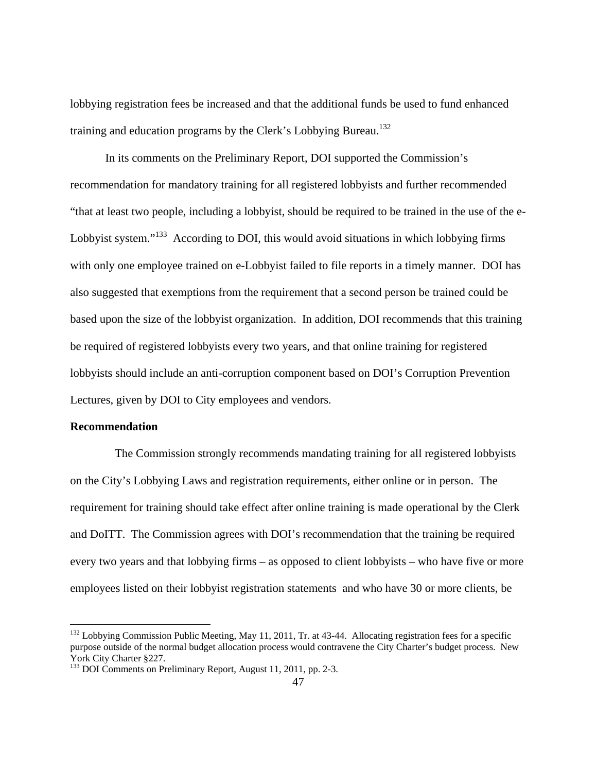lobbying registration fees be increased and that the additional funds be used to fund enhanced training and education programs by the Clerk's Lobbying Bureau.<sup>132</sup>

 In its comments on the Preliminary Report, DOI supported the Commission's recommendation for mandatory training for all registered lobbyists and further recommended "that at least two people, including a lobbyist, should be required to be trained in the use of the e-Lobbyist system."<sup>133</sup> According to DOI, this would avoid situations in which lobbying firms with only one employee trained on e-Lobbyist failed to file reports in a timely manner. DOI has also suggested that exemptions from the requirement that a second person be trained could be based upon the size of the lobbyist organization. In addition, DOI recommends that this training be required of registered lobbyists every two years, and that online training for registered lobbyists should include an anti-corruption component based on DOI's Corruption Prevention Lectures, given by DOI to City employees and vendors.

### **Recommendation**

 $\overline{a}$ 

 The Commission strongly recommends mandating training for all registered lobbyists on the City's Lobbying Laws and registration requirements, either online or in person. The requirement for training should take effect after online training is made operational by the Clerk and DoITT. The Commission agrees with DOI's recommendation that the training be required every two years and that lobbying firms – as opposed to client lobbyists – who have five or more employees listed on their lobbyist registration statements and who have 30 or more clients, be

<sup>&</sup>lt;sup>132</sup> Lobbying Commission Public Meeting, May 11, 2011, Tr. at 43-44. Allocating registration fees for a specific purpose outside of the normal budget allocation process would contravene the City Charter's budget process. New York City Charter §227.

<sup>&</sup>lt;sup>133</sup> DOI Comments on Preliminary Report, August 11, 2011, pp. 2-3.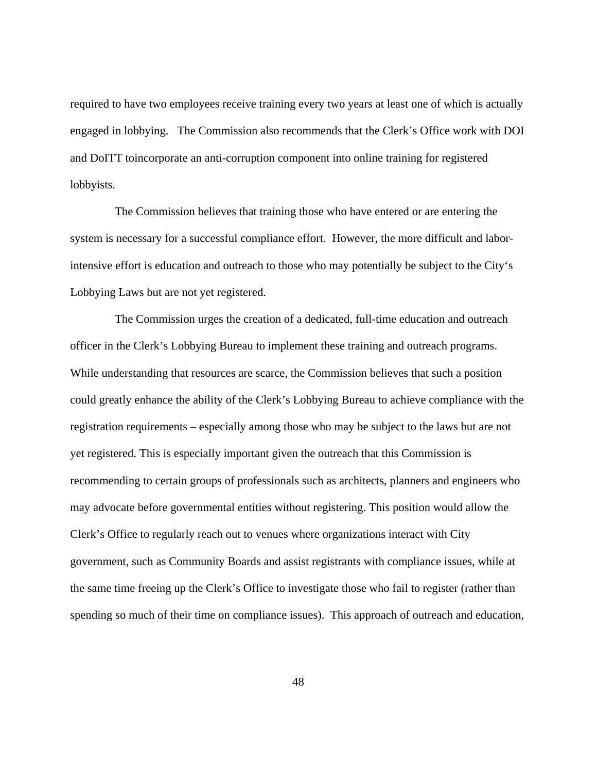required to have two employees receive training every two years at least one of which is actually engaged in lobbying. The Commission also recommends that the Clerk's Office work with DOI and DoITT toincorporate an anti-corruption component into online training for registered lobbyists.

 The Commission believes that training those who have entered or are entering the system is necessary for a successful compliance effort. However, the more difficult and laborintensive effort is education and outreach to those who may potentially be subject to the City's Lobbying Laws but are not yet registered.

 The Commission urges the creation of a dedicated, full-time education and outreach officer in the Clerk's Lobbying Bureau to implement these training and outreach programs. While understanding that resources are scarce, the Commission believes that such a position could greatly enhance the ability of the Clerk's Lobbying Bureau to achieve compliance with the registration requirements – especially among those who may be subject to the laws but are not yet registered. This is especially important given the outreach that this Commission is recommending to certain groups of professionals such as architects, planners and engineers who may advocate before governmental entities without registering. This position would allow the Clerk's Office to regularly reach out to venues where organizations interact with City government, such as Community Boards and assist registrants with compliance issues, while at the same time freeing up the Clerk's Office to investigate those who fail to register (rather than spending so much of their time on compliance issues). This approach of outreach and education,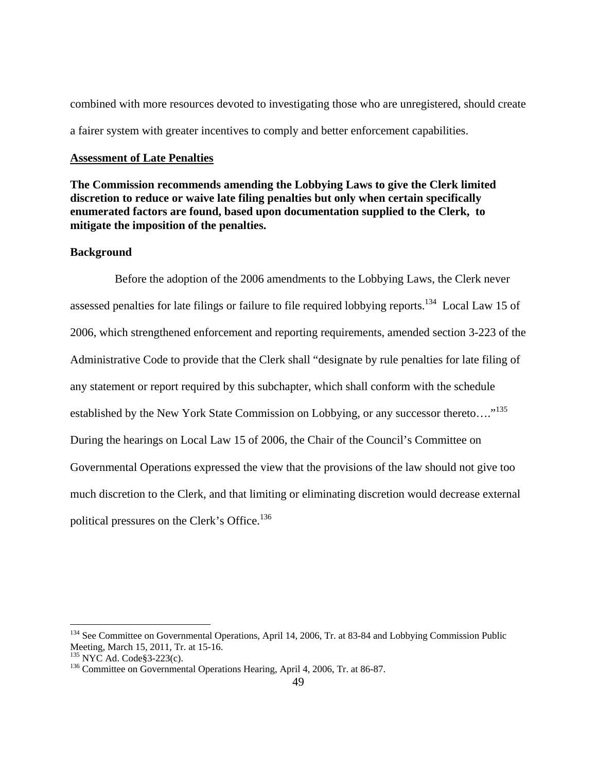combined with more resources devoted to investigating those who are unregistered, should create a fairer system with greater incentives to comply and better enforcement capabilities.

#### **Assessment of Late Penalties**

**The Commission recommends amending the Lobbying Laws to give the Clerk limited discretion to reduce or waive late filing penalties but only when certain specifically enumerated factors are found, based upon documentation supplied to the Clerk, to mitigate the imposition of the penalties.** 

## **Background**

 Before the adoption of the 2006 amendments to the Lobbying Laws, the Clerk never assessed penalties for late filings or failure to file required lobbying reports.<sup>134</sup> Local Law 15 of 2006, which strengthened enforcement and reporting requirements, amended section 3-223 of the Administrative Code to provide that the Clerk shall "designate by rule penalties for late filing of any statement or report required by this subchapter, which shall conform with the schedule established by the New York State Commission on Lobbying, or any successor thereto...."<sup>135</sup> During the hearings on Local Law 15 of 2006, the Chair of the Council's Committee on Governmental Operations expressed the view that the provisions of the law should not give too much discretion to the Clerk, and that limiting or eliminating discretion would decrease external political pressures on the Clerk's Office.<sup>136</sup>

<sup>&</sup>lt;sup>134</sup> See Committee on Governmental Operations, April 14, 2006, Tr. at 83-84 and Lobbying Commission Public Meeting, March 15, 2011, Tr. at 15-16.<br><sup>135</sup> NYC Ad. Code§3-223(c).

 $136$  Committee on Governmental Operations Hearing, April 4, 2006, Tr. at 86-87.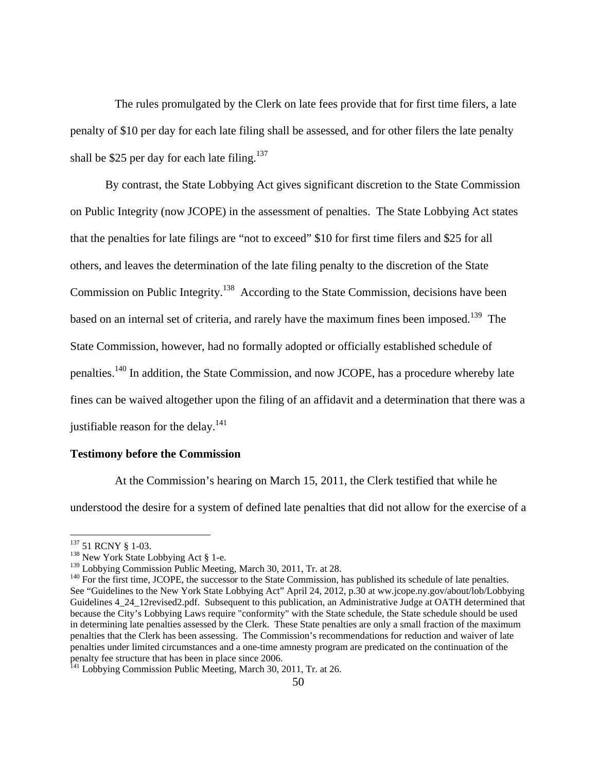The rules promulgated by the Clerk on late fees provide that for first time filers, a late penalty of \$10 per day for each late filing shall be assessed, and for other filers the late penalty shall be \$25 per day for each late filing.<sup>137</sup>

By contrast, the State Lobbying Act gives significant discretion to the State Commission on Public Integrity (now JCOPE) in the assessment of penalties. The State Lobbying Act states that the penalties for late filings are "not to exceed" \$10 for first time filers and \$25 for all others, and leaves the determination of the late filing penalty to the discretion of the State Commission on Public Integrity.<sup>138</sup> According to the State Commission, decisions have been based on an internal set of criteria, and rarely have the maximum fines been imposed.<sup>139</sup> The State Commission, however, had no formally adopted or officially established schedule of penalties.140 In addition, the State Commission, and now JCOPE, has a procedure whereby late fines can be waived altogether upon the filing of an affidavit and a determination that there was a justifiable reason for the delay. $^{141}$ 

### **Testimony before the Commission**

 At the Commission's hearing on March 15, 2011, the Clerk testified that while he understood the desire for a system of defined late penalties that did not allow for the exercise of a

<sup>&</sup>lt;sup>137</sup> 51 RCNY § 1-03.

<sup>&</sup>lt;sup>138</sup> New York State Lobbying Act § 1-e.<br><sup>139</sup> Lobbying Commission Public Meeting, March 30, 2011, Tr. at 28.

 $140$  For the first time, JCOPE, the successor to the State Commission, has published its schedule of late penalties. See "Guidelines to the New York State Lobbying Act" April 24, 2012, p.30 at ww.jcope.ny.gov/about/lob/Lobbying Guidelines 4\_24\_12revised2.pdf. Subsequent to this publication, an Administrative Judge at OATH determined that because the City's Lobbying Laws require "conformity" with the State schedule, the State schedule should be used in determining late penalties assessed by the Clerk. These State penalties are only a small fraction of the maximum penalties that the Clerk has been assessing. The Commission's recommendations for reduction and waiver of late penalties under limited circumstances and a one-time amnesty program are predicated on the continuation of the penalty fee structure that has been in place since 2006.<br><sup>141</sup> Lobbying Commission Public Meeting, March 30, 2011, Tr. at 26.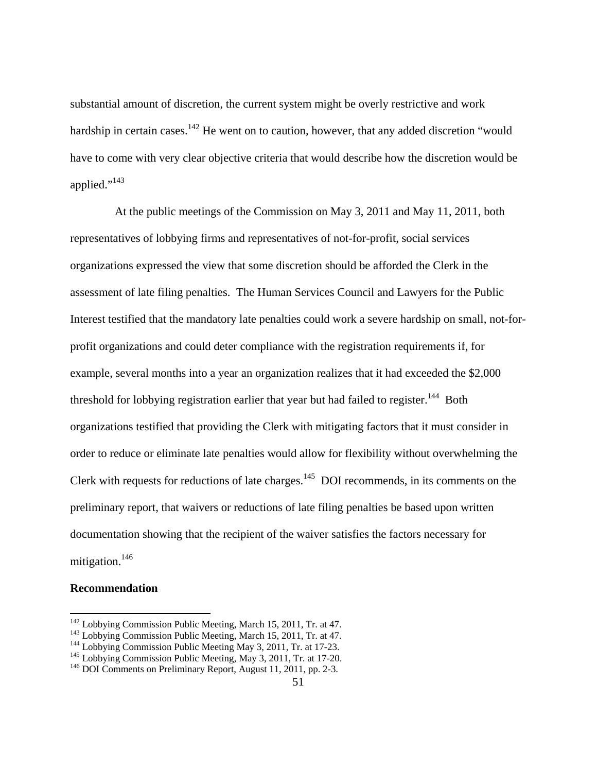substantial amount of discretion, the current system might be overly restrictive and work hardship in certain cases.<sup>142</sup> He went on to caution, however, that any added discretion "would have to come with very clear objective criteria that would describe how the discretion would be applied."<sup>143</sup>

At the public meetings of the Commission on May 3, 2011 and May 11, 2011, both representatives of lobbying firms and representatives of not-for-profit, social services organizations expressed the view that some discretion should be afforded the Clerk in the assessment of late filing penalties. The Human Services Council and Lawyers for the Public Interest testified that the mandatory late penalties could work a severe hardship on small, not-forprofit organizations and could deter compliance with the registration requirements if, for example, several months into a year an organization realizes that it had exceeded the \$2,000 threshold for lobbying registration earlier that year but had failed to register.<sup>144</sup> Both organizations testified that providing the Clerk with mitigating factors that it must consider in order to reduce or eliminate late penalties would allow for flexibility without overwhelming the Clerk with requests for reductions of late charges.<sup>145</sup> DOI recommends, in its comments on the preliminary report, that waivers or reductions of late filing penalties be based upon written documentation showing that the recipient of the waiver satisfies the factors necessary for mitigation. $146$ 

#### **Recommendation**

<sup>&</sup>lt;sup>142</sup> Lobbying Commission Public Meeting, March 15, 2011, Tr. at 47.<br><sup>143</sup> Lobbying Commission Public Meeting, March 15, 2011, Tr. at 47.<br><sup>144</sup> Lobbying Commission Public Meeting May 3, 2011, Tr. at 17-23.<br><sup>145</sup> Lobbying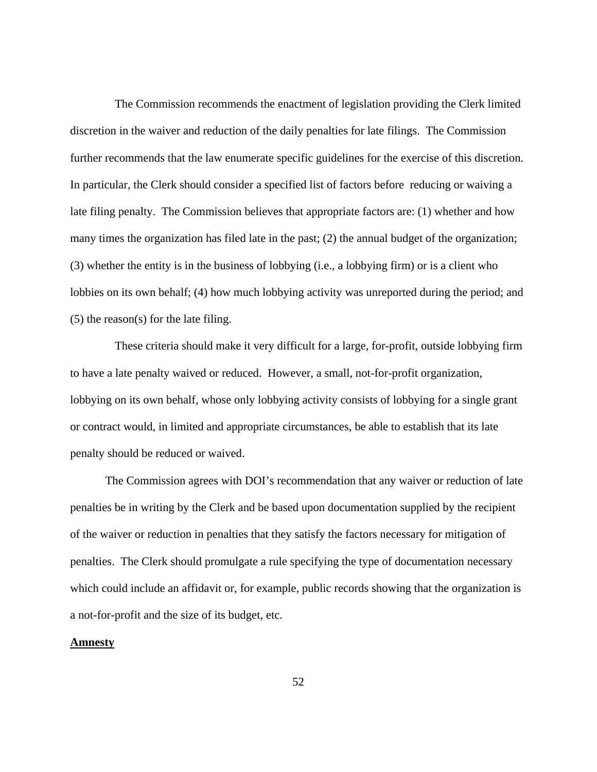The Commission recommends the enactment of legislation providing the Clerk limited discretion in the waiver and reduction of the daily penalties for late filings. The Commission further recommends that the law enumerate specific guidelines for the exercise of this discretion. In particular, the Clerk should consider a specified list of factors before reducing or waiving a late filing penalty. The Commission believes that appropriate factors are: (1) whether and how many times the organization has filed late in the past; (2) the annual budget of the organization; (3) whether the entity is in the business of lobbying (i.e., a lobbying firm) or is a client who lobbies on its own behalf; (4) how much lobbying activity was unreported during the period; and (5) the reason(s) for the late filing.

 These criteria should make it very difficult for a large, for-profit, outside lobbying firm to have a late penalty waived or reduced. However, a small, not-for-profit organization, lobbying on its own behalf, whose only lobbying activity consists of lobbying for a single grant or contract would, in limited and appropriate circumstances, be able to establish that its late penalty should be reduced or waived.

The Commission agrees with DOI's recommendation that any waiver or reduction of late penalties be in writing by the Clerk and be based upon documentation supplied by the recipient of the waiver or reduction in penalties that they satisfy the factors necessary for mitigation of penalties. The Clerk should promulgate a rule specifying the type of documentation necessary which could include an affidavit or, for example, public records showing that the organization is a not-for-profit and the size of its budget, etc.

## **Amnesty**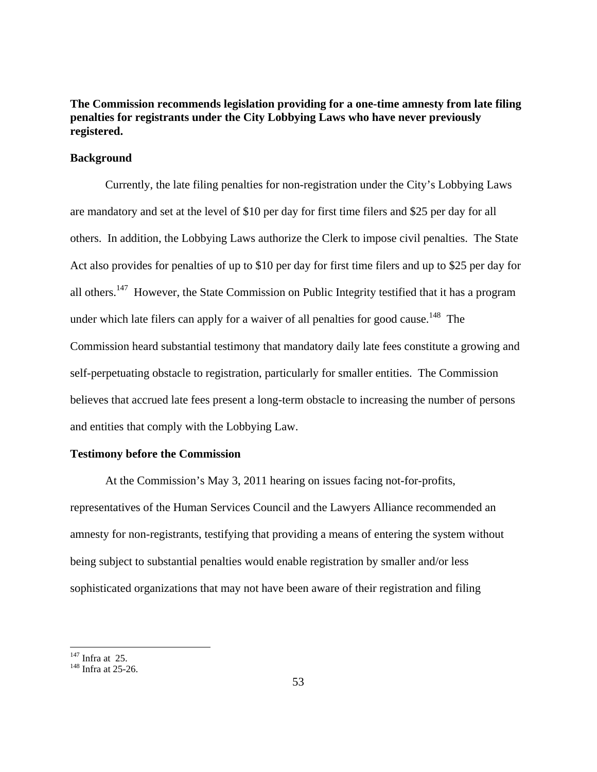**The Commission recommends legislation providing for a one-time amnesty from late filing penalties for registrants under the City Lobbying Laws who have never previously registered.** 

## **Background**

Currently, the late filing penalties for non-registration under the City's Lobbying Laws are mandatory and set at the level of \$10 per day for first time filers and \$25 per day for all others. In addition, the Lobbying Laws authorize the Clerk to impose civil penalties. The State Act also provides for penalties of up to \$10 per day for first time filers and up to \$25 per day for all others.<sup>147</sup> However, the State Commission on Public Integrity testified that it has a program under which late filers can apply for a waiver of all penalties for good cause.<sup>148</sup> The Commission heard substantial testimony that mandatory daily late fees constitute a growing and self-perpetuating obstacle to registration, particularly for smaller entities. The Commission believes that accrued late fees present a long-term obstacle to increasing the number of persons and entities that comply with the Lobbying Law.

### **Testimony before the Commission**

 At the Commission's May 3, 2011 hearing on issues facing not-for-profits, representatives of the Human Services Council and the Lawyers Alliance recommended an amnesty for non-registrants, testifying that providing a means of entering the system without being subject to substantial penalties would enable registration by smaller and/or less sophisticated organizations that may not have been aware of their registration and filing

 $147$  Infra at 25.

 $148$  Infra at 25-26.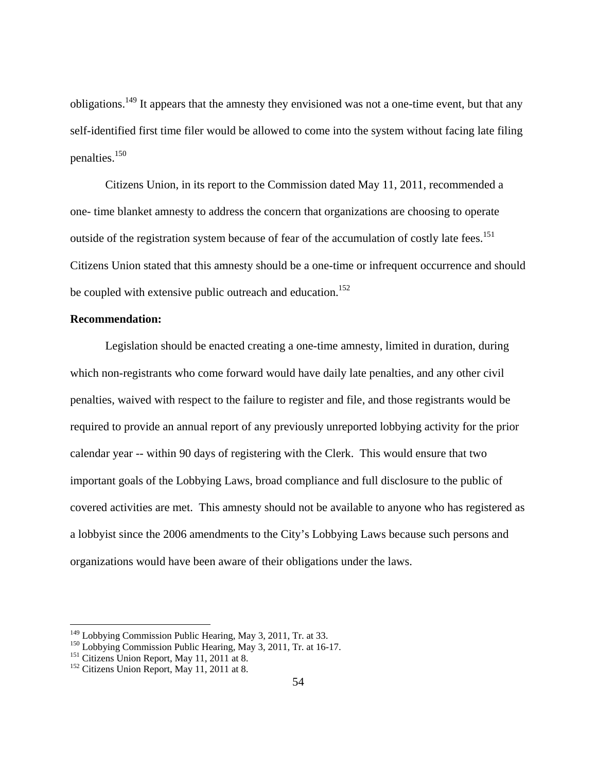obligations.149 It appears that the amnesty they envisioned was not a one-time event, but that any self-identified first time filer would be allowed to come into the system without facing late filing penalties.150

 Citizens Union, in its report to the Commission dated May 11, 2011, recommended a one- time blanket amnesty to address the concern that organizations are choosing to operate outside of the registration system because of fear of the accumulation of costly late fees.<sup>151</sup> Citizens Union stated that this amnesty should be a one-time or infrequent occurrence and should be coupled with extensive public outreach and education.<sup>152</sup>

## **Recommendation:**

Legislation should be enacted creating a one-time amnesty, limited in duration, during which non-registrants who come forward would have daily late penalties, and any other civil penalties, waived with respect to the failure to register and file, and those registrants would be required to provide an annual report of any previously unreported lobbying activity for the prior calendar year -- within 90 days of registering with the Clerk. This would ensure that two important goals of the Lobbying Laws, broad compliance and full disclosure to the public of covered activities are met. This amnesty should not be available to anyone who has registered as a lobbyist since the 2006 amendments to the City's Lobbying Laws because such persons and organizations would have been aware of their obligations under the laws.

<sup>&</sup>lt;sup>149</sup> Lobbying Commission Public Hearing, May 3, 2011, Tr. at 33.<br><sup>150</sup> Lobbying Commission Public Hearing, May 3, 2011, Tr. at 16-17.<br><sup>151</sup> Citizens Union Report, May 11, 2011 at 8.<br><sup>152</sup> Citizens Union Report, May 11, 2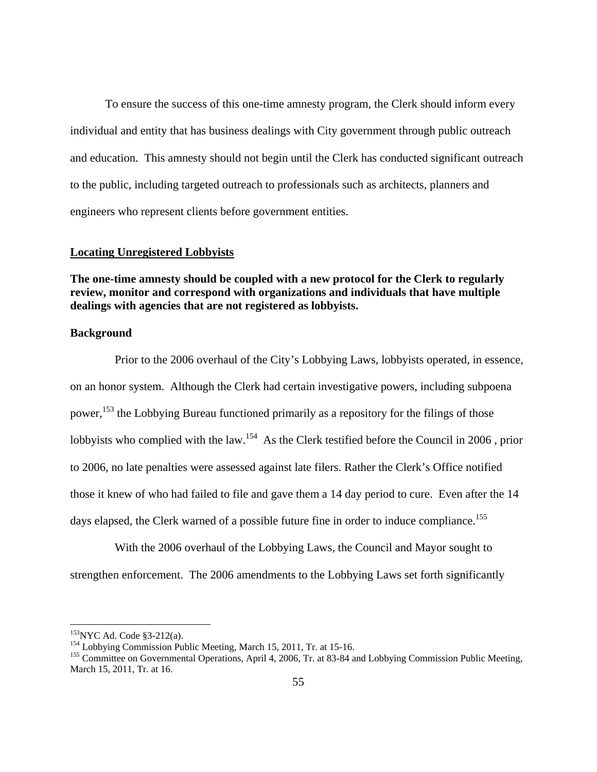To ensure the success of this one-time amnesty program, the Clerk should inform every individual and entity that has business dealings with City government through public outreach and education. This amnesty should not begin until the Clerk has conducted significant outreach to the public, including targeted outreach to professionals such as architects, planners and engineers who represent clients before government entities.

## **Locating Unregistered Lobbyists**

**The one-time amnesty should be coupled with a new protocol for the Clerk to regularly review, monitor and correspond with organizations and individuals that have multiple dealings with agencies that are not registered as lobbyists.** 

## **Background**

 Prior to the 2006 overhaul of the City's Lobbying Laws, lobbyists operated, in essence, on an honor system. Although the Clerk had certain investigative powers, including subpoena power,<sup>153</sup> the Lobbying Bureau functioned primarily as a repository for the filings of those lobbyists who complied with the law.<sup>154</sup> As the Clerk testified before the Council in 2006, prior to 2006, no late penalties were assessed against late filers. Rather the Clerk's Office notified those it knew of who had failed to file and gave them a 14 day period to cure. Even after the 14 days elapsed, the Clerk warned of a possible future fine in order to induce compliance.<sup>155</sup>

 With the 2006 overhaul of the Lobbying Laws, the Council and Mayor sought to strengthen enforcement. The 2006 amendments to the Lobbying Laws set forth significantly

1

<sup>&</sup>lt;sup>153</sup>NYC Ad. Code §3-212(a).<br><sup>154</sup> Lobbying Commission Public Meeting, March 15, 2011, Tr. at 15-16.<br><sup>155</sup> Committee on Governmental Operations, April 4, 2006, Tr. at 83-84 and Lobbying Commission Public Meeting, March 15, 2011, Tr. at 16.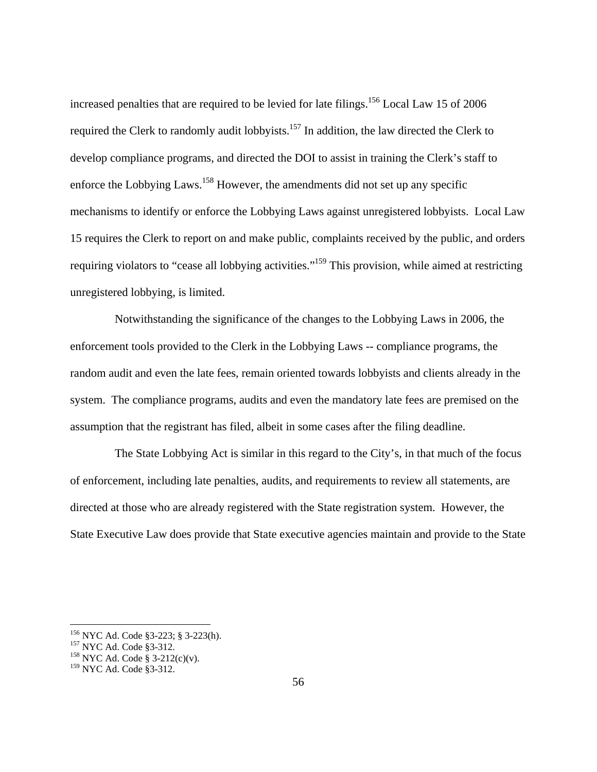increased penalties that are required to be levied for late filings.<sup>156</sup> Local Law 15 of 2006 required the Clerk to randomly audit lobbyists.<sup>157</sup> In addition, the law directed the Clerk to develop compliance programs, and directed the DOI to assist in training the Clerk's staff to enforce the Lobbying Laws.<sup>158</sup> However, the amendments did not set up any specific mechanisms to identify or enforce the Lobbying Laws against unregistered lobbyists. Local Law 15 requires the Clerk to report on and make public, complaints received by the public, and orders requiring violators to "cease all lobbying activities."<sup>159</sup> This provision, while aimed at restricting unregistered lobbying, is limited.

 Notwithstanding the significance of the changes to the Lobbying Laws in 2006, the enforcement tools provided to the Clerk in the Lobbying Laws -- compliance programs, the random audit and even the late fees, remain oriented towards lobbyists and clients already in the system. The compliance programs, audits and even the mandatory late fees are premised on the assumption that the registrant has filed, albeit in some cases after the filing deadline.

 The State Lobbying Act is similar in this regard to the City's, in that much of the focus of enforcement, including late penalties, audits, and requirements to review all statements, are directed at those who are already registered with the State registration system. However, the State Executive Law does provide that State executive agencies maintain and provide to the State

<sup>&</sup>lt;sup>156</sup> NYC Ad. Code §3-223; § 3-223(h).<br><sup>157</sup> NYC Ad. Code §3-312.<br><sup>158</sup> NYC Ad. Code § 3-212(c)(v).

<sup>&</sup>lt;sup>159</sup> NYC Ad. Code §3-312.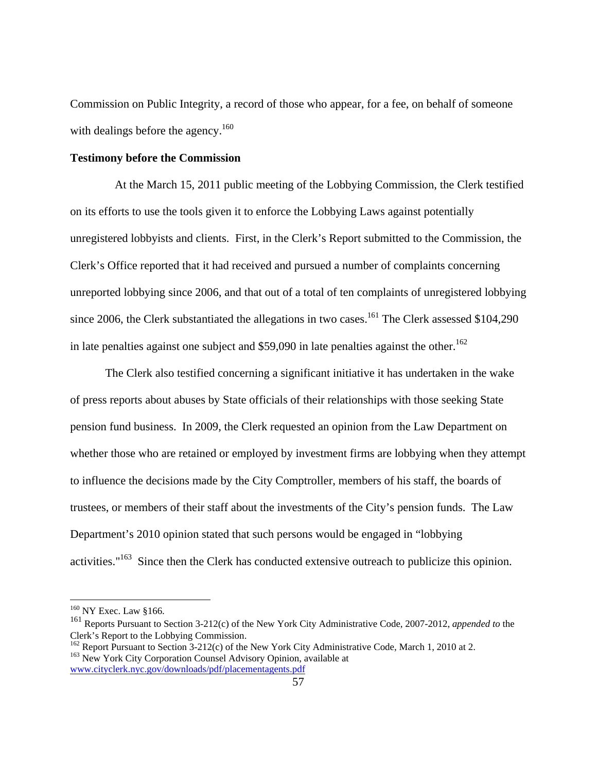Commission on Public Integrity, a record of those who appear, for a fee, on behalf of someone with dealings before the agency.<sup>160</sup>

### **Testimony before the Commission**

 At the March 15, 2011 public meeting of the Lobbying Commission, the Clerk testified on its efforts to use the tools given it to enforce the Lobbying Laws against potentially unregistered lobbyists and clients. First, in the Clerk's Report submitted to the Commission, the Clerk's Office reported that it had received and pursued a number of complaints concerning unreported lobbying since 2006, and that out of a total of ten complaints of unregistered lobbying since 2006, the Clerk substantiated the allegations in two cases.<sup>161</sup> The Clerk assessed  $$104,290$ in late penalties against one subject and \$59,090 in late penalties against the other.<sup>162</sup>

The Clerk also testified concerning a significant initiative it has undertaken in the wake of press reports about abuses by State officials of their relationships with those seeking State pension fund business. In 2009, the Clerk requested an opinion from the Law Department on whether those who are retained or employed by investment firms are lobbying when they attempt to influence the decisions made by the City Comptroller, members of his staff, the boards of trustees, or members of their staff about the investments of the City's pension funds. The Law Department's 2010 opinion stated that such persons would be engaged in "lobbying activities." $163$  Since then the Clerk has conducted extensive outreach to publicize this opinion.

<sup>&</sup>lt;sup>160</sup> NY Exec. Law §166.

<sup>161</sup> Reports Pursuant to Section 3-212(c) of the New York City Administrative Code, 2007-2012, *appended to* the Clerk's Report to the Lobbying Commission.

<sup>&</sup>lt;sup>162</sup> Report Pursuant to Section 3-212(c) of the New York City Administrative Code, March 1, 2010 at 2.<br><sup>163</sup> New York City Corporation Counsel Advisory Opinion, available at www.cityclerk.nyc.gov/downloads/pdf/placementagents.pdf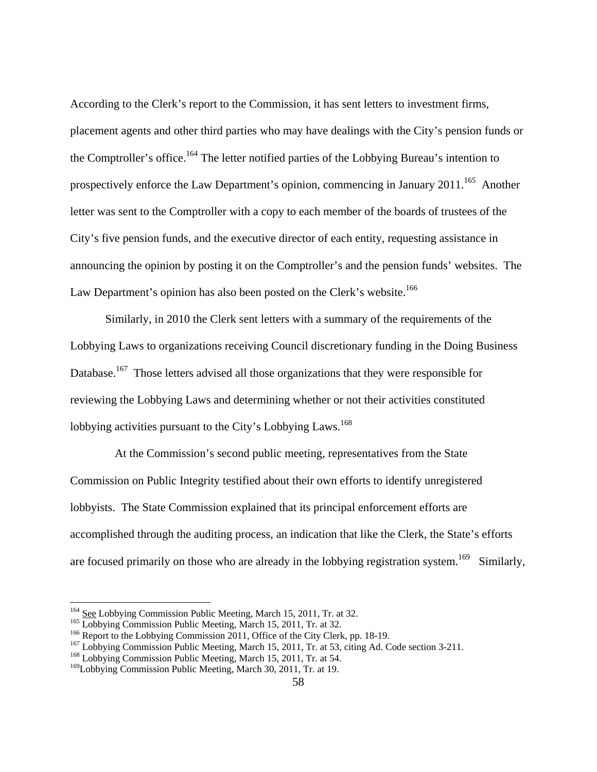According to the Clerk's report to the Commission, it has sent letters to investment firms, placement agents and other third parties who may have dealings with the City's pension funds or the Comptroller's office.<sup>164</sup> The letter notified parties of the Lobbying Bureau's intention to prospectively enforce the Law Department's opinion, commencing in January 2011.<sup>165</sup> Another letter was sent to the Comptroller with a copy to each member of the boards of trustees of the City's five pension funds, and the executive director of each entity, requesting assistance in announcing the opinion by posting it on the Comptroller's and the pension funds' websites. The Law Department's opinion has also been posted on the Clerk's website.<sup>166</sup>

Similarly, in 2010 the Clerk sent letters with a summary of the requirements of the Lobbying Laws to organizations receiving Council discretionary funding in the Doing Business Database.<sup>167</sup> Those letters advised all those organizations that they were responsible for reviewing the Lobbying Laws and determining whether or not their activities constituted lobbying activities pursuant to the City's Lobbying Laws.<sup>168</sup>

 At the Commission's second public meeting, representatives from the State Commission on Public Integrity testified about their own efforts to identify unregistered lobbyists. The State Commission explained that its principal enforcement efforts are accomplished through the auditing process, an indication that like the Clerk, the State's efforts are focused primarily on those who are already in the lobbying registration system.<sup>169</sup> Similarly,

<sup>&</sup>lt;sup>164</sup> See Lobbying Commission Public Meeting, March 15, 2011, Tr. at 32.

<sup>&</sup>lt;sup>165</sup> Lobbying Commission Public Meeting, March 15, 2011, Tr. at 32.<br><sup>166</sup> Report to the Lobbying Commission 2011, Office of the City Clerk, pp. 18-19.<br><sup>167</sup> Lobbying Commission Public Meeting, March 15, 2011, Tr. at 53,

<sup>&</sup>lt;sup>169</sup>Lobbying Commission Public Meeting, March 30, 2011, Tr. at 19.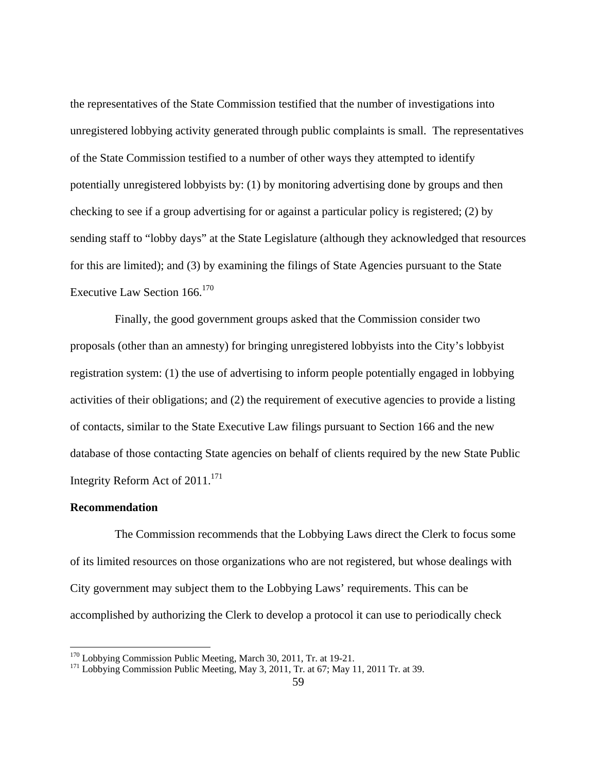the representatives of the State Commission testified that the number of investigations into unregistered lobbying activity generated through public complaints is small. The representatives of the State Commission testified to a number of other ways they attempted to identify potentially unregistered lobbyists by: (1) by monitoring advertising done by groups and then checking to see if a group advertising for or against a particular policy is registered; (2) by sending staff to "lobby days" at the State Legislature (although they acknowledged that resources for this are limited); and (3) by examining the filings of State Agencies pursuant to the State Executive Law Section 166.<sup>170</sup>

 Finally, the good government groups asked that the Commission consider two proposals (other than an amnesty) for bringing unregistered lobbyists into the City's lobbyist registration system: (1) the use of advertising to inform people potentially engaged in lobbying activities of their obligations; and (2) the requirement of executive agencies to provide a listing of contacts, similar to the State Executive Law filings pursuant to Section 166 and the new database of those contacting State agencies on behalf of clients required by the new State Public Integrity Reform Act of  $2011$ <sup>171</sup>

#### **Recommendation**

<u>.</u>

 The Commission recommends that the Lobbying Laws direct the Clerk to focus some of its limited resources on those organizations who are not registered, but whose dealings with City government may subject them to the Lobbying Laws' requirements. This can be accomplished by authorizing the Clerk to develop a protocol it can use to periodically check

<sup>&</sup>lt;sup>170</sup> Lobbying Commission Public Meeting, March 30, 2011, Tr. at 19-21.<br><sup>171</sup> Lobbying Commission Public Meeting, May 3, 2011, Tr. at 67; May 11, 2011 Tr. at 39.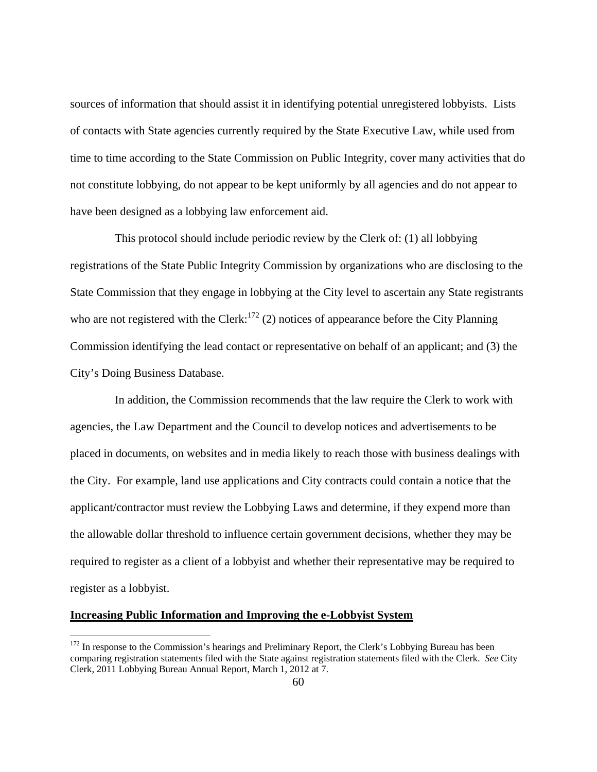sources of information that should assist it in identifying potential unregistered lobbyists. Lists of contacts with State agencies currently required by the State Executive Law, while used from time to time according to the State Commission on Public Integrity, cover many activities that do not constitute lobbying, do not appear to be kept uniformly by all agencies and do not appear to have been designed as a lobbying law enforcement aid.

 This protocol should include periodic review by the Clerk of: (1) all lobbying registrations of the State Public Integrity Commission by organizations who are disclosing to the State Commission that they engage in lobbying at the City level to ascertain any State registrants who are not registered with the Clerk:<sup>172</sup> (2) notices of appearance before the City Planning Commission identifying the lead contact or representative on behalf of an applicant; and (3) the City's Doing Business Database.

 In addition, the Commission recommends that the law require the Clerk to work with agencies, the Law Department and the Council to develop notices and advertisements to be placed in documents, on websites and in media likely to reach those with business dealings with the City. For example, land use applications and City contracts could contain a notice that the applicant/contractor must review the Lobbying Laws and determine, if they expend more than the allowable dollar threshold to influence certain government decisions, whether they may be required to register as a client of a lobbyist and whether their representative may be required to register as a lobbyist.

## **Increasing Public Information and Improving the e-Lobbyist System**

 $172$  In response to the Commission's hearings and Preliminary Report, the Clerk's Lobbying Bureau has been comparing registration statements filed with the State against registration statements filed with the Clerk. *See* City Clerk, 2011 Lobbying Bureau Annual Report, March 1, 2012 at 7.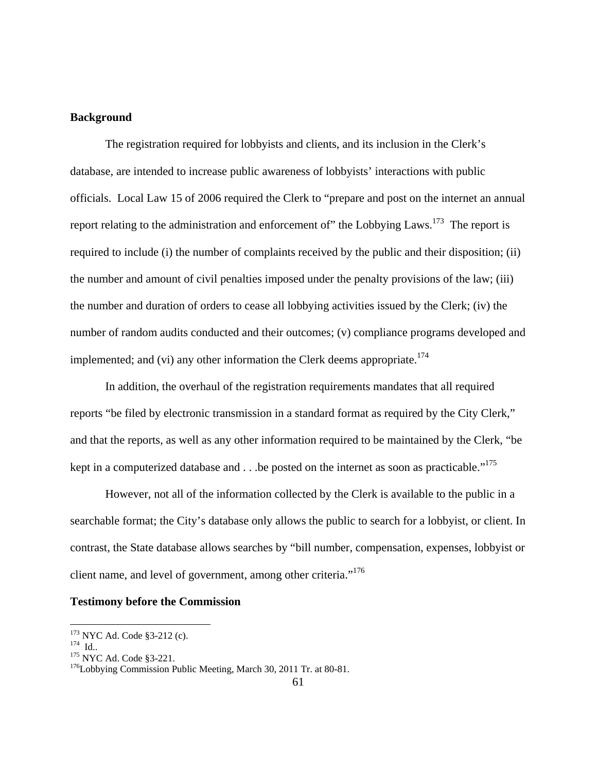## **Background**

 The registration required for lobbyists and clients, and its inclusion in the Clerk's database, are intended to increase public awareness of lobbyists' interactions with public officials. Local Law 15 of 2006 required the Clerk to "prepare and post on the internet an annual report relating to the administration and enforcement of" the Lobbying Laws.<sup>173</sup> The report is required to include (i) the number of complaints received by the public and their disposition; (ii) the number and amount of civil penalties imposed under the penalty provisions of the law; (iii) the number and duration of orders to cease all lobbying activities issued by the Clerk; (iv) the number of random audits conducted and their outcomes; (v) compliance programs developed and implemented; and (vi) any other information the Clerk deems appropriate.<sup>174</sup>

 In addition, the overhaul of the registration requirements mandates that all required reports "be filed by electronic transmission in a standard format as required by the City Clerk," and that the reports, as well as any other information required to be maintained by the Clerk, "be kept in a computerized database and . . .be posted on the internet as soon as practicable."<sup>175</sup>

However, not all of the information collected by the Clerk is available to the public in a searchable format; the City's database only allows the public to search for a lobbyist, or client. In contrast, the State database allows searches by "bill number, compensation, expenses, lobbyist or client name, and level of government, among other criteria."<sup>176</sup>

## **Testimony before the Commission**

<sup>&</sup>lt;sup>173</sup> NYC Ad. Code §3-212 (c).

<sup>174</sup> Id.. 175 NYC Ad. Code §3-221.<br><sup>175</sup> NYC Ad. Code §3-221. <sup>176</sup>Lobbying Commission Public Meeting, March 30, 2011 Tr. at 80-81.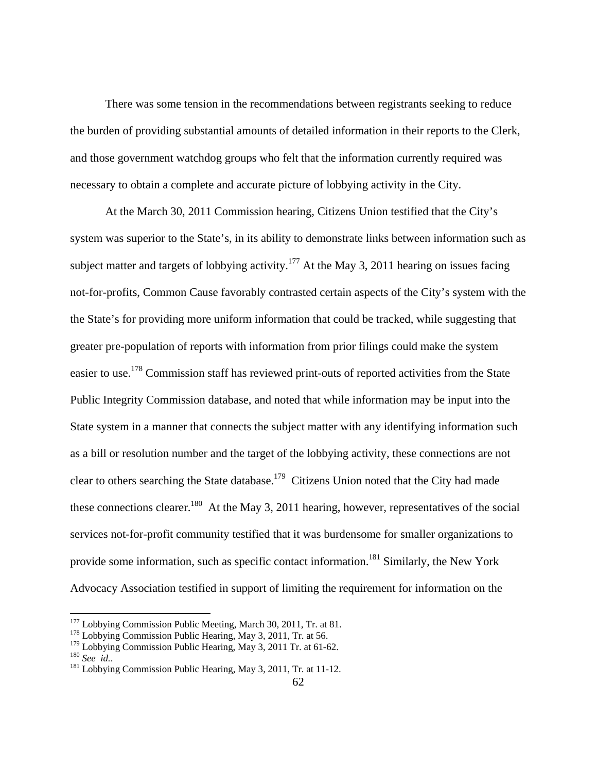There was some tension in the recommendations between registrants seeking to reduce the burden of providing substantial amounts of detailed information in their reports to the Clerk, and those government watchdog groups who felt that the information currently required was necessary to obtain a complete and accurate picture of lobbying activity in the City.

 At the March 30, 2011 Commission hearing, Citizens Union testified that the City's system was superior to the State's, in its ability to demonstrate links between information such as subject matter and targets of lobbying activity.<sup>177</sup> At the May 3, 2011 hearing on issues facing not-for-profits, Common Cause favorably contrasted certain aspects of the City's system with the the State's for providing more uniform information that could be tracked, while suggesting that greater pre-population of reports with information from prior filings could make the system easier to use.<sup>178</sup> Commission staff has reviewed print-outs of reported activities from the State Public Integrity Commission database, and noted that while information may be input into the State system in a manner that connects the subject matter with any identifying information such as a bill or resolution number and the target of the lobbying activity, these connections are not clear to others searching the State database.179 Citizens Union noted that the City had made these connections clearer.<sup>180</sup> At the May 3, 2011 hearing, however, representatives of the social services not-for-profit community testified that it was burdensome for smaller organizations to provide some information, such as specific contact information.<sup>181</sup> Similarly, the New York Advocacy Association testified in support of limiting the requirement for information on the

<sup>&</sup>lt;sup>177</sup> Lobbying Commission Public Meeting, March 30, 2011, Tr. at 81.<br><sup>178</sup> Lobbying Commission Public Hearing, May 3, 2011, Tr. at 56.

<sup>&</sup>lt;sup>178</sup> Lobbying Commission Public Hearing, May 3, 2011, Tr. at 56.<br><sup>179</sup> Lobbying Commission Public Hearing, May 3, 2011 Tr. at 61-62.<br><sup>181</sup> Lobbying Commission Public Hearing, May 3, 2011, Tr. at 11-12.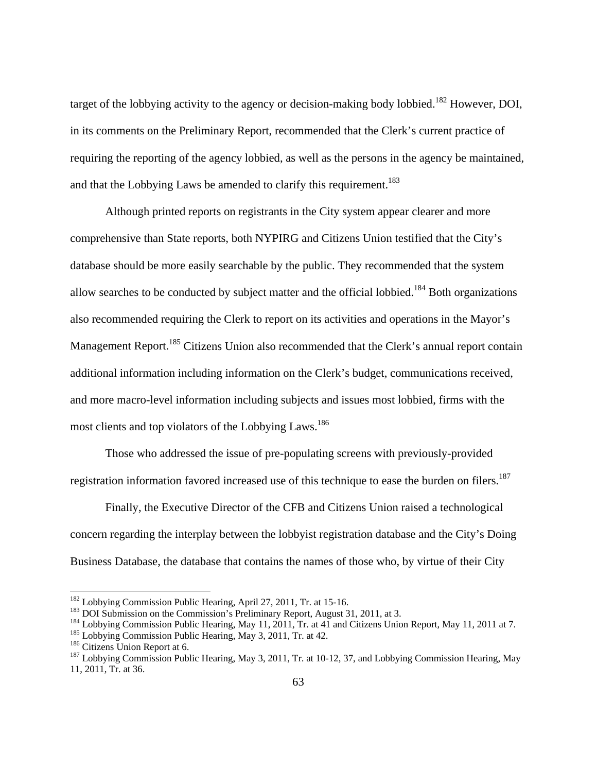target of the lobbying activity to the agency or decision-making body lobbied.<sup>182</sup> However, DOI, in its comments on the Preliminary Report, recommended that the Clerk's current practice of requiring the reporting of the agency lobbied, as well as the persons in the agency be maintained, and that the Lobbying Laws be amended to clarify this requirement.<sup>183</sup>

 Although printed reports on registrants in the City system appear clearer and more comprehensive than State reports, both NYPIRG and Citizens Union testified that the City's database should be more easily searchable by the public. They recommended that the system allow searches to be conducted by subject matter and the official lobbied.<sup>184</sup> Both organizations also recommended requiring the Clerk to report on its activities and operations in the Mayor's Management Report.<sup>185</sup> Citizens Union also recommended that the Clerk's annual report contain additional information including information on the Clerk's budget, communications received, and more macro-level information including subjects and issues most lobbied, firms with the most clients and top violators of the Lobbying Laws.<sup>186</sup>

 Those who addressed the issue of pre-populating screens with previously-provided registration information favored increased use of this technique to ease the burden on filers.<sup>187</sup>

 Finally, the Executive Director of the CFB and Citizens Union raised a technological concern regarding the interplay between the lobbyist registration database and the City's Doing Business Database, the database that contains the names of those who, by virtue of their City

<sup>&</sup>lt;sup>182</sup> Lobbying Commission Public Hearing, April 27, 2011, Tr. at 15-16.<br><sup>183</sup> DOI Submission on the Commission's Preliminary Report, August 31, 2011, at 3.<br><sup>184</sup> Lobbying Commission Public Hearing, May 11, 2011, Tr. at 41

<sup>11, 2011,</sup> Tr. at 36.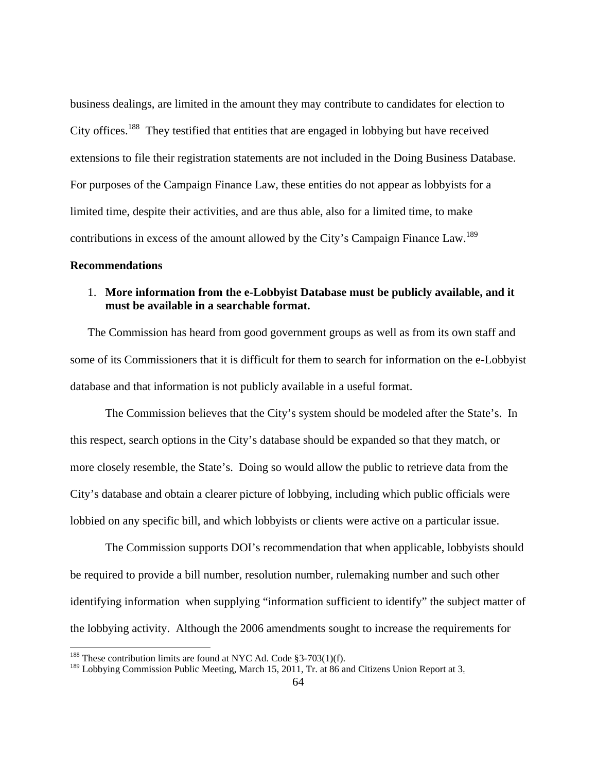business dealings, are limited in the amount they may contribute to candidates for election to City offices.<sup>188</sup> They testified that entities that are engaged in lobbying but have received extensions to file their registration statements are not included in the Doing Business Database. For purposes of the Campaign Finance Law, these entities do not appear as lobbyists for a limited time, despite their activities, and are thus able, also for a limited time, to make contributions in excess of the amount allowed by the City's Campaign Finance Law.<sup>189</sup>

#### **Recommendations**

<u>.</u>

# 1. **More information from the e-Lobbyist Database must be publicly available, and it must be available in a searchable format.**

The Commission has heard from good government groups as well as from its own staff and some of its Commissioners that it is difficult for them to search for information on the e-Lobbyist database and that information is not publicly available in a useful format.

The Commission believes that the City's system should be modeled after the State's. In this respect, search options in the City's database should be expanded so that they match, or more closely resemble, the State's. Doing so would allow the public to retrieve data from the City's database and obtain a clearer picture of lobbying, including which public officials were lobbied on any specific bill, and which lobbyists or clients were active on a particular issue.

The Commission supports DOI's recommendation that when applicable, lobbyists should be required to provide a bill number, resolution number, rulemaking number and such other identifying information when supplying "information sufficient to identify" the subject matter of the lobbying activity. Although the 2006 amendments sought to increase the requirements for

<sup>&</sup>lt;sup>188</sup> These contribution limits are found at NYC Ad. Code §3-703(1)(f).

 $189$  Lobbying Commission Public Meeting, March 15, 2011, Tr. at 86 and Citizens Union Report at 3.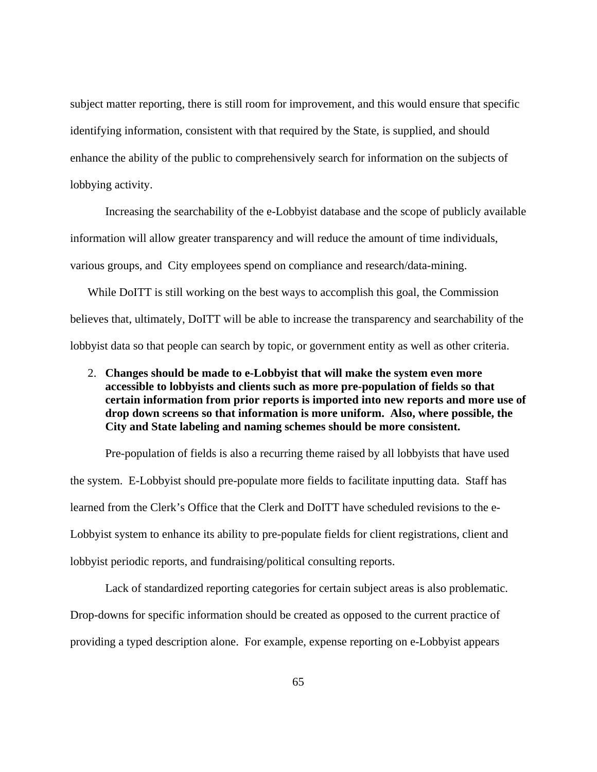subject matter reporting, there is still room for improvement, and this would ensure that specific identifying information, consistent with that required by the State, is supplied, and should enhance the ability of the public to comprehensively search for information on the subjects of lobbying activity.

Increasing the searchability of the e-Lobbyist database and the scope of publicly available information will allow greater transparency and will reduce the amount of time individuals, various groups, and City employees spend on compliance and research/data-mining.

While DoITT is still working on the best ways to accomplish this goal, the Commission believes that, ultimately, DoITT will be able to increase the transparency and searchability of the lobbyist data so that people can search by topic, or government entity as well as other criteria.

2. **Changes should be made to e-Lobbyist that will make the system even more accessible to lobbyists and clients such as more pre-population of fields so that certain information from prior reports is imported into new reports and more use of drop down screens so that information is more uniform. Also, where possible, the City and State labeling and naming schemes should be more consistent.** 

Pre-population of fields is also a recurring theme raised by all lobbyists that have used the system. E-Lobbyist should pre-populate more fields to facilitate inputting data. Staff has learned from the Clerk's Office that the Clerk and DoITT have scheduled revisions to the e-Lobbyist system to enhance its ability to pre-populate fields for client registrations, client and lobbyist periodic reports, and fundraising/political consulting reports.

Lack of standardized reporting categories for certain subject areas is also problematic. Drop-downs for specific information should be created as opposed to the current practice of providing a typed description alone. For example, expense reporting on e-Lobbyist appears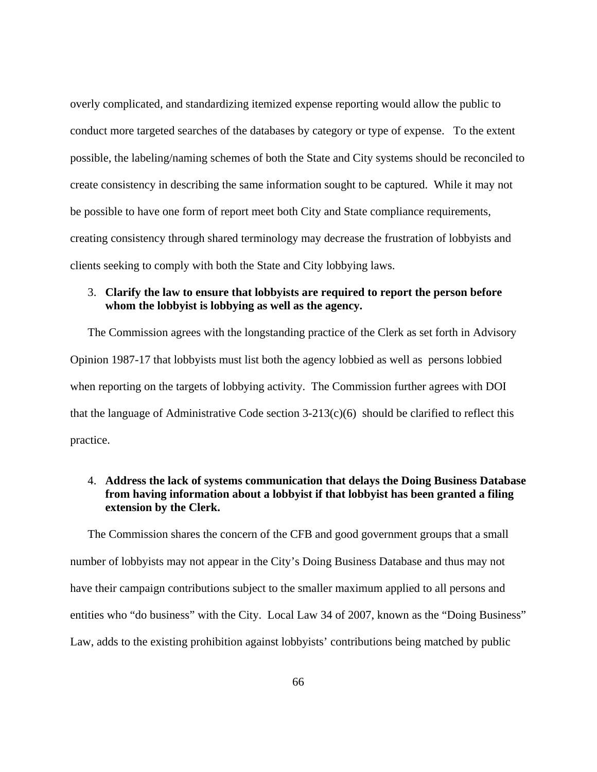overly complicated, and standardizing itemized expense reporting would allow the public to conduct more targeted searches of the databases by category or type of expense. To the extent possible, the labeling/naming schemes of both the State and City systems should be reconciled to create consistency in describing the same information sought to be captured. While it may not be possible to have one form of report meet both City and State compliance requirements, creating consistency through shared terminology may decrease the frustration of lobbyists and clients seeking to comply with both the State and City lobbying laws.

## 3. **Clarify the law to ensure that lobbyists are required to report the person before whom the lobbyist is lobbying as well as the agency.**

The Commission agrees with the longstanding practice of the Clerk as set forth in Advisory Opinion 1987-17 that lobbyists must list both the agency lobbied as well as persons lobbied when reporting on the targets of lobbying activity. The Commission further agrees with DOI that the language of Administrative Code section  $3-213(c)(6)$  should be clarified to reflect this practice.

## 4. **Address the lack of systems communication that delays the Doing Business Database from having information about a lobbyist if that lobbyist has been granted a filing extension by the Clerk.**

The Commission shares the concern of the CFB and good government groups that a small number of lobbyists may not appear in the City's Doing Business Database and thus may not have their campaign contributions subject to the smaller maximum applied to all persons and entities who "do business" with the City. Local Law 34 of 2007, known as the "Doing Business" Law, adds to the existing prohibition against lobbyists' contributions being matched by public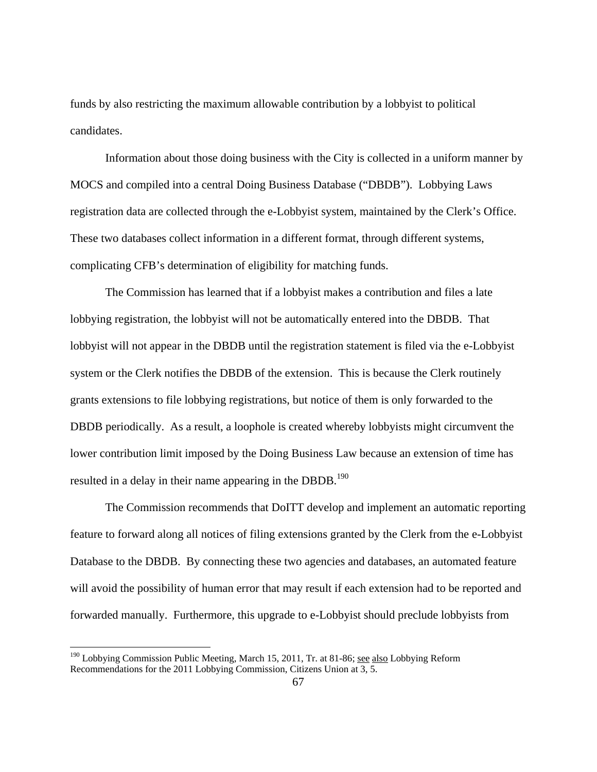funds by also restricting the maximum allowable contribution by a lobbyist to political candidates.

 Information about those doing business with the City is collected in a uniform manner by MOCS and compiled into a central Doing Business Database ("DBDB"). Lobbying Laws registration data are collected through the e-Lobbyist system, maintained by the Clerk's Office. These two databases collect information in a different format, through different systems, complicating CFB's determination of eligibility for matching funds.

 The Commission has learned that if a lobbyist makes a contribution and files a late lobbying registration, the lobbyist will not be automatically entered into the DBDB. That lobbyist will not appear in the DBDB until the registration statement is filed via the e-Lobbyist system or the Clerk notifies the DBDB of the extension. This is because the Clerk routinely grants extensions to file lobbying registrations, but notice of them is only forwarded to the DBDB periodically. As a result, a loophole is created whereby lobbyists might circumvent the lower contribution limit imposed by the Doing Business Law because an extension of time has resulted in a delay in their name appearing in the DBDB.<sup>190</sup>

 The Commission recommends that DoITT develop and implement an automatic reporting feature to forward along all notices of filing extensions granted by the Clerk from the e-Lobbyist Database to the DBDB. By connecting these two agencies and databases, an automated feature will avoid the possibility of human error that may result if each extension had to be reported and forwarded manually. Furthermore, this upgrade to e-Lobbyist should preclude lobbyists from

<sup>&</sup>lt;sup>190</sup> Lobbying Commission Public Meeting, March 15, 2011, Tr. at 81-86; see also Lobbying Reform Recommendations for the 2011 Lobbying Commission, Citizens Union at 3, 5.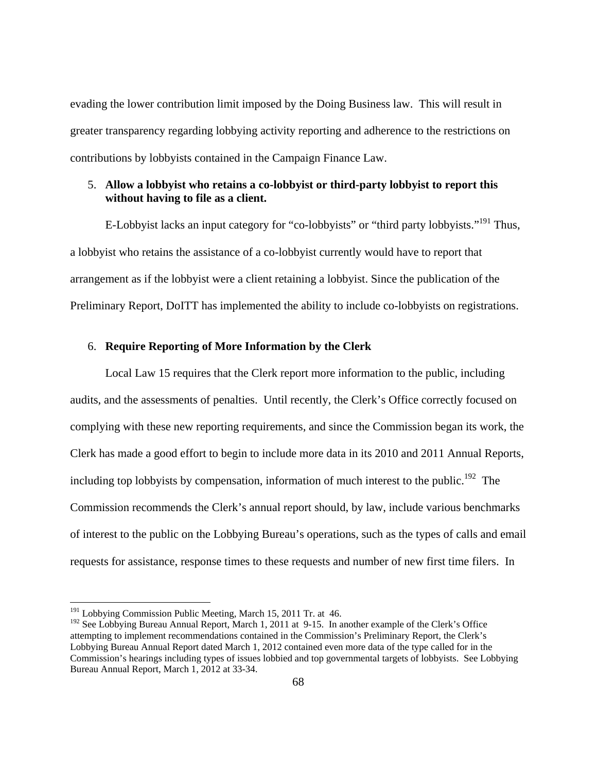evading the lower contribution limit imposed by the Doing Business law. This will result in greater transparency regarding lobbying activity reporting and adherence to the restrictions on contributions by lobbyists contained in the Campaign Finance Law.

## 5. **Allow a lobbyist who retains a co-lobbyist or third-party lobbyist to report this without having to file as a client.**

E-Lobbyist lacks an input category for "co-lobbyists" or "third party lobbyists."<sup>191</sup> Thus, a lobbyist who retains the assistance of a co-lobbyist currently would have to report that arrangement as if the lobbyist were a client retaining a lobbyist. Since the publication of the Preliminary Report, DoITT has implemented the ability to include co-lobbyists on registrations.

## 6. **Require Reporting of More Information by the Clerk**

Local Law 15 requires that the Clerk report more information to the public, including audits, and the assessments of penalties. Until recently, the Clerk's Office correctly focused on complying with these new reporting requirements, and since the Commission began its work, the Clerk has made a good effort to begin to include more data in its 2010 and 2011 Annual Reports, including top lobbyists by compensation, information of much interest to the public.<sup>192</sup> The Commission recommends the Clerk's annual report should, by law, include various benchmarks of interest to the public on the Lobbying Bureau's operations, such as the types of calls and email requests for assistance, response times to these requests and number of new first time filers. In

<sup>&</sup>lt;sup>191</sup> Lobbying Commission Public Meeting, March 15, 2011 Tr. at 46.

<sup>&</sup>lt;sup>192</sup> See Lobbying Bureau Annual Report, March 1, 2011 at 9-15. In another example of the Clerk's Office attempting to implement recommendations contained in the Commission's Preliminary Report, the Clerk's Lobbying Bureau Annual Report dated March 1, 2012 contained even more data of the type called for in the Commission's hearings including types of issues lobbied and top governmental targets of lobbyists. See Lobbying Bureau Annual Report, March 1, 2012 at 33-34.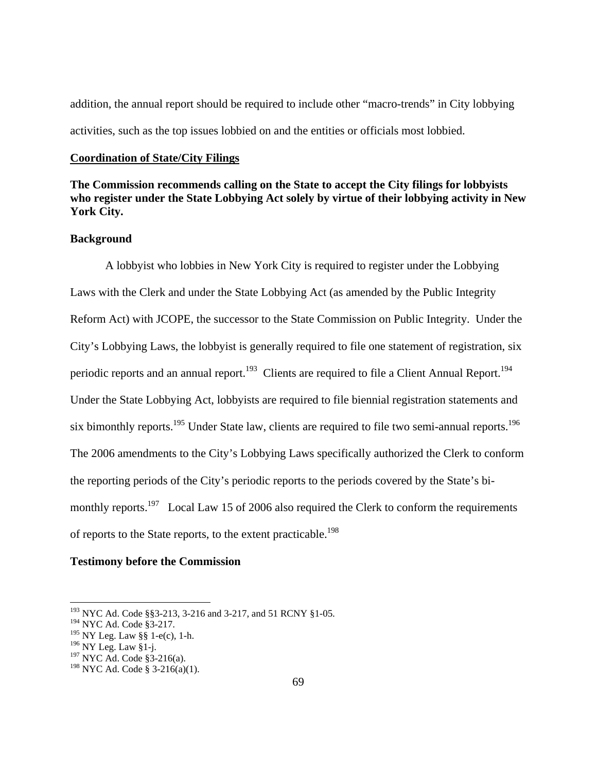addition, the annual report should be required to include other "macro-trends" in City lobbying activities, such as the top issues lobbied on and the entities or officials most lobbied.

#### **Coordination of State/City Filings**

# **The Commission recommends calling on the State to accept the City filings for lobbyists who register under the State Lobbying Act solely by virtue of their lobbying activity in New York City.**

## **Background**

 A lobbyist who lobbies in New York City is required to register under the Lobbying Laws with the Clerk and under the State Lobbying Act (as amended by the Public Integrity Reform Act) with JCOPE, the successor to the State Commission on Public Integrity. Under the City's Lobbying Laws, the lobbyist is generally required to file one statement of registration, six periodic reports and an annual report.<sup>193</sup> Clients are required to file a Client Annual Report.<sup>194</sup> Under the State Lobbying Act, lobbyists are required to file biennial registration statements and six bimonthly reports.<sup>195</sup> Under State law, clients are required to file two semi-annual reports.<sup>196</sup> The 2006 amendments to the City's Lobbying Laws specifically authorized the Clerk to conform the reporting periods of the City's periodic reports to the periods covered by the State's bimonthly reports.<sup>197</sup> Local Law 15 of 2006 also required the Clerk to conform the requirements of reports to the State reports, to the extent practicable.<sup>198</sup>

### **Testimony before the Commission**

<sup>&</sup>lt;sup>193</sup> NYC Ad. Code §§3-213, 3-216 and 3-217, and 51 RCNY §1-05.

<sup>194</sup> NYC Ad. Code §3-217.

 $195$  NY Leg. Law §§ 1-e(c), 1-h.

 $196$  NY Leg. Law §1-j.

<sup>197</sup> NYC Ad. Code §3-216(a).

 $198$  NYC Ad. Code § 3-216(a)(1).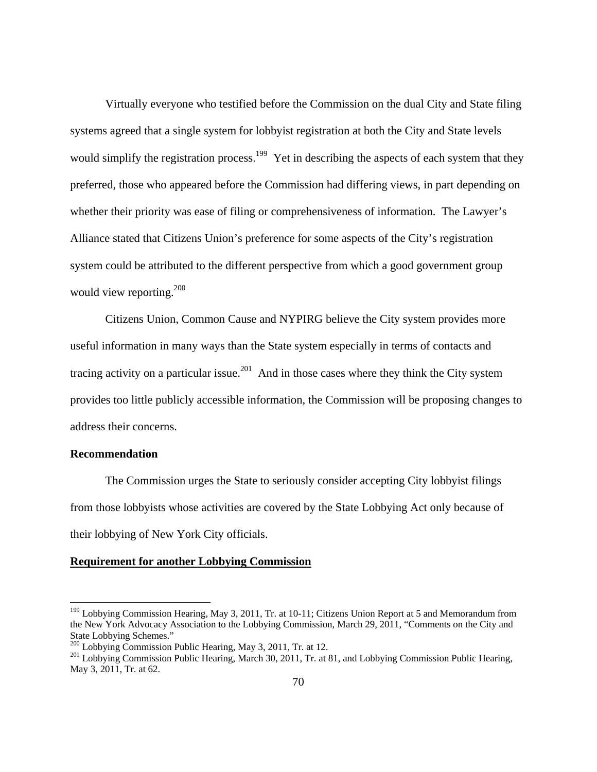Virtually everyone who testified before the Commission on the dual City and State filing systems agreed that a single system for lobbyist registration at both the City and State levels would simplify the registration process.<sup>199</sup> Yet in describing the aspects of each system that they preferred, those who appeared before the Commission had differing views, in part depending on whether their priority was ease of filing or comprehensiveness of information. The Lawyer's Alliance stated that Citizens Union's preference for some aspects of the City's registration system could be attributed to the different perspective from which a good government group would view reporting. $200$ 

 Citizens Union, Common Cause and NYPIRG believe the City system provides more useful information in many ways than the State system especially in terms of contacts and tracing activity on a particular issue.<sup>201</sup> And in those cases where they think the City system provides too little publicly accessible information, the Commission will be proposing changes to address their concerns.

### **Recommendation**

 $\overline{a}$ 

The Commission urges the State to seriously consider accepting City lobbyist filings from those lobbyists whose activities are covered by the State Lobbying Act only because of their lobbying of New York City officials.

### **Requirement for another Lobbying Commission**

<sup>&</sup>lt;sup>199</sup> Lobbying Commission Hearing, May 3, 2011, Tr. at 10-11; Citizens Union Report at 5 and Memorandum from the New York Advocacy Association to the Lobbying Commission, March 29, 2011, "Comments on the City and State Lobbying Schemes."<br>
<sup>200</sup> Lobbying Commission Public Hearing, May 3, 2011, Tr. at 12.

<sup>&</sup>lt;sup>201</sup> Lobbying Commission Public Hearing, March 30, 2011, Tr. at 81, and Lobbying Commission Public Hearing, May 3, 2011, Tr. at 62.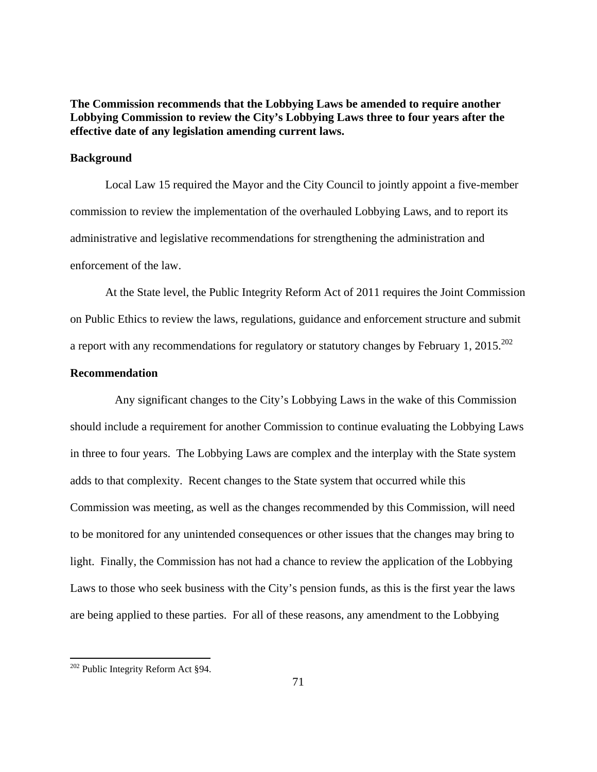**The Commission recommends that the Lobbying Laws be amended to require another Lobbying Commission to review the City's Lobbying Laws three to four years after the effective date of any legislation amending current laws.** 

## **Background**

 Local Law 15 required the Mayor and the City Council to jointly appoint a five-member commission to review the implementation of the overhauled Lobbying Laws, and to report its administrative and legislative recommendations for strengthening the administration and enforcement of the law.

 At the State level, the Public Integrity Reform Act of 2011 requires the Joint Commission on Public Ethics to review the laws, regulations, guidance and enforcement structure and submit a report with any recommendations for regulatory or statutory changes by February 1, 2015.<sup>202</sup>

## **Recommendation**

 Any significant changes to the City's Lobbying Laws in the wake of this Commission should include a requirement for another Commission to continue evaluating the Lobbying Laws in three to four years. The Lobbying Laws are complex and the interplay with the State system adds to that complexity. Recent changes to the State system that occurred while this Commission was meeting, as well as the changes recommended by this Commission, will need to be monitored for any unintended consequences or other issues that the changes may bring to light. Finally, the Commission has not had a chance to review the application of the Lobbying Laws to those who seek business with the City's pension funds, as this is the first year the laws are being applied to these parties. For all of these reasons, any amendment to the Lobbying

<sup>&</sup>lt;sup>202</sup> Public Integrity Reform Act §94.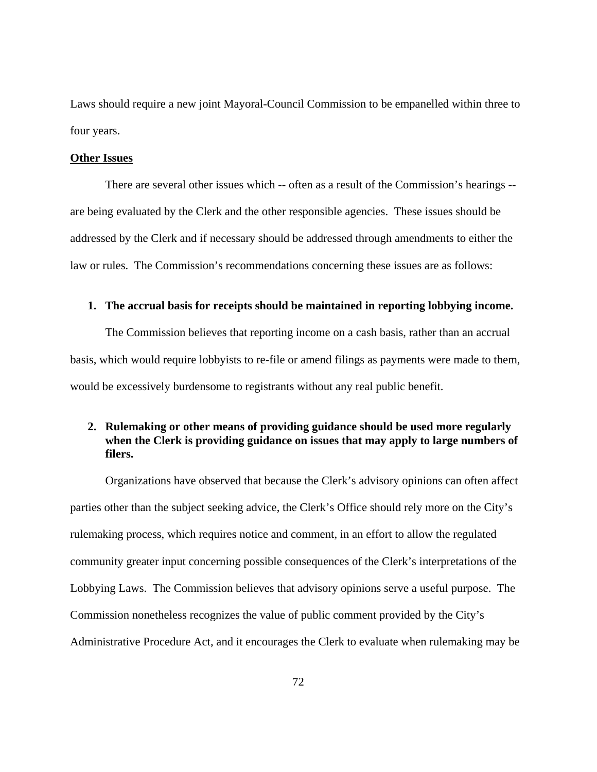Laws should require a new joint Mayoral-Council Commission to be empanelled within three to four years.

### **Other Issues**

 There are several other issues which -- often as a result of the Commission's hearings - are being evaluated by the Clerk and the other responsible agencies. These issues should be addressed by the Clerk and if necessary should be addressed through amendments to either the law or rules. The Commission's recommendations concerning these issues are as follows:

### **1. The accrual basis for receipts should be maintained in reporting lobbying income.**

 The Commission believes that reporting income on a cash basis, rather than an accrual basis, which would require lobbyists to re-file or amend filings as payments were made to them, would be excessively burdensome to registrants without any real public benefit.

# **2. Rulemaking or other means of providing guidance should be used more regularly when the Clerk is providing guidance on issues that may apply to large numbers of filers.**

 Organizations have observed that because the Clerk's advisory opinions can often affect parties other than the subject seeking advice, the Clerk's Office should rely more on the City's rulemaking process, which requires notice and comment, in an effort to allow the regulated community greater input concerning possible consequences of the Clerk's interpretations of the Lobbying Laws. The Commission believes that advisory opinions serve a useful purpose. The Commission nonetheless recognizes the value of public comment provided by the City's Administrative Procedure Act, and it encourages the Clerk to evaluate when rulemaking may be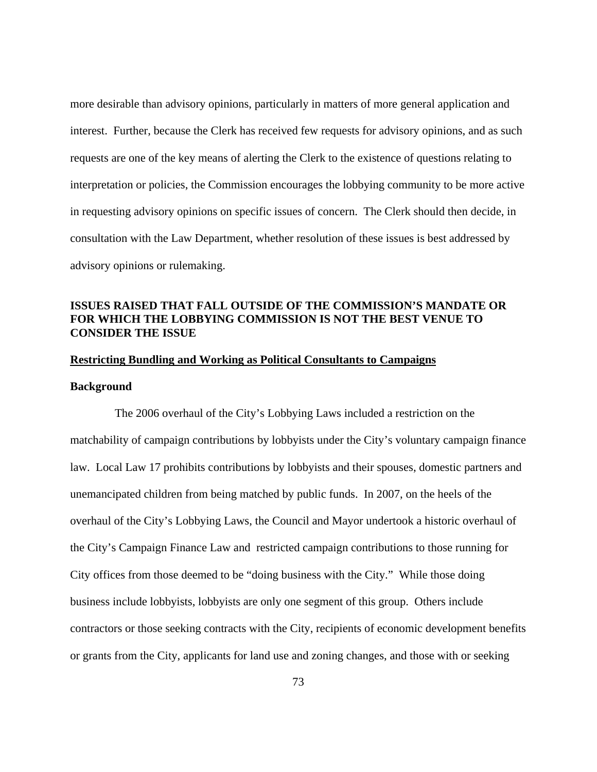more desirable than advisory opinions, particularly in matters of more general application and interest. Further, because the Clerk has received few requests for advisory opinions, and as such requests are one of the key means of alerting the Clerk to the existence of questions relating to interpretation or policies, the Commission encourages the lobbying community to be more active in requesting advisory opinions on specific issues of concern. The Clerk should then decide, in consultation with the Law Department, whether resolution of these issues is best addressed by advisory opinions or rulemaking.

# **ISSUES RAISED THAT FALL OUTSIDE OF THE COMMISSION'S MANDATE OR FOR WHICH THE LOBBYING COMMISSION IS NOT THE BEST VENUE TO CONSIDER THE ISSUE**

# **Restricting Bundling and Working as Political Consultants to Campaigns**

### **Background**

 The 2006 overhaul of the City's Lobbying Laws included a restriction on the matchability of campaign contributions by lobbyists under the City's voluntary campaign finance law. Local Law 17 prohibits contributions by lobbyists and their spouses, domestic partners and unemancipated children from being matched by public funds. In 2007, on the heels of the overhaul of the City's Lobbying Laws, the Council and Mayor undertook a historic overhaul of the City's Campaign Finance Law and restricted campaign contributions to those running for City offices from those deemed to be "doing business with the City." While those doing business include lobbyists, lobbyists are only one segment of this group. Others include contractors or those seeking contracts with the City, recipients of economic development benefits or grants from the City, applicants for land use and zoning changes, and those with or seeking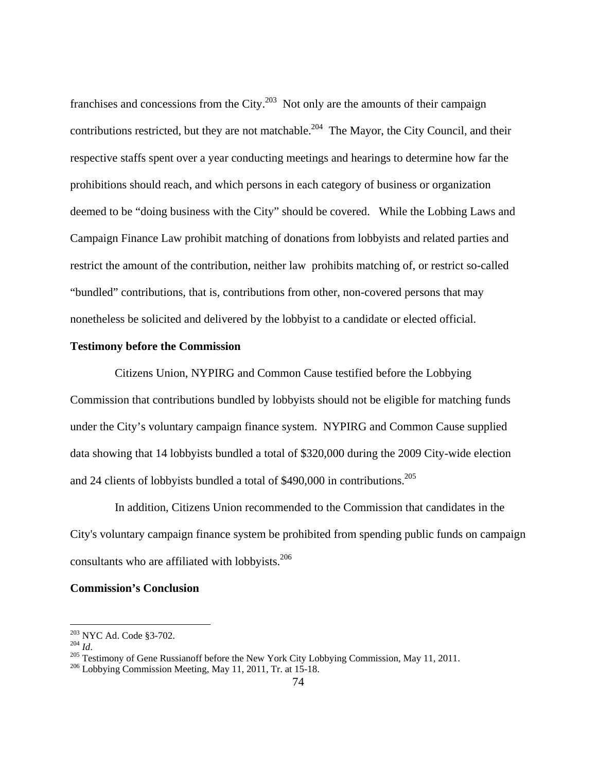franchises and concessions from the City. $^{203}$  Not only are the amounts of their campaign contributions restricted, but they are not matchable.<sup>204</sup> The Mayor, the City Council, and their respective staffs spent over a year conducting meetings and hearings to determine how far the prohibitions should reach, and which persons in each category of business or organization deemed to be "doing business with the City" should be covered. While the Lobbing Laws and Campaign Finance Law prohibit matching of donations from lobbyists and related parties and restrict the amount of the contribution, neither law prohibits matching of, or restrict so-called "bundled" contributions, that is, contributions from other, non-covered persons that may nonetheless be solicited and delivered by the lobbyist to a candidate or elected official.

### **Testimony before the Commission**

 Citizens Union, NYPIRG and Common Cause testified before the Lobbying Commission that contributions bundled by lobbyists should not be eligible for matching funds under the City's voluntary campaign finance system. NYPIRG and Common Cause supplied data showing that 14 lobbyists bundled a total of \$320,000 during the 2009 City-wide election and 24 clients of lobbyists bundled a total of \$490,000 in contributions.<sup>205</sup>

 In addition, Citizens Union recommended to the Commission that candidates in the City's voluntary campaign finance system be prohibited from spending public funds on campaign consultants who are affiliated with lobbyists.<sup>206</sup>

### **Commission's Conclusion**

<sup>&</sup>lt;sup>203</sup> NYC Ad. Code §3-702.

<sup>204</sup> *Id.*<br><sup>205</sup> Testimony of Gene Russianoff before the New York City Lobbying Commission, May 11, 2011.<br><sup>206</sup> Lobbying Commission Meeting, May 11, 2011, Tr. at 15-18.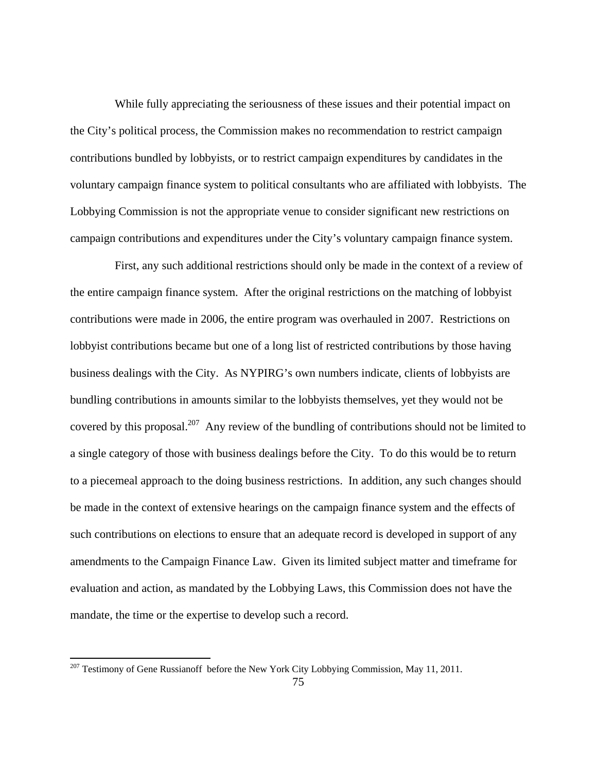While fully appreciating the seriousness of these issues and their potential impact on the City's political process, the Commission makes no recommendation to restrict campaign contributions bundled by lobbyists, or to restrict campaign expenditures by candidates in the voluntary campaign finance system to political consultants who are affiliated with lobbyists. The Lobbying Commission is not the appropriate venue to consider significant new restrictions on campaign contributions and expenditures under the City's voluntary campaign finance system.

 First, any such additional restrictions should only be made in the context of a review of the entire campaign finance system. After the original restrictions on the matching of lobbyist contributions were made in 2006, the entire program was overhauled in 2007. Restrictions on lobbyist contributions became but one of a long list of restricted contributions by those having business dealings with the City. As NYPIRG's own numbers indicate, clients of lobbyists are bundling contributions in amounts similar to the lobbyists themselves, yet they would not be covered by this proposal.<sup>207</sup> Any review of the bundling of contributions should not be limited to a single category of those with business dealings before the City. To do this would be to return to a piecemeal approach to the doing business restrictions. In addition, any such changes should be made in the context of extensive hearings on the campaign finance system and the effects of such contributions on elections to ensure that an adequate record is developed in support of any amendments to the Campaign Finance Law. Given its limited subject matter and timeframe for evaluation and action, as mandated by the Lobbying Laws, this Commission does not have the mandate, the time or the expertise to develop such a record.

 $\overline{a}$ 

 $^{207}$  Testimony of Gene Russianoff before the New York City Lobbying Commission, May 11, 2011.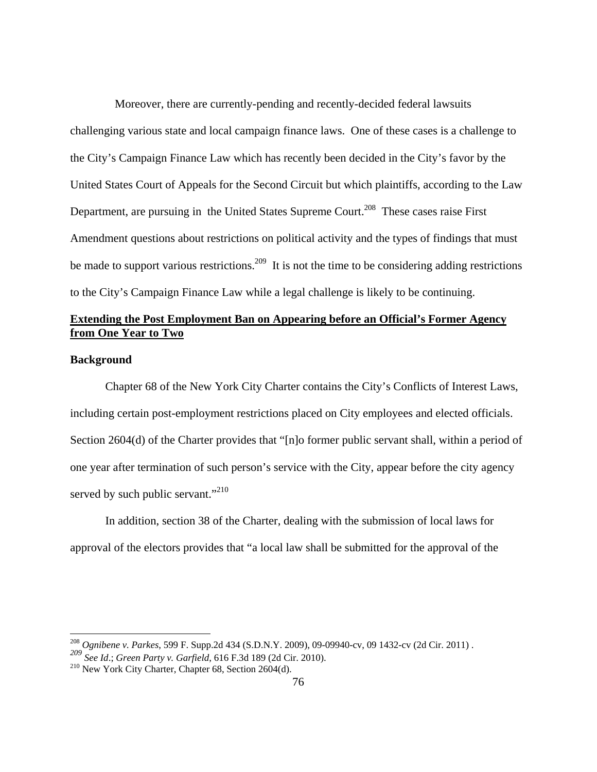Moreover, there are currently-pending and recently-decided federal lawsuits challenging various state and local campaign finance laws. One of these cases is a challenge to the City's Campaign Finance Law which has recently been decided in the City's favor by the United States Court of Appeals for the Second Circuit but which plaintiffs, according to the Law Department, are pursuing in the United States Supreme Court.<sup>208</sup> These cases raise First Amendment questions about restrictions on political activity and the types of findings that must be made to support various restrictions.<sup>209</sup> It is not the time to be considering adding restrictions to the City's Campaign Finance Law while a legal challenge is likely to be continuing.

# **Extending the Post Employment Ban on Appearing before an Official's Former Agency from One Year to Two**

# **Background**

 $\overline{a}$ 

 Chapter 68 of the New York City Charter contains the City's Conflicts of Interest Laws, including certain post-employment restrictions placed on City employees and elected officials. Section 2604(d) of the Charter provides that "[n]o former public servant shall, within a period of one year after termination of such person's service with the City, appear before the city agency served by such public servant."<sup>210</sup>

 In addition, section 38 of the Charter, dealing with the submission of local laws for approval of the electors provides that "a local law shall be submitted for the approval of the

<sup>208</sup> *Ognibene v. Parkes*, 599 F. Supp.2d 434 (S.D.N.Y. 2009), 09-09940-cv, 09 1432-cv (2d Cir. 2011) .

*<sup>209</sup> See Id*.; *Green Party v. Garfield*, 616 F.3d 189 (2d Cir. 2010).

<sup>210</sup> New York City Charter, Chapter 68, Section 2604(d).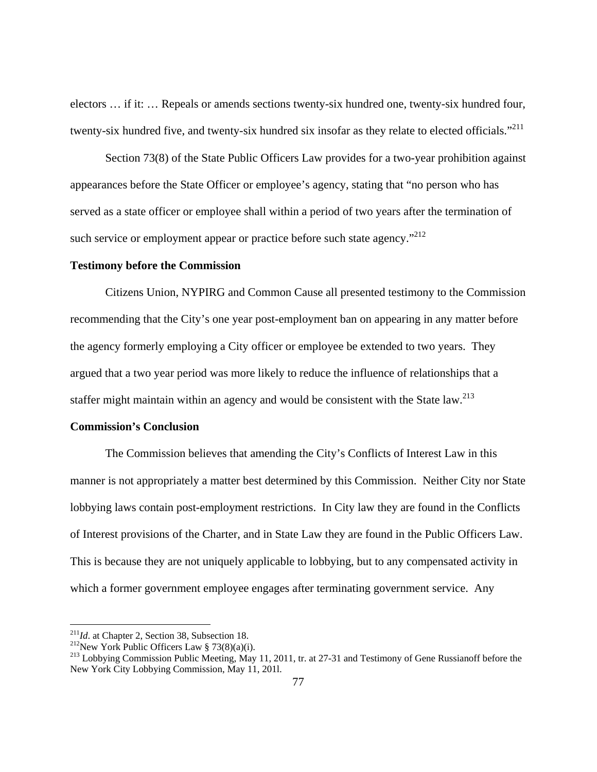electors … if it: … Repeals or amends sections twenty-six hundred one, twenty-six hundred four, twenty-six hundred five, and twenty-six hundred six insofar as they relate to elected officials."<sup>211</sup>

 Section 73(8) of the State Public Officers Law provides for a two-year prohibition against appearances before the State Officer or employee's agency, stating that "no person who has served as a state officer or employee shall within a period of two years after the termination of such service or employment appear or practice before such state agency. $"^{212}$ 

### **Testimony before the Commission**

 Citizens Union, NYPIRG and Common Cause all presented testimony to the Commission recommending that the City's one year post-employment ban on appearing in any matter before the agency formerly employing a City officer or employee be extended to two years. They argued that a two year period was more likely to reduce the influence of relationships that a staffer might maintain within an agency and would be consistent with the State law.<sup>213</sup>

### **Commission's Conclusion**

 The Commission believes that amending the City's Conflicts of Interest Law in this manner is not appropriately a matter best determined by this Commission. Neither City nor State lobbying laws contain post-employment restrictions. In City law they are found in the Conflicts of Interest provisions of the Charter, and in State Law they are found in the Public Officers Law. This is because they are not uniquely applicable to lobbying, but to any compensated activity in which a former government employee engages after terminating government service. Any

 $^{211}$ Id. at Chapter 2, Section 38, Subsection 18.

<sup>&</sup>lt;sup>212</sup>New York Public Officers Law § 73(8)(a)(i).<br><sup>213</sup> Lobbying Commission Public Meeting, May 11, 2011, tr. at 27-31 and Testimony of Gene Russianoff before the New York City Lobbying Commission, May 11, 201l.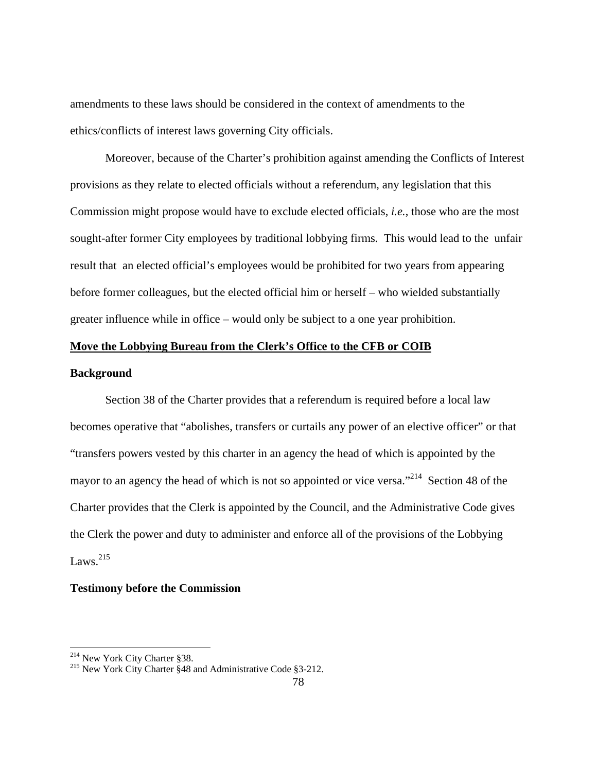amendments to these laws should be considered in the context of amendments to the ethics/conflicts of interest laws governing City officials.

 Moreover, because of the Charter's prohibition against amending the Conflicts of Interest provisions as they relate to elected officials without a referendum, any legislation that this Commission might propose would have to exclude elected officials, *i.e.*, those who are the most sought-after former City employees by traditional lobbying firms. This would lead to the unfair result that an elected official's employees would be prohibited for two years from appearing before former colleagues, but the elected official him or herself – who wielded substantially greater influence while in office – would only be subject to a one year prohibition.

# **Move the Lobbying Bureau from the Clerk's Office to the CFB or COIB**

### **Background**

Section 38 of the Charter provides that a referendum is required before a local law becomes operative that "abolishes, transfers or curtails any power of an elective officer" or that "transfers powers vested by this charter in an agency the head of which is appointed by the mayor to an agency the head of which is not so appointed or vice versa."<sup>214</sup> Section 48 of the Charter provides that the Clerk is appointed by the Council, and the Administrative Code gives the Clerk the power and duty to administer and enforce all of the provisions of the Lobbying Laws. $^{215}$ 

### **Testimony before the Commission**

 $\overline{a}$ 

<sup>&</sup>lt;sup>214</sup> New York City Charter §38.<br><sup>215</sup> New York City Charter §48 and Administrative Code §3-212.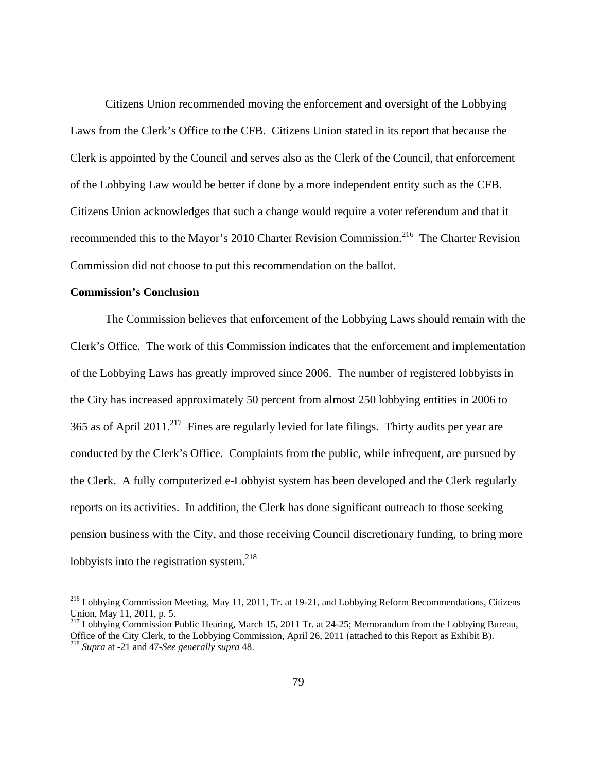Citizens Union recommended moving the enforcement and oversight of the Lobbying Laws from the Clerk's Office to the CFB. Citizens Union stated in its report that because the Clerk is appointed by the Council and serves also as the Clerk of the Council, that enforcement of the Lobbying Law would be better if done by a more independent entity such as the CFB. Citizens Union acknowledges that such a change would require a voter referendum and that it recommended this to the Mayor's 2010 Charter Revision Commission.<sup>216</sup> The Charter Revision Commission did not choose to put this recommendation on the ballot.

### **Commission's Conclusion**

 $\overline{a}$ 

 The Commission believes that enforcement of the Lobbying Laws should remain with the Clerk's Office. The work of this Commission indicates that the enforcement and implementation of the Lobbying Laws has greatly improved since 2006. The number of registered lobbyists in the City has increased approximately 50 percent from almost 250 lobbying entities in 2006 to 365 as of April 2011.<sup>217</sup> Fines are regularly levied for late filings. Thirty audits per year are conducted by the Clerk's Office. Complaints from the public, while infrequent, are pursued by the Clerk. A fully computerized e-Lobbyist system has been developed and the Clerk regularly reports on its activities. In addition, the Clerk has done significant outreach to those seeking pension business with the City, and those receiving Council discretionary funding, to bring more lobbyists into the registration system. $^{218}$ 

<sup>&</sup>lt;sup>216</sup> Lobbying Commission Meeting, May 11, 2011, Tr. at 19-21, and Lobbying Reform Recommendations, Citizens Union, May 11, 2011, p. 5.

<sup>&</sup>lt;sup>217</sup> Lobbying Commission Public Hearing, March 15, 2011 Tr. at 24-25; Memorandum from the Lobbying Bureau, Office of the City Clerk, to the Lobbying Commission, April 26, 2011 (attached to this Report as Exhibit B). 218 *Supra* at -21 and 47-*See generally supra* 48.